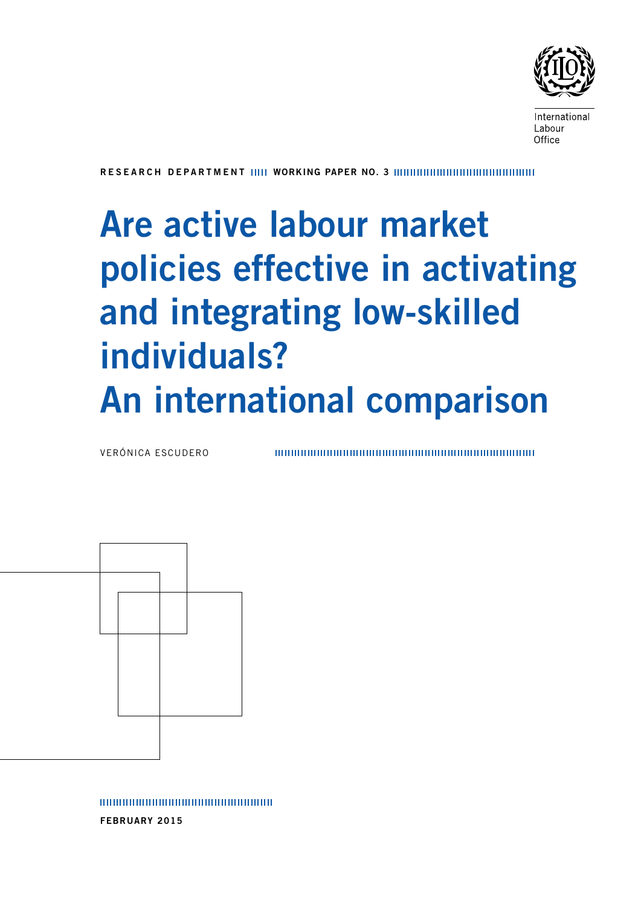

International Labour Office

R esearch department Working paper No. 3

# Are active labour market policies effective in activating and integrating low-skilled individuals? An international comparison

Verónica Escudero



february 2015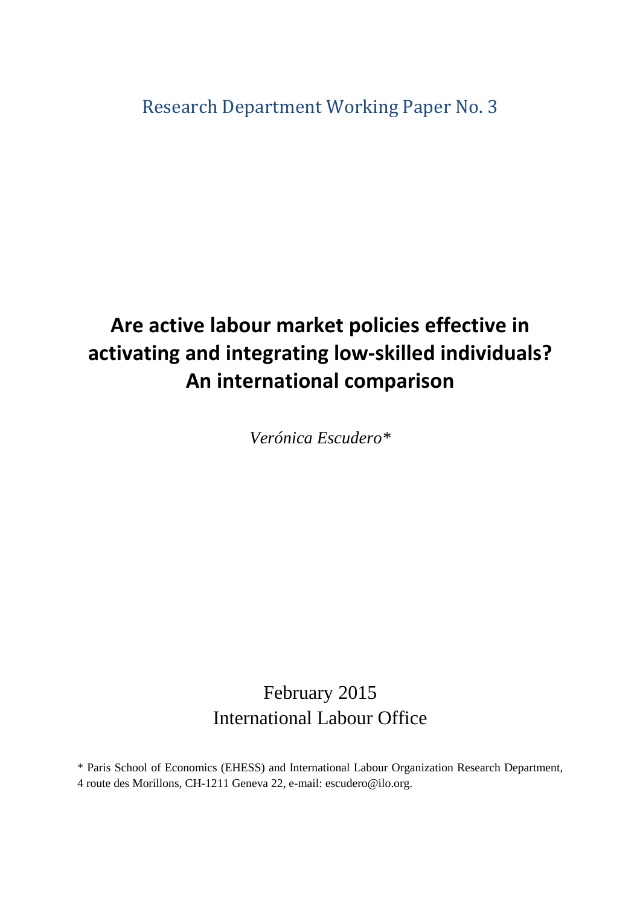Research Department Working Paper No. 3

# **Are active labour market policies effective in activating and integrating low-skilled individuals? An international comparison**

*Verónica Escudero\**

# February 2015 International Labour Office

\* Paris School of Economics (EHESS) and International Labour Organization Research Department, 4 route des Morillons, CH-1211 Geneva 22, e-mail: escudero@ilo.org.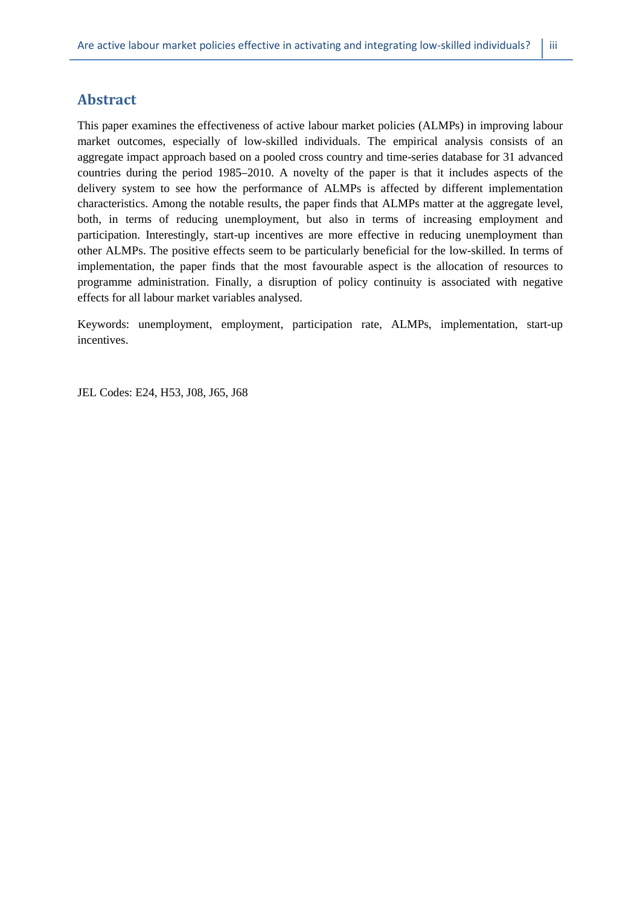# **Abstract**

This paper examines the effectiveness of active labour market policies (ALMPs) in improving labour market outcomes, especially of low-skilled individuals. The empirical analysis consists of an aggregate impact approach based on a pooled cross country and time-series database for 31 advanced countries during the period 1985–2010. A novelty of the paper is that it includes aspects of the delivery system to see how the performance of ALMPs is affected by different implementation characteristics. Among the notable results, the paper finds that ALMPs matter at the aggregate level, both, in terms of reducing unemployment, but also in terms of increasing employment and participation. Interestingly, start-up incentives are more effective in reducing unemployment than other ALMPs. The positive effects seem to be particularly beneficial for the low-skilled. In terms of implementation, the paper finds that the most favourable aspect is the allocation of resources to programme administration. Finally, a disruption of policy continuity is associated with negative effects for all labour market variables analysed.

Keywords: unemployment, employment, participation rate, ALMPs, implementation, start-up incentives.

JEL Codes: E24, H53, J08, J65, J68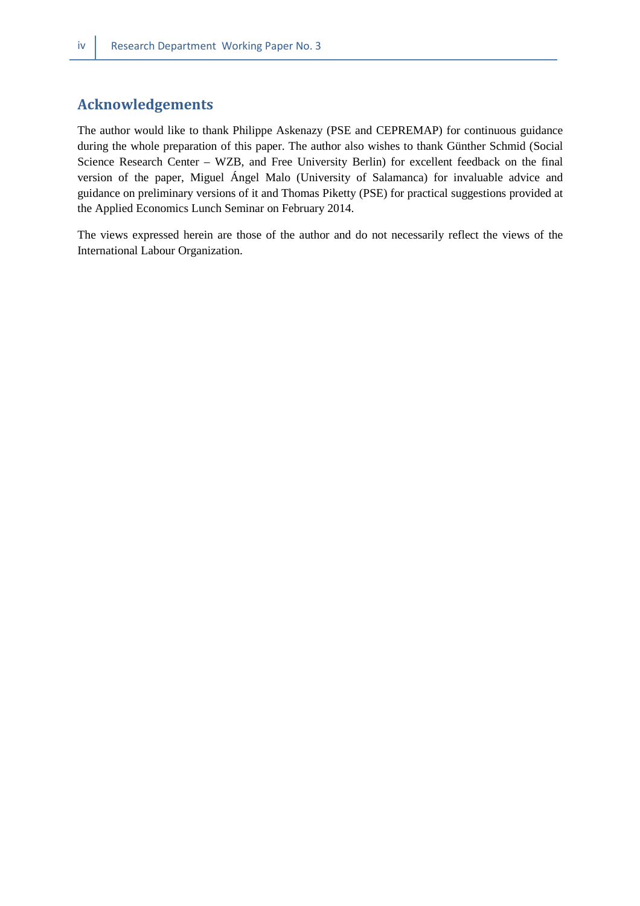# **Acknowledgements**

The author would like to thank Philippe Askenazy (PSE and CEPREMAP) for continuous guidance during the whole preparation of this paper. The author also wishes to thank Günther Schmid (Social Science Research Center – WZB, and Free University Berlin) for excellent feedback on the final version of the paper, Miguel Ángel Malo (University of Salamanca) for invaluable advice and guidance on preliminary versions of it and Thomas Piketty (PSE) for practical suggestions provided at the Applied Economics Lunch Seminar on February 2014.

The views expressed herein are those of the author and do not necessarily reflect the views of the International Labour Organization.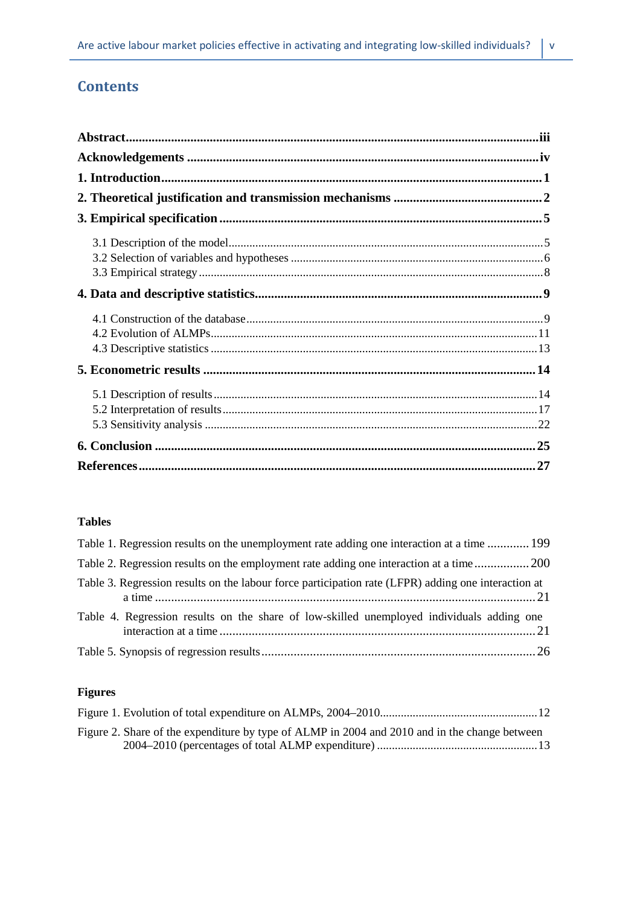# **Contents**

## **Tables**

| Table 1. Regression results on the unemployment rate adding one interaction at a time  199          |
|-----------------------------------------------------------------------------------------------------|
| Table 2. Regression results on the employment rate adding one interaction at a time 200             |
| Table 3. Regression results on the labour force participation rate (LFPR) adding one interaction at |
| Table 4. Regression results on the share of low-skilled unemployed individuals adding one           |
|                                                                                                     |

# **Figures**

| Figure 2. Share of the expenditure by type of ALMP in 2004 and 2010 and in the change between |  |
|-----------------------------------------------------------------------------------------------|--|
|                                                                                               |  |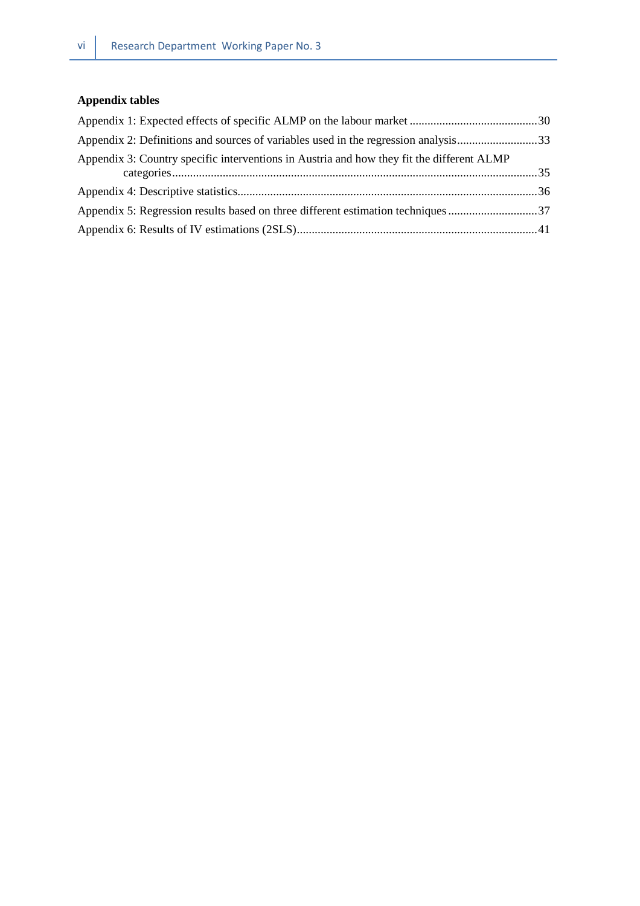# **Appendix tables**

| Appendix 2: Definitions and sources of variables used in the regression analysis33        |  |
|-------------------------------------------------------------------------------------------|--|
| Appendix 3: Country specific interventions in Austria and how they fit the different ALMP |  |
|                                                                                           |  |
| Appendix 5: Regression results based on three different estimation techniques 37          |  |
|                                                                                           |  |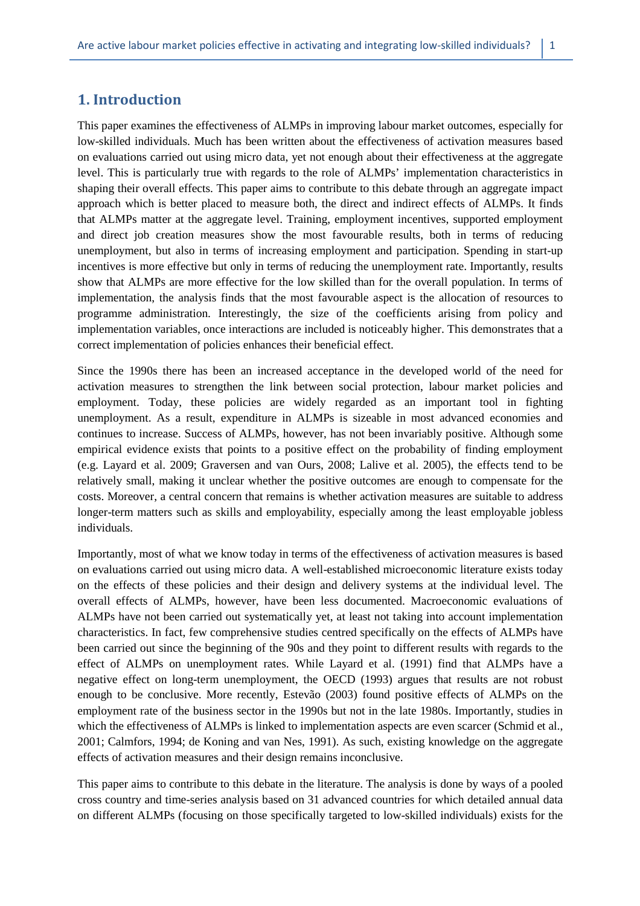# **1. Introduction**

This paper examines the effectiveness of ALMPs in improving labour market outcomes, especially for low-skilled individuals. Much has been written about the effectiveness of activation measures based on evaluations carried out using micro data, yet not enough about their effectiveness at the aggregate level. This is particularly true with regards to the role of ALMPs' implementation characteristics in shaping their overall effects. This paper aims to contribute to this debate through an aggregate impact approach which is better placed to measure both, the direct and indirect effects of ALMPs. It finds that ALMPs matter at the aggregate level. Training, employment incentives, supported employment and direct job creation measures show the most favourable results, both in terms of reducing unemployment, but also in terms of increasing employment and participation. Spending in start-up incentives is more effective but only in terms of reducing the unemployment rate. Importantly, results show that ALMPs are more effective for the low skilled than for the overall population. In terms of implementation, the analysis finds that the most favourable aspect is the allocation of resources to programme administration. Interestingly, the size of the coefficients arising from policy and implementation variables, once interactions are included is noticeably higher. This demonstrates that a correct implementation of policies enhances their beneficial effect.

Since the 1990s there has been an increased acceptance in the developed world of the need for activation measures to strengthen the link between social protection, labour market policies and employment. Today, these policies are widely regarded as an important tool in fighting unemployment. As a result, expenditure in ALMPs is sizeable in most advanced economies and continues to increase. Success of ALMPs, however, has not been invariably positive. Although some empirical evidence exists that points to a positive effect on the probability of finding employment (e.g. Layard et al. 2009; Graversen and van Ours, 2008; Lalive et al. 2005), the effects tend to be relatively small, making it unclear whether the positive outcomes are enough to compensate for the costs. Moreover, a central concern that remains is whether activation measures are suitable to address longer-term matters such as skills and employability, especially among the least employable jobless individuals.

Importantly, most of what we know today in terms of the effectiveness of activation measures is based on evaluations carried out using micro data. A well-established microeconomic literature exists today on the effects of these policies and their design and delivery systems at the individual level. The overall effects of ALMPs, however, have been less documented. Macroeconomic evaluations of ALMPs have not been carried out systematically yet, at least not taking into account implementation characteristics. In fact, few comprehensive studies centred specifically on the effects of ALMPs have been carried out since the beginning of the 90s and they point to different results with regards to the effect of ALMPs on unemployment rates. While Layard et al. (1991) find that ALMPs have a negative effect on long-term unemployment, the OECD (1993) argues that results are not robust enough to be conclusive. More recently, Estevão (2003) found positive effects of ALMPs on the employment rate of the business sector in the 1990s but not in the late 1980s. Importantly, studies in which the effectiveness of ALMPs is linked to implementation aspects are even scarcer (Schmid et al., 2001; Calmfors, 1994; de Koning and van Nes, 1991). As such, existing knowledge on the aggregate effects of activation measures and their design remains inconclusive.

This paper aims to contribute to this debate in the literature. The analysis is done by ways of a pooled cross country and time-series analysis based on 31 advanced countries for which detailed annual data on different ALMPs (focusing on those specifically targeted to low-skilled individuals) exists for the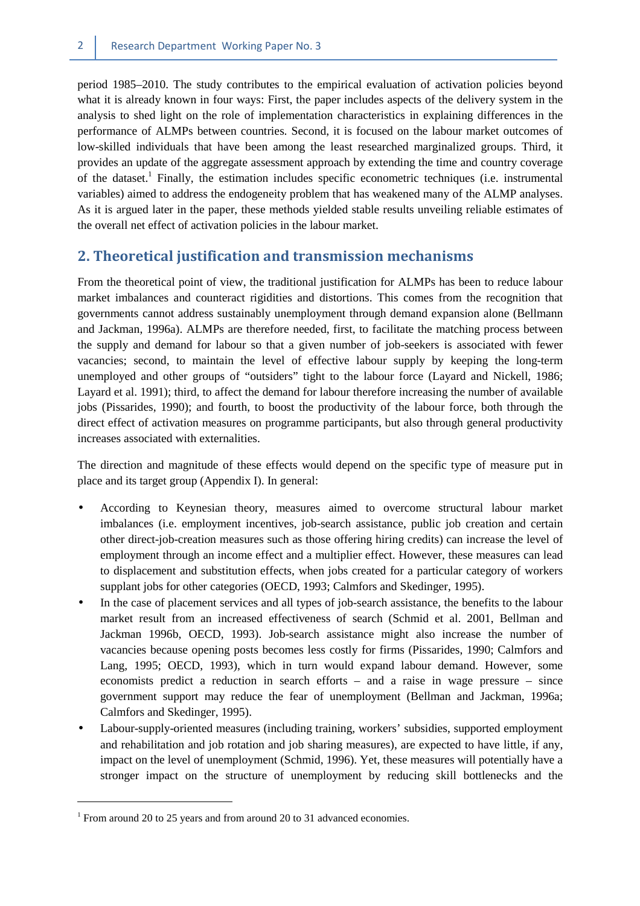period 1985–2010. The study contributes to the empirical evaluation of activation policies beyond what it is already known in four ways: First, the paper includes aspects of the delivery system in the analysis to shed light on the role of implementation characteristics in explaining differences in the performance of ALMPs between countries. Second, it is focused on the labour market outcomes of low-skilled individuals that have been among the least researched marginalized groups. Third, it provides an update of the aggregate assessment approach by extending the time and country coverage of the dataset.<sup>1</sup> Finally, the estimation includes specific econometric techniques (i.e. instrumental variables) aimed to address the endogeneity problem that has weakened many of the ALMP analyses. As it is argued later in the paper, these methods yielded stable results unveiling reliable estimates of the overall net effect of activation policies in the labour market.

# **2. Theoretical justification and transmission mechanisms**

From the theoretical point of view, the traditional justification for ALMPs has been to reduce labour market imbalances and counteract rigidities and distortions. This comes from the recognition that governments cannot address sustainably unemployment through demand expansion alone (Bellmann and Jackman, 1996a). ALMPs are therefore needed, first, to facilitate the matching process between the supply and demand for labour so that a given number of job-seekers is associated with fewer vacancies; second, to maintain the level of effective labour supply by keeping the long-term unemployed and other groups of "outsiders" tight to the labour force (Layard and Nickell, 1986; Layard et al. 1991); third, to affect the demand for labour therefore increasing the number of available jobs (Pissarides, 1990); and fourth, to boost the productivity of the labour force, both through the direct effect of activation measures on programme participants, but also through general productivity increases associated with externalities.

The direction and magnitude of these effects would depend on the specific type of measure put in place and its target group (Appendix I). In general:

- According to Keynesian theory, measures aimed to overcome structural labour market imbalances (i.e. employment incentives, job-search assistance, public job creation and certain other direct-job-creation measures such as those offering hiring credits) can increase the level of employment through an income effect and a multiplier effect. However, these measures can lead to displacement and substitution effects, when jobs created for a particular category of workers supplant jobs for other categories (OECD, 1993; Calmfors and Skedinger, 1995).
- In the case of placement services and all types of job-search assistance, the benefits to the labour market result from an increased effectiveness of search (Schmid et al. 2001, Bellman and Jackman 1996b, OECD, 1993). Job-search assistance might also increase the number of vacancies because opening posts becomes less costly for firms (Pissarides, 1990; Calmfors and Lang, 1995; OECD, 1993), which in turn would expand labour demand. However, some economists predict a reduction in search efforts – and a raise in wage pressure – since government support may reduce the fear of unemployment (Bellman and Jackman, 1996a; Calmfors and Skedinger, 1995).
- Labour-supply-oriented measures (including training, workers' subsidies, supported employment and rehabilitation and job rotation and job sharing measures), are expected to have little, if any, impact on the level of unemployment (Schmid, 1996). Yet, these measures will potentially have a stronger impact on the structure of unemployment by reducing skill bottlenecks and the

<sup>&</sup>lt;sup>1</sup> From around 20 to 25 years and from around 20 to 31 advanced economies.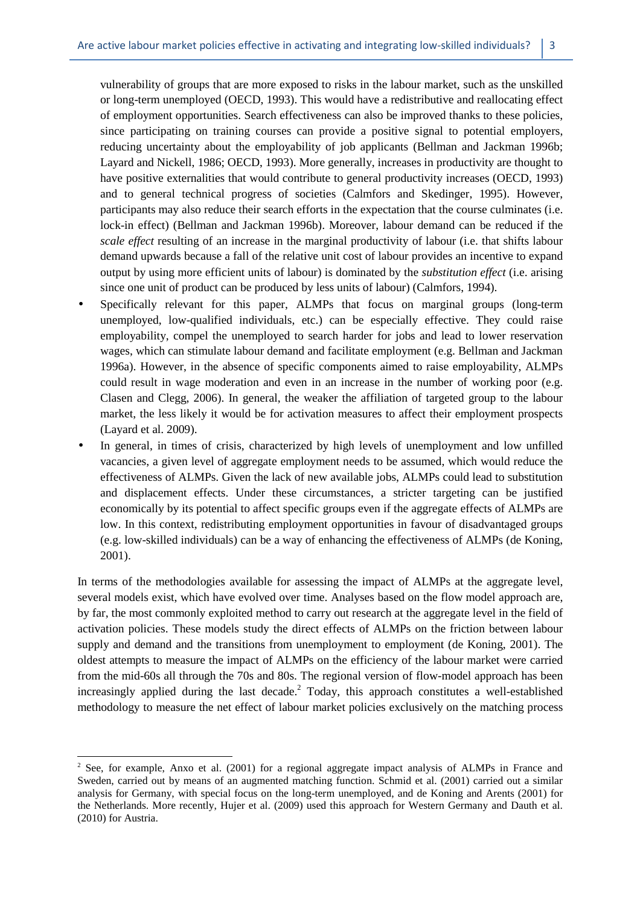vulnerability of groups that are more exposed to risks in the labour market, such as the unskilled or long-term unemployed (OECD, 1993). This would have a redistributive and reallocating effect of employment opportunities. Search effectiveness can also be improved thanks to these policies, since participating on training courses can provide a positive signal to potential employers, reducing uncertainty about the employability of job applicants (Bellman and Jackman 1996b; Layard and Nickell, 1986; OECD, 1993). More generally, increases in productivity are thought to have positive externalities that would contribute to general productivity increases (OECD, 1993) and to general technical progress of societies (Calmfors and Skedinger, 1995). However, participants may also reduce their search efforts in the expectation that the course culminates (i.e. lock-in effect) (Bellman and Jackman 1996b). Moreover, labour demand can be reduced if the *scale effect* resulting of an increase in the marginal productivity of labour (i.e. that shifts labour demand upwards because a fall of the relative unit cost of labour provides an incentive to expand output by using more efficient units of labour) is dominated by the *substitution effect* (i.e. arising since one unit of product can be produced by less units of labour) (Calmfors, 1994).

- Specifically relevant for this paper, ALMPs that focus on marginal groups (long-term unemployed, low-qualified individuals, etc.) can be especially effective. They could raise employability, compel the unemployed to search harder for jobs and lead to lower reservation wages, which can stimulate labour demand and facilitate employment (e.g. Bellman and Jackman 1996a). However, in the absence of specific components aimed to raise employability, ALMPs could result in wage moderation and even in an increase in the number of working poor (e.g. Clasen and Clegg, 2006). In general, the weaker the affiliation of targeted group to the labour market, the less likely it would be for activation measures to affect their employment prospects (Layard et al. 2009).
- In general, in times of crisis, characterized by high levels of unemployment and low unfilled vacancies, a given level of aggregate employment needs to be assumed, which would reduce the effectiveness of ALMPs. Given the lack of new available jobs, ALMPs could lead to substitution and displacement effects. Under these circumstances, a stricter targeting can be justified economically by its potential to affect specific groups even if the aggregate effects of ALMPs are low. In this context, redistributing employment opportunities in favour of disadvantaged groups (e.g. low-skilled individuals) can be a way of enhancing the effectiveness of ALMPs (de Koning, 2001).

In terms of the methodologies available for assessing the impact of ALMPs at the aggregate level, several models exist, which have evolved over time. Analyses based on the flow model approach are, by far, the most commonly exploited method to carry out research at the aggregate level in the field of activation policies. These models study the direct effects of ALMPs on the friction between labour supply and demand and the transitions from unemployment to employment (de Koning, 2001). The oldest attempts to measure the impact of ALMPs on the efficiency of the labour market were carried from the mid-60s all through the 70s and 80s. The regional version of flow-model approach has been increasingly applied during the last decade.<sup>2</sup> Today, this approach constitutes a well-established methodology to measure the net effect of labour market policies exclusively on the matching process

l  $2^2$  See, for example, Anxo et al. (2001) for a regional aggregate impact analysis of ALMPs in France and Sweden, carried out by means of an augmented matching function. Schmid et al. (2001) carried out a similar analysis for Germany, with special focus on the long-term unemployed, and de Koning and Arents (2001) for the Netherlands. More recently, Hujer et al. (2009) used this approach for Western Germany and Dauth et al. (2010) for Austria.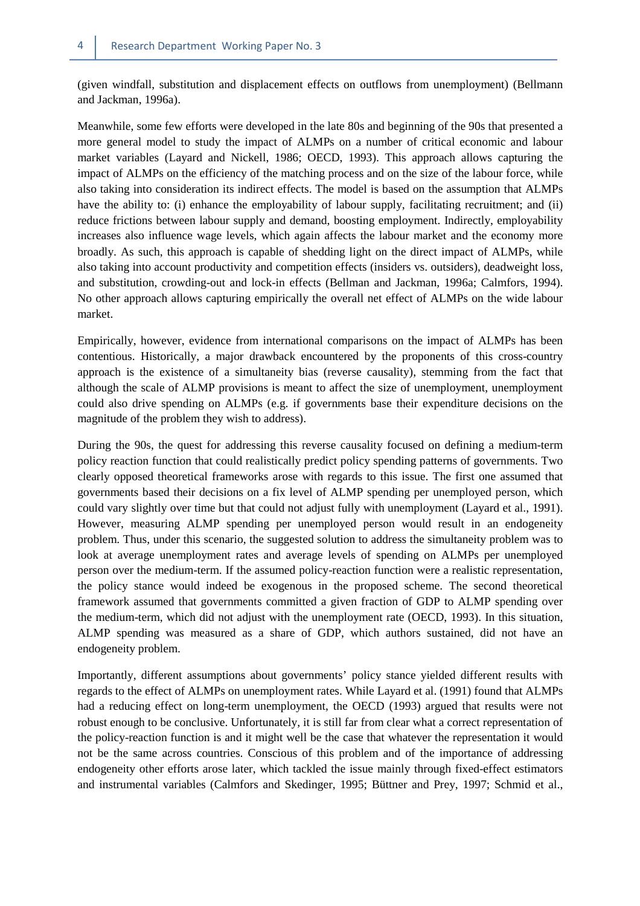(given windfall, substitution and displacement effects on outflows from unemployment) (Bellmann and Jackman, 1996a).

Meanwhile, some few efforts were developed in the late 80s and beginning of the 90s that presented a more general model to study the impact of ALMPs on a number of critical economic and labour market variables (Layard and Nickell, 1986; OECD, 1993). This approach allows capturing the impact of ALMPs on the efficiency of the matching process and on the size of the labour force, while also taking into consideration its indirect effects. The model is based on the assumption that ALMPs have the ability to: (i) enhance the employability of labour supply, facilitating recruitment; and (ii) reduce frictions between labour supply and demand, boosting employment. Indirectly, employability increases also influence wage levels, which again affects the labour market and the economy more broadly. As such, this approach is capable of shedding light on the direct impact of ALMPs, while also taking into account productivity and competition effects (insiders vs. outsiders), deadweight loss, and substitution, crowding-out and lock-in effects (Bellman and Jackman, 1996a; Calmfors, 1994). No other approach allows capturing empirically the overall net effect of ALMPs on the wide labour market.

Empirically, however, evidence from international comparisons on the impact of ALMPs has been contentious. Historically, a major drawback encountered by the proponents of this cross-country approach is the existence of a simultaneity bias (reverse causality), stemming from the fact that although the scale of ALMP provisions is meant to affect the size of unemployment, unemployment could also drive spending on ALMPs (e.g. if governments base their expenditure decisions on the magnitude of the problem they wish to address).

During the 90s, the quest for addressing this reverse causality focused on defining a medium-term policy reaction function that could realistically predict policy spending patterns of governments. Two clearly opposed theoretical frameworks arose with regards to this issue. The first one assumed that governments based their decisions on a fix level of ALMP spending per unemployed person, which could vary slightly over time but that could not adjust fully with unemployment (Layard et al., 1991). However, measuring ALMP spending per unemployed person would result in an endogeneity problem. Thus, under this scenario, the suggested solution to address the simultaneity problem was to look at average unemployment rates and average levels of spending on ALMPs per unemployed person over the medium-term. If the assumed policy-reaction function were a realistic representation, the policy stance would indeed be exogenous in the proposed scheme. The second theoretical framework assumed that governments committed a given fraction of GDP to ALMP spending over the medium-term, which did not adjust with the unemployment rate (OECD, 1993). In this situation, ALMP spending was measured as a share of GDP, which authors sustained, did not have an endogeneity problem.

Importantly, different assumptions about governments' policy stance yielded different results with regards to the effect of ALMPs on unemployment rates. While Layard et al. (1991) found that ALMPs had a reducing effect on long-term unemployment, the OECD (1993) argued that results were not robust enough to be conclusive. Unfortunately, it is still far from clear what a correct representation of the policy-reaction function is and it might well be the case that whatever the representation it would not be the same across countries. Conscious of this problem and of the importance of addressing endogeneity other efforts arose later, which tackled the issue mainly through fixed-effect estimators and instrumental variables (Calmfors and Skedinger, 1995; Büttner and Prey, 1997; Schmid et al.,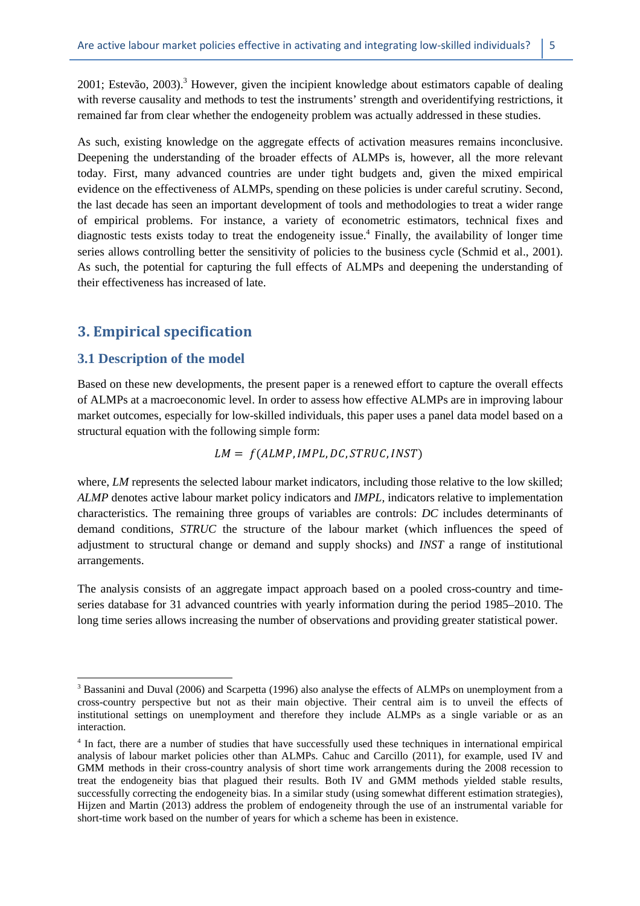2001; Estevão, 2003).<sup>3</sup> However, given the incipient knowledge about estimators capable of dealing with reverse causality and methods to test the instruments' strength and overidentifying restrictions, it remained far from clear whether the endogeneity problem was actually addressed in these studies.

As such, existing knowledge on the aggregate effects of activation measures remains inconclusive. Deepening the understanding of the broader effects of ALMPs is, however, all the more relevant today. First, many advanced countries are under tight budgets and, given the mixed empirical evidence on the effectiveness of ALMPs, spending on these policies is under careful scrutiny. Second, the last decade has seen an important development of tools and methodologies to treat a wider range of empirical problems. For instance, a variety of econometric estimators, technical fixes and diagnostic tests exists today to treat the endogeneity issue.<sup>4</sup> Finally, the availability of longer time series allows controlling better the sensitivity of policies to the business cycle (Schmid et al., 2001). As such, the potential for capturing the full effects of ALMPs and deepening the understanding of their effectiveness has increased of late.

## **3. Empirical specification**

#### **3.1 Description of the model**

 $\overline{a}$ 

Based on these new developments, the present paper is a renewed effort to capture the overall effects of ALMPs at a macroeconomic level. In order to assess how effective ALMPs are in improving labour market outcomes, especially for low-skilled individuals, this paper uses a panel data model based on a structural equation with the following simple form:

$$
LM = f(ALMP, IMPL, DC, STRUCT, INST)
$$

where, *LM* represents the selected labour market indicators, including those relative to the low skilled; *ALMP* denotes active labour market policy indicators and *IMPL,* indicators relative to implementation characteristics. The remaining three groups of variables are controls: *DC* includes determinants of demand conditions, *STRUC* the structure of the labour market (which influences the speed of adjustment to structural change or demand and supply shocks) and *INST* a range of institutional arrangements.

The analysis consists of an aggregate impact approach based on a pooled cross-country and timeseries database for 31 advanced countries with yearly information during the period 1985–2010. The long time series allows increasing the number of observations and providing greater statistical power.

<sup>&</sup>lt;sup>3</sup> Bassanini and Duval (2006) and Scarpetta (1996) also analyse the effects of ALMPs on unemployment from a cross-country perspective but not as their main objective. Their central aim is to unveil the effects of institutional settings on unemployment and therefore they include ALMPs as a single variable or as an interaction.

<sup>&</sup>lt;sup>4</sup> In fact, there are a number of studies that have successfully used these techniques in international empirical analysis of labour market policies other than ALMPs. Cahuc and Carcillo (2011), for example, used IV and GMM methods in their cross-country analysis of short time work arrangements during the 2008 recession to treat the endogeneity bias that plagued their results. Both IV and GMM methods yielded stable results, successfully correcting the endogeneity bias. In a similar study (using somewhat different estimation strategies), Hijzen and Martin (2013) address the problem of endogeneity through the use of an instrumental variable for short-time work based on the number of years for which a scheme has been in existence.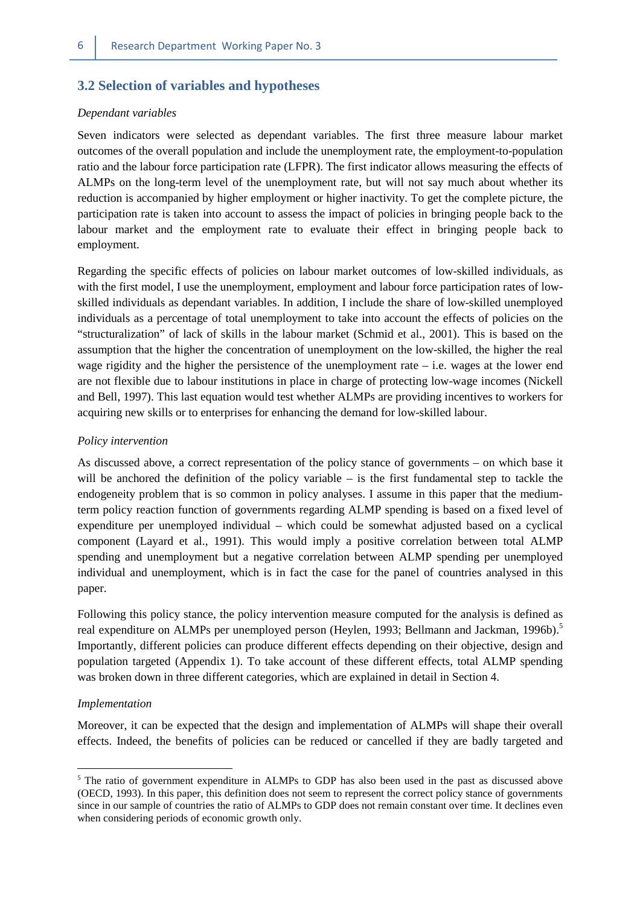#### **3.2 Selection of variables and hypotheses**

#### *Dependant variables*

Seven indicators were selected as dependant variables. The first three measure labour market outcomes of the overall population and include the unemployment rate, the employment-to-population ratio and the labour force participation rate (LFPR). The first indicator allows measuring the effects of ALMPs on the long-term level of the unemployment rate, but will not say much about whether its reduction is accompanied by higher employment or higher inactivity. To get the complete picture, the participation rate is taken into account to assess the impact of policies in bringing people back to the labour market and the employment rate to evaluate their effect in bringing people back to employment.

Regarding the specific effects of policies on labour market outcomes of low-skilled individuals, as with the first model, I use the unemployment, employment and labour force participation rates of lowskilled individuals as dependant variables. In addition, I include the share of low-skilled unemployed individuals as a percentage of total unemployment to take into account the effects of policies on the "structuralization" of lack of skills in the labour market (Schmid et al., 2001). This is based on the assumption that the higher the concentration of unemployment on the low-skilled, the higher the real wage rigidity and the higher the persistence of the unemployment rate  $-$  i.e. wages at the lower end are not flexible due to labour institutions in place in charge of protecting low-wage incomes (Nickell and Bell, 1997). This last equation would test whether ALMPs are providing incentives to workers for acquiring new skills or to enterprises for enhancing the demand for low-skilled labour.

#### *Policy intervention*

As discussed above, a correct representation of the policy stance of governments – on which base it will be anchored the definition of the policy variable – is the first fundamental step to tackle the endogeneity problem that is so common in policy analyses. I assume in this paper that the mediumterm policy reaction function of governments regarding ALMP spending is based on a fixed level of expenditure per unemployed individual – which could be somewhat adjusted based on a cyclical component (Layard et al., 1991). This would imply a positive correlation between total ALMP spending and unemployment but a negative correlation between ALMP spending per unemployed individual and unemployment, which is in fact the case for the panel of countries analysed in this paper.

Following this policy stance, the policy intervention measure computed for the analysis is defined as real expenditure on ALMPs per unemployed person (Heylen, 1993; Bellmann and Jackman, 1996b).<sup>5</sup> Importantly, different policies can produce different effects depending on their objective, design and population targeted (Appendix 1). To take account of these different effects, total ALMP spending was broken down in three different categories, which are explained in detail in Section 4.

#### *Implementation*

 $\overline{a}$ 

Moreover, it can be expected that the design and implementation of ALMPs will shape their overall effects. Indeed, the benefits of policies can be reduced or cancelled if they are badly targeted and

<sup>&</sup>lt;sup>5</sup> The ratio of government expenditure in ALMPs to GDP has also been used in the past as discussed above (OECD, 1993). In this paper, this definition does not seem to represent the correct policy stance of governments since in our sample of countries the ratio of ALMPs to GDP does not remain constant over time. It declines even when considering periods of economic growth only.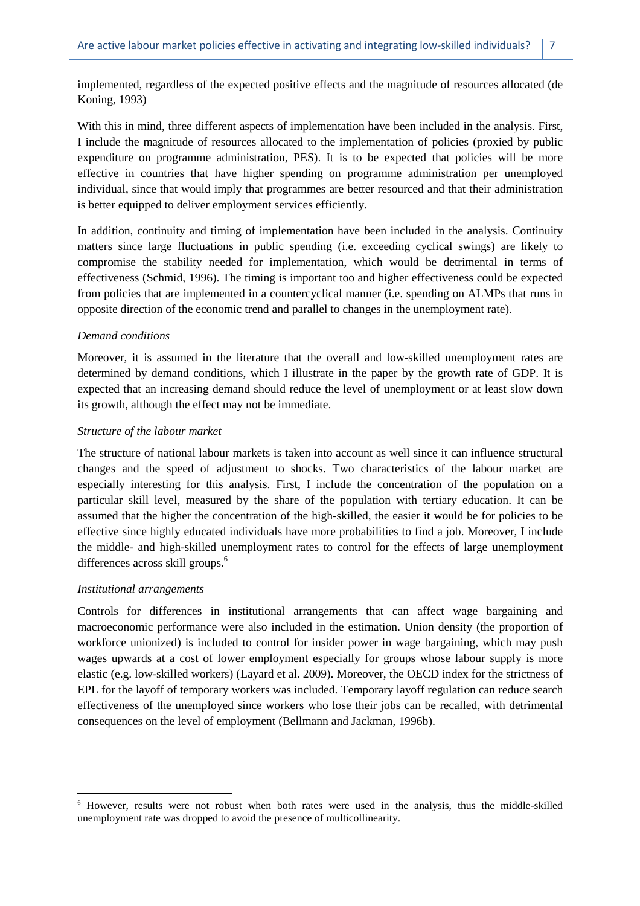implemented, regardless of the expected positive effects and the magnitude of resources allocated (de Koning, 1993)

With this in mind, three different aspects of implementation have been included in the analysis. First, I include the magnitude of resources allocated to the implementation of policies (proxied by public expenditure on programme administration, PES). It is to be expected that policies will be more effective in countries that have higher spending on programme administration per unemployed individual, since that would imply that programmes are better resourced and that their administration is better equipped to deliver employment services efficiently.

In addition, continuity and timing of implementation have been included in the analysis. Continuity matters since large fluctuations in public spending (i.e. exceeding cyclical swings) are likely to compromise the stability needed for implementation, which would be detrimental in terms of effectiveness (Schmid, 1996). The timing is important too and higher effectiveness could be expected from policies that are implemented in a countercyclical manner (i.e. spending on ALMPs that runs in opposite direction of the economic trend and parallel to changes in the unemployment rate).

#### *Demand conditions*

Moreover, it is assumed in the literature that the overall and low-skilled unemployment rates are determined by demand conditions, which I illustrate in the paper by the growth rate of GDP. It is expected that an increasing demand should reduce the level of unemployment or at least slow down its growth, although the effect may not be immediate.

#### *Structure of the labour market*

The structure of national labour markets is taken into account as well since it can influence structural changes and the speed of adjustment to shocks. Two characteristics of the labour market are especially interesting for this analysis. First, I include the concentration of the population on a particular skill level, measured by the share of the population with tertiary education. It can be assumed that the higher the concentration of the high-skilled, the easier it would be for policies to be effective since highly educated individuals have more probabilities to find a job. Moreover, I include the middle- and high-skilled unemployment rates to control for the effects of large unemployment differences across skill groups.<sup>6</sup>

#### *Institutional arrangements*

 $\overline{a}$ 

Controls for differences in institutional arrangements that can affect wage bargaining and macroeconomic performance were also included in the estimation. Union density (the proportion of workforce unionized) is included to control for insider power in wage bargaining, which may push wages upwards at a cost of lower employment especially for groups whose labour supply is more elastic (e.g. low-skilled workers) (Layard et al. 2009). Moreover, the OECD index for the strictness of EPL for the layoff of temporary workers was included. Temporary layoff regulation can reduce search effectiveness of the unemployed since workers who lose their jobs can be recalled, with detrimental consequences on the level of employment (Bellmann and Jackman, 1996b).

<sup>&</sup>lt;sup>6</sup> However, results were not robust when both rates were used in the analysis, thus the middle-skilled unemployment rate was dropped to avoid the presence of multicollinearity.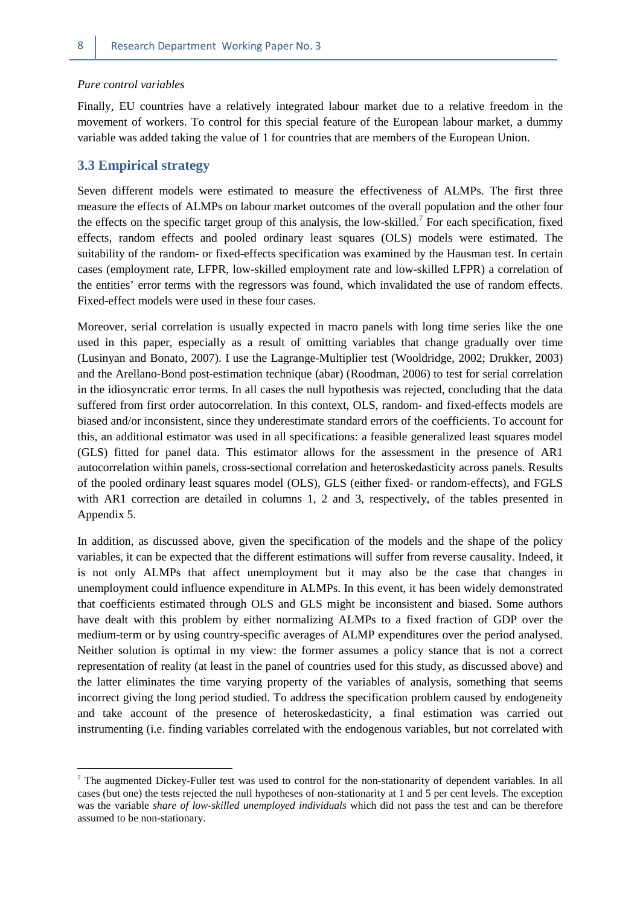#### *Pure control variables*

Finally, EU countries have a relatively integrated labour market due to a relative freedom in the movement of workers. To control for this special feature of the European labour market, a dummy variable was added taking the value of 1 for countries that are members of the European Union.

#### **3.3 Empirical strategy**

 $\overline{a}$ 

Seven different models were estimated to measure the effectiveness of ALMPs. The first three measure the effects of ALMPs on labour market outcomes of the overall population and the other four the effects on the specific target group of this analysis, the low-skilled.<sup>7</sup> For each specification, fixed effects, random effects and pooled ordinary least squares (OLS) models were estimated. The suitability of the random- or fixed-effects specification was examined by the Hausman test. In certain cases (employment rate, LFPR, low-skilled employment rate and low-skilled LFPR) a correlation of the entities' error terms with the regressors was found, which invalidated the use of random effects. Fixed-effect models were used in these four cases.

Moreover, serial correlation is usually expected in macro panels with long time series like the one used in this paper, especially as a result of omitting variables that change gradually over time (Lusinyan and Bonato, 2007). I use the Lagrange-Multiplier test (Wooldridge, 2002; Drukker, 2003) and the Arellano-Bond post-estimation technique (abar) (Roodman, 2006) to test for serial correlation in the idiosyncratic error terms. In all cases the null hypothesis was rejected, concluding that the data suffered from first order autocorrelation. In this context, OLS, random- and fixed-effects models are biased and/or inconsistent, since they underestimate standard errors of the coefficients. To account for this, an additional estimator was used in all specifications: a feasible generalized least squares model (GLS) fitted for panel data. This estimator allows for the assessment in the presence of AR1 autocorrelation within panels, cross-sectional correlation and heteroskedasticity across panels. Results of the pooled ordinary least squares model (OLS), GLS (either fixed- or random-effects), and FGLS with AR1 correction are detailed in columns 1, 2 and 3, respectively, of the tables presented in Appendix 5.

In addition, as discussed above, given the specification of the models and the shape of the policy variables, it can be expected that the different estimations will suffer from reverse causality. Indeed, it is not only ALMPs that affect unemployment but it may also be the case that changes in unemployment could influence expenditure in ALMPs. In this event, it has been widely demonstrated that coefficients estimated through OLS and GLS might be inconsistent and biased. Some authors have dealt with this problem by either normalizing ALMPs to a fixed fraction of GDP over the medium-term or by using country-specific averages of ALMP expenditures over the period analysed. Neither solution is optimal in my view: the former assumes a policy stance that is not a correct representation of reality (at least in the panel of countries used for this study, as discussed above) and the latter eliminates the time varying property of the variables of analysis, something that seems incorrect giving the long period studied. To address the specification problem caused by endogeneity and take account of the presence of heteroskedasticity, a final estimation was carried out instrumenting (i.e. finding variables correlated with the endogenous variables, but not correlated with

 $7$  The augmented Dickey-Fuller test was used to control for the non-stationarity of dependent variables. In all cases (but one) the tests rejected the null hypotheses of non-stationarity at 1 and 5 per cent levels. The exception was the variable *share of low-skilled unemployed individuals* which did not pass the test and can be therefore assumed to be non-stationary.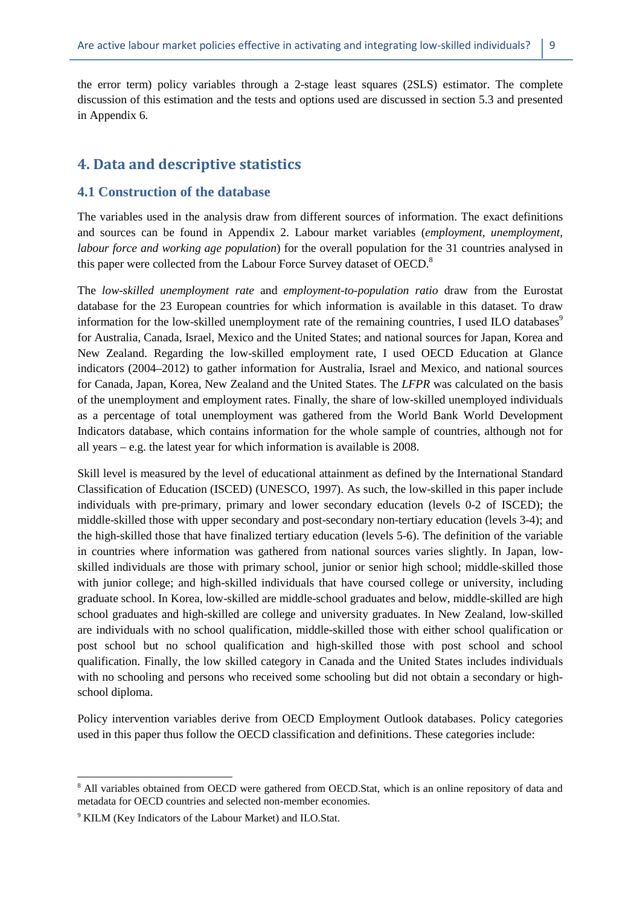the error term) policy variables through a 2-stage least squares (2SLS) estimator. The complete discussion of this estimation and the tests and options used are discussed in section 5.3 and presented in Appendix 6.

# **4. Data and descriptive statistics**

#### **4.1 Construction of the database**

The variables used in the analysis draw from different sources of information. The exact definitions and sources can be found in Appendix 2. Labour market variables (*employment, unemployment, labour force and working age population*) for the overall population for the 31 countries analysed in this paper were collected from the Labour Force Survey dataset of OECD.<sup>8</sup>

The *low-skilled unemployment rate* and *employment-to-population ratio* draw from the Eurostat database for the 23 European countries for which information is available in this dataset. To draw information for the low-skilled unemployment rate of the remaining countries, I used ILO databases<sup>9</sup> for Australia, Canada, Israel, Mexico and the United States; and national sources for Japan, Korea and New Zealand. Regarding the low-skilled employment rate, I used OECD Education at Glance indicators (2004–2012) to gather information for Australia, Israel and Mexico, and national sources for Canada, Japan, Korea, New Zealand and the United States. The *LFPR* was calculated on the basis of the unemployment and employment rates. Finally, the share of low-skilled unemployed individuals as a percentage of total unemployment was gathered from the World Bank World Development Indicators database, which contains information for the whole sample of countries, although not for all years – e.g. the latest year for which information is available is 2008.

Skill level is measured by the level of educational attainment as defined by the International Standard Classification of Education (ISCED) (UNESCO, 1997). As such, the low-skilled in this paper include individuals with pre-primary, primary and lower secondary education (levels 0-2 of ISCED); the middle-skilled those with upper secondary and post-secondary non-tertiary education (levels 3-4); and the high-skilled those that have finalized tertiary education (levels 5-6). The definition of the variable in countries where information was gathered from national sources varies slightly. In Japan, lowskilled individuals are those with primary school, junior or senior high school; middle-skilled those with junior college; and high-skilled individuals that have coursed college or university, including graduate school. In Korea, low-skilled are middle-school graduates and below, middle-skilled are high school graduates and high-skilled are college and university graduates. In New Zealand, low-skilled are individuals with no school qualification, middle-skilled those with either school qualification or post school but no school qualification and high-skilled those with post school and school qualification. Finally, the low skilled category in Canada and the United States includes individuals with no schooling and persons who received some schooling but did not obtain a secondary or highschool diploma.

Policy intervention variables derive from OECD Employment Outlook databases. Policy categories used in this paper thus follow the OECD classification and definitions. These categories include:

<sup>&</sup>lt;sup>8</sup> All variables obtained from OECD were gathered from OECD.Stat, which is an online repository of data and metadata for OECD countries and selected non-member economies.

<sup>&</sup>lt;sup>9</sup> KILM (Key Indicators of the Labour Market) and ILO.Stat.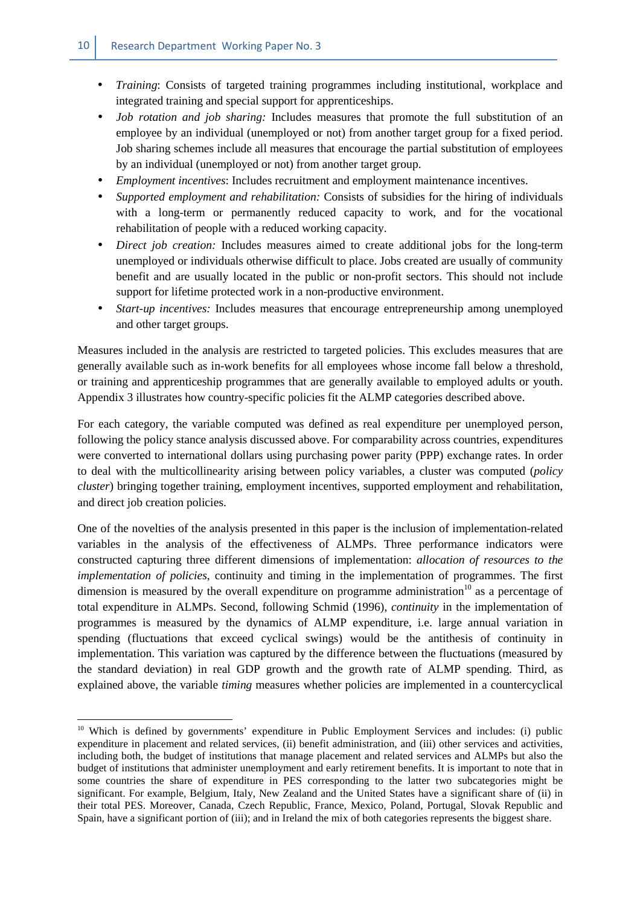- *Training*: Consists of targeted training programmes including institutional, workplace and integrated training and special support for apprenticeships.
- *Job rotation and job sharing:* Includes measures that promote the full substitution of an employee by an individual (unemployed or not) from another target group for a fixed period. Job sharing schemes include all measures that encourage the partial substitution of employees by an individual (unemployed or not) from another target group.
- *Employment incentives*: Includes recruitment and employment maintenance incentives.
- *Supported employment and rehabilitation:* Consists of subsidies for the hiring of individuals with a long-term or permanently reduced capacity to work, and for the vocational rehabilitation of people with a reduced working capacity.
- *Direct job creation:* Includes measures aimed to create additional jobs for the long-term unemployed or individuals otherwise difficult to place. Jobs created are usually of community benefit and are usually located in the public or non-profit sectors. This should not include support for lifetime protected work in a non-productive environment.
- *Start-up incentives:* Includes measures that encourage entrepreneurship among unemployed and other target groups.

Measures included in the analysis are restricted to targeted policies. This excludes measures that are generally available such as in-work benefits for all employees whose income fall below a threshold, or training and apprenticeship programmes that are generally available to employed adults or youth. Appendix 3 illustrates how country-specific policies fit the ALMP categories described above.

For each category, the variable computed was defined as real expenditure per unemployed person, following the policy stance analysis discussed above. For comparability across countries, expenditures were converted to international dollars using purchasing power parity (PPP) exchange rates. In order to deal with the multicollinearity arising between policy variables, a cluster was computed (*policy cluster*) bringing together training, employment incentives, supported employment and rehabilitation, and direct job creation policies.

One of the novelties of the analysis presented in this paper is the inclusion of implementation-related variables in the analysis of the effectiveness of ALMPs. Three performance indicators were constructed capturing three different dimensions of implementation: *allocation of resources to the implementation of policies*, continuity and timing in the implementation of programmes. The first dimension is measured by the overall expenditure on programme administration<sup>10</sup> as a percentage of total expenditure in ALMPs. Second, following Schmid (1996), *continuity* in the implementation of programmes is measured by the dynamics of ALMP expenditure, i.e. large annual variation in spending (fluctuations that exceed cyclical swings) would be the antithesis of continuity in implementation. This variation was captured by the difference between the fluctuations (measured by the standard deviation) in real GDP growth and the growth rate of ALMP spending. Third, as explained above, the variable *timing* measures whether policies are implemented in a countercyclical

<sup>&</sup>lt;sup>10</sup> Which is defined by governments' expenditure in Public Employment Services and includes: (i) public expenditure in placement and related services, (ii) benefit administration, and (iii) other services and activities, including both, the budget of institutions that manage placement and related services and ALMPs but also the budget of institutions that administer unemployment and early retirement benefits. It is important to note that in some countries the share of expenditure in PES corresponding to the latter two subcategories might be significant. For example, Belgium, Italy, New Zealand and the United States have a significant share of (ii) in their total PES. Moreover, Canada, Czech Republic, France, Mexico, Poland, Portugal, Slovak Republic and Spain, have a significant portion of (iii); and in Ireland the mix of both categories represents the biggest share.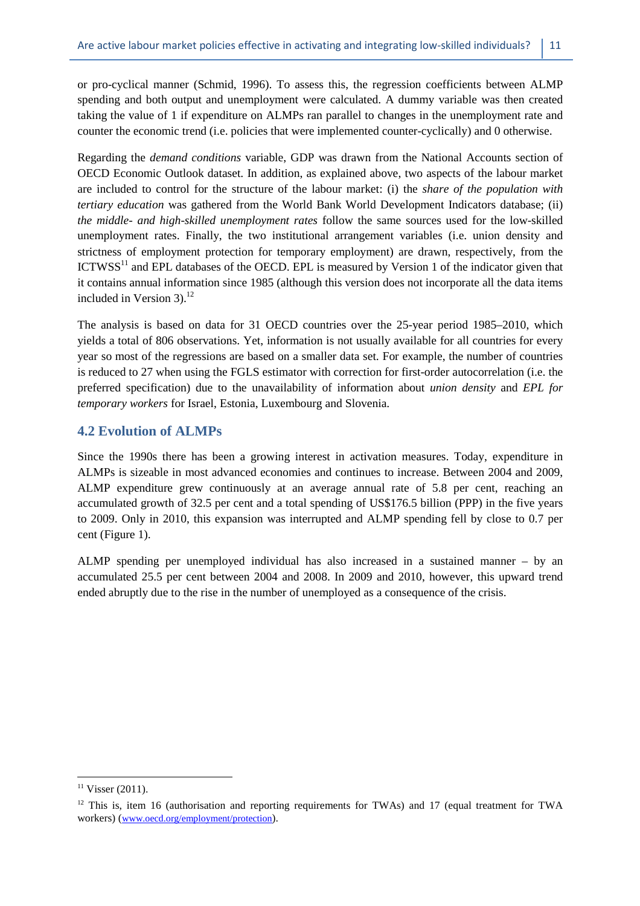or pro-cyclical manner (Schmid, 1996). To assess this, the regression coefficients between ALMP spending and both output and unemployment were calculated. A dummy variable was then created taking the value of 1 if expenditure on ALMPs ran parallel to changes in the unemployment rate and counter the economic trend (i.e. policies that were implemented counter-cyclically) and 0 otherwise.

Regarding the *demand conditions* variable, GDP was drawn from the National Accounts section of OECD Economic Outlook dataset. In addition, as explained above, two aspects of the labour market are included to control for the structure of the labour market: (i) the *share of the population with tertiary education* was gathered from the World Bank World Development Indicators database; (ii) *the middle- and high-skilled unemployment rates* follow the same sources used for the low-skilled unemployment rates. Finally, the two institutional arrangement variables (i.e. union density and strictness of employment protection for temporary employment) are drawn, respectively, from the ICTWSS<sup>11</sup> and EPL databases of the OECD. EPL is measured by Version 1 of the indicator given that it contains annual information since 1985 (although this version does not incorporate all the data items included in Version  $3$ ).<sup>12</sup>

The analysis is based on data for 31 OECD countries over the 25-year period 1985–2010, which yields a total of 806 observations. Yet, information is not usually available for all countries for every year so most of the regressions are based on a smaller data set. For example, the number of countries is reduced to 27 when using the FGLS estimator with correction for first-order autocorrelation (i.e. the preferred specification) due to the unavailability of information about *union density* and *EPL for temporary workers* for Israel, Estonia, Luxembourg and Slovenia.

#### **4.2 Evolution of ALMPs**

Since the 1990s there has been a growing interest in activation measures. Today, expenditure in ALMPs is sizeable in most advanced economies and continues to increase. Between 2004 and 2009, ALMP expenditure grew continuously at an average annual rate of 5.8 per cent, reaching an accumulated growth of 32.5 per cent and a total spending of US\$176.5 billion (PPP) in the five years to 2009. Only in 2010, this expansion was interrupted and ALMP spending fell by close to 0.7 per cent (Figure 1).

ALMP spending per unemployed individual has also increased in a sustained manner – by an accumulated 25.5 per cent between 2004 and 2008. In 2009 and 2010, however, this upward trend ended abruptly due to the rise in the number of unemployed as a consequence of the crisis.

 $11$  Visser (2011).

<sup>&</sup>lt;sup>12</sup> This is, item 16 (authorisation and reporting requirements for TWAs) and 17 (equal treatment for TWA workers) (www.oecd.org/employment/protection).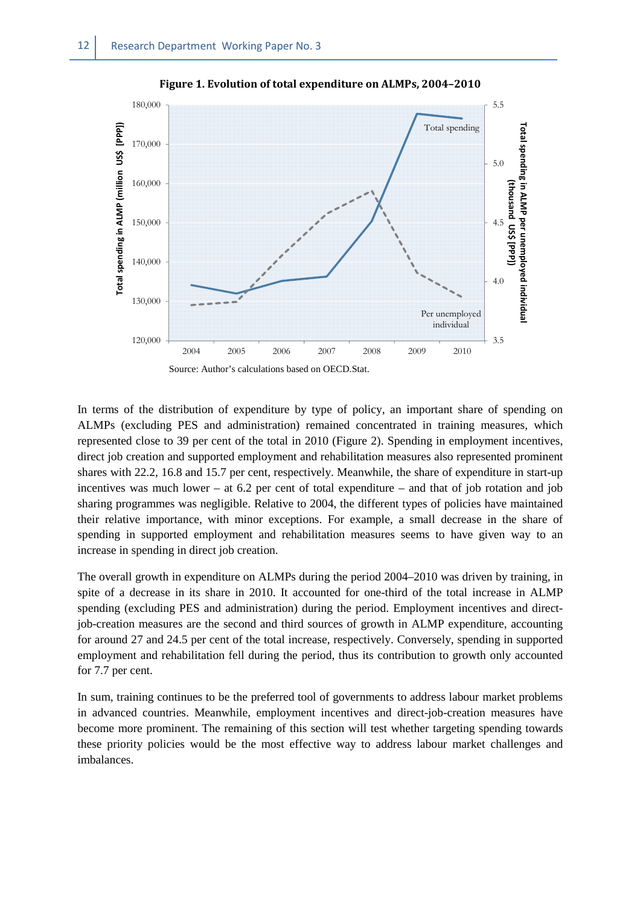

**Figure 1. Evolution of total expenditure on ALMPs, 2004–2010** 

Source: Author's calculations based on OECD.Stat.

In terms of the distribution of expenditure by type of policy, an important share of spending on ALMPs (excluding PES and administration) remained concentrated in training measures, which represented close to 39 per cent of the total in 2010 (Figure 2). Spending in employment incentives, direct job creation and supported employment and rehabilitation measures also represented prominent shares with 22.2, 16.8 and 15.7 per cent, respectively. Meanwhile, the share of expenditure in start-up incentives was much lower – at 6.2 per cent of total expenditure – and that of job rotation and job sharing programmes was negligible. Relative to 2004, the different types of policies have maintained their relative importance, with minor exceptions. For example, a small decrease in the share of spending in supported employment and rehabilitation measures seems to have given way to an increase in spending in direct job creation.

The overall growth in expenditure on ALMPs during the period 2004–2010 was driven by training, in spite of a decrease in its share in 2010. It accounted for one-third of the total increase in ALMP spending (excluding PES and administration) during the period. Employment incentives and directjob-creation measures are the second and third sources of growth in ALMP expenditure, accounting for around 27 and 24.5 per cent of the total increase, respectively. Conversely, spending in supported employment and rehabilitation fell during the period, thus its contribution to growth only accounted for 7.7 per cent.

In sum, training continues to be the preferred tool of governments to address labour market problems in advanced countries. Meanwhile, employment incentives and direct-job-creation measures have become more prominent. The remaining of this section will test whether targeting spending towards these priority policies would be the most effective way to address labour market challenges and imbalances.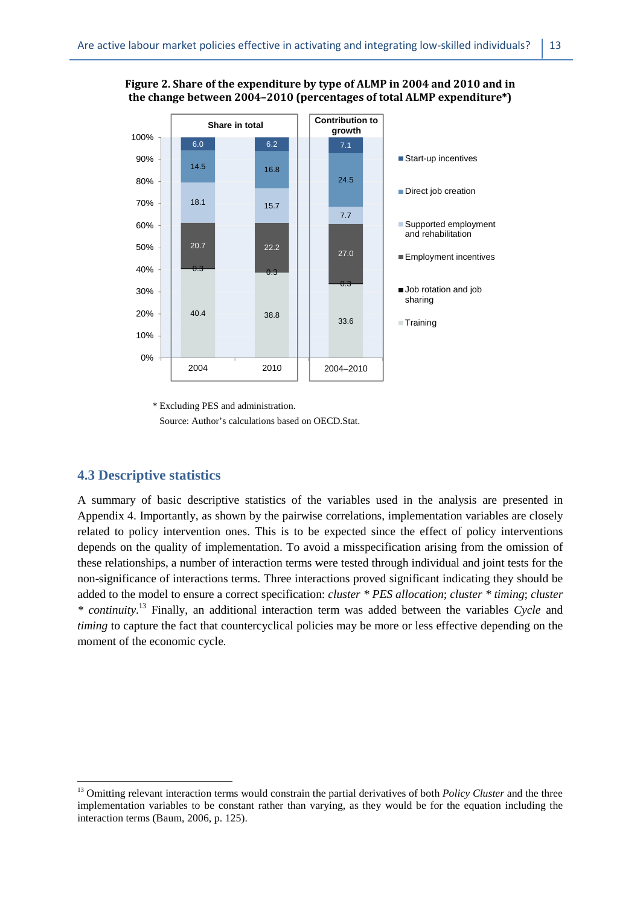**Figure 2. Share of the expenditure by type of ALMP in 2004 and 2010 and in the change between 2004–2010 (percentages of total ALMP expenditure\*)** 



\* Excluding PES and administration.

Source: Author's calculations based on OECD.Stat.

#### **4.3 Descriptive statistics**

 $\overline{a}$ 

A summary of basic descriptive statistics of the variables used in the analysis are presented in Appendix 4. Importantly, as shown by the pairwise correlations, implementation variables are closely related to policy intervention ones. This is to be expected since the effect of policy interventions depends on the quality of implementation. To avoid a misspecification arising from the omission of these relationships, a number of interaction terms were tested through individual and joint tests for the non-significance of interactions terms. Three interactions proved significant indicating they should be added to the model to ensure a correct specification: *cluster \* PES allocation*; *cluster \* timing*; *cluster \* continuity*. <sup>13</sup> Finally, an additional interaction term was added between the variables *Cycle* and *timing* to capture the fact that countercyclical policies may be more or less effective depending on the moment of the economic cycle*.* 

<sup>&</sup>lt;sup>13</sup> Omitting relevant interaction terms would constrain the partial derivatives of both *Policy Cluster* and the three implementation variables to be constant rather than varying, as they would be for the equation including the interaction terms (Baum, 2006, p. 125).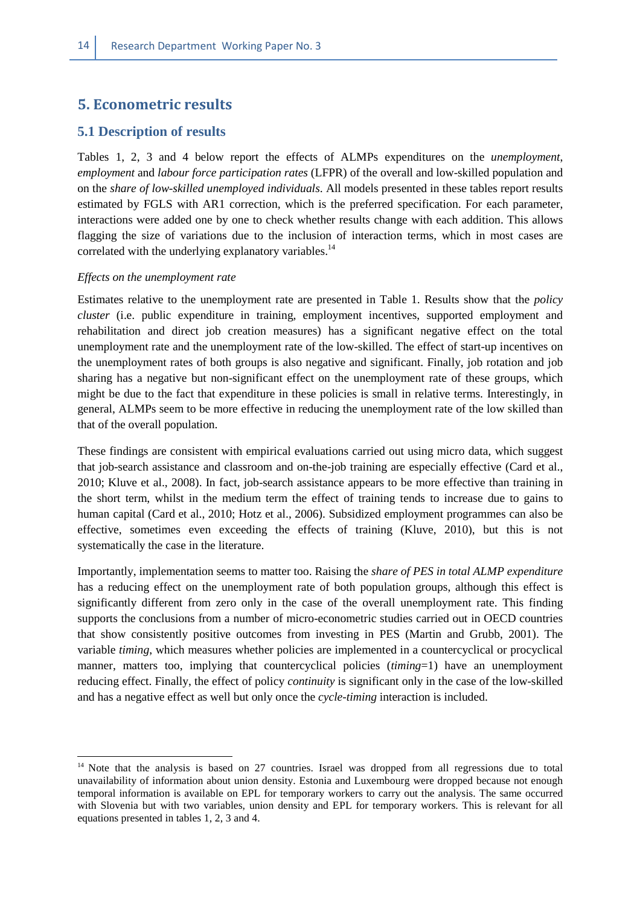# **5. Econometric results**

#### **5.1 Description of results**

Tables 1, 2, 3 and 4 below report the effects of ALMPs expenditures on the *unemployment*, *employment* and *labour force participation rates* (LFPR) of the overall and low-skilled population and on the *share of low-skilled unemployed individuals*. All models presented in these tables report results estimated by FGLS with AR1 correction, which is the preferred specification. For each parameter, interactions were added one by one to check whether results change with each addition. This allows flagging the size of variations due to the inclusion of interaction terms, which in most cases are correlated with the underlying explanatory variables.<sup>14</sup>

#### *Effects on the unemployment rate*

l

Estimates relative to the unemployment rate are presented in Table 1. Results show that the *policy cluster* (i.e. public expenditure in training, employment incentives, supported employment and rehabilitation and direct job creation measures) has a significant negative effect on the total unemployment rate and the unemployment rate of the low-skilled. The effect of start-up incentives on the unemployment rates of both groups is also negative and significant. Finally, job rotation and job sharing has a negative but non-significant effect on the unemployment rate of these groups, which might be due to the fact that expenditure in these policies is small in relative terms. Interestingly, in general, ALMPs seem to be more effective in reducing the unemployment rate of the low skilled than that of the overall population.

These findings are consistent with empirical evaluations carried out using micro data, which suggest that job-search assistance and classroom and on-the-job training are especially effective (Card et al., 2010; Kluve et al., 2008). In fact, job-search assistance appears to be more effective than training in the short term, whilst in the medium term the effect of training tends to increase due to gains to human capital (Card et al., 2010; Hotz et al., 2006). Subsidized employment programmes can also be effective, sometimes even exceeding the effects of training (Kluve, 2010), but this is not systematically the case in the literature.

Importantly, implementation seems to matter too. Raising the *share of PES in total ALMP expenditure* has a reducing effect on the unemployment rate of both population groups, although this effect is significantly different from zero only in the case of the overall unemployment rate. This finding supports the conclusions from a number of micro-econometric studies carried out in OECD countries that show consistently positive outcomes from investing in PES (Martin and Grubb, 2001). The variable *timing*, which measures whether policies are implemented in a countercyclical or procyclical manner, matters too, implying that countercyclical policies (*timing*=1) have an unemployment reducing effect. Finally, the effect of policy *continuity* is significant only in the case of the low-skilled and has a negative effect as well but only once the *cycle-timing* interaction is included.

<sup>&</sup>lt;sup>14</sup> Note that the analysis is based on 27 countries. Israel was dropped from all regressions due to total unavailability of information about union density. Estonia and Luxembourg were dropped because not enough temporal information is available on EPL for temporary workers to carry out the analysis. The same occurred with Slovenia but with two variables, union density and EPL for temporary workers. This is relevant for all equations presented in tables 1, 2, 3 and 4.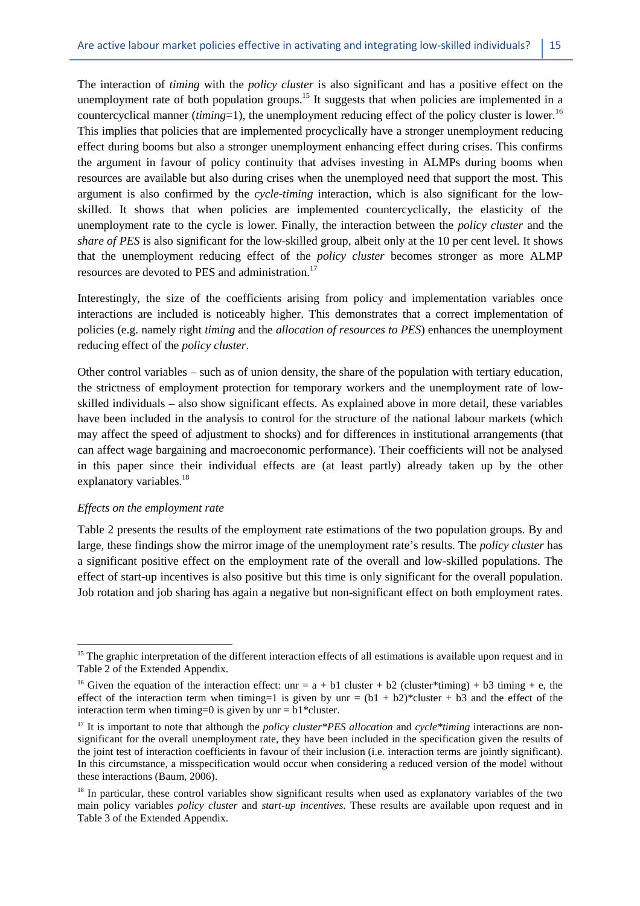The interaction of *timing* with the *policy cluster* is also significant and has a positive effect on the unemployment rate of both population groups.<sup>15</sup> It suggests that when policies are implemented in a countercyclical manner *(timing*=1), the unemployment reducing effect of the policy cluster is lower.<sup>16</sup> This implies that policies that are implemented procyclically have a stronger unemployment reducing effect during booms but also a stronger unemployment enhancing effect during crises. This confirms the argument in favour of policy continuity that advises investing in ALMPs during booms when resources are available but also during crises when the unemployed need that support the most. This argument is also confirmed by the *cycle*-*timing* interaction, which is also significant for the lowskilled. It shows that when policies are implemented countercyclically, the elasticity of the unemployment rate to the cycle is lower. Finally, the interaction between the *policy cluster* and the *share of PES* is also significant for the low-skilled group, albeit only at the 10 per cent level. It shows that the unemployment reducing effect of the *policy cluster* becomes stronger as more ALMP resources are devoted to PES and administration.<sup>17</sup>

Interestingly, the size of the coefficients arising from policy and implementation variables once interactions are included is noticeably higher. This demonstrates that a correct implementation of policies (e.g. namely right *timing* and the *allocation of resources to PES*) enhances the unemployment reducing effect of the *policy cluster*.

Other control variables – such as of union density, the share of the population with tertiary education, the strictness of employment protection for temporary workers and the unemployment rate of lowskilled individuals – also show significant effects. As explained above in more detail, these variables have been included in the analysis to control for the structure of the national labour markets (which may affect the speed of adjustment to shocks) and for differences in institutional arrangements (that can affect wage bargaining and macroeconomic performance). Their coefficients will not be analysed in this paper since their individual effects are (at least partly) already taken up by the other explanatory variables.<sup>18</sup>

#### *Effects on the employment rate*

 $\overline{a}$ 

Table 2 presents the results of the employment rate estimations of the two population groups. By and large, these findings show the mirror image of the unemployment rate's results. The *policy cluster* has a significant positive effect on the employment rate of the overall and low-skilled populations. The effect of start-up incentives is also positive but this time is only significant for the overall population. Job rotation and job sharing has again a negative but non-significant effect on both employment rates.

<sup>&</sup>lt;sup>15</sup> The graphic interpretation of the different interaction effects of all estimations is available upon request and in Table 2 of the Extended Appendix.

<sup>&</sup>lt;sup>16</sup> Given the equation of the interaction effect: unr =  $a + b1$  cluster + b2 (cluster\*timing) + b3 timing + e, the effect of the interaction term when timing=1 is given by unr =  $(b1 + b2)$ \*cluster + b3 and the effect of the interaction term when timing=0 is given by unr =  $b1*cluster$ .

<sup>17</sup> It is important to note that although the *policy cluster\*PES allocation* and *cycle\*timing* interactions are nonsignificant for the overall unemployment rate, they have been included in the specification given the results of the joint test of interaction coefficients in favour of their inclusion (i.e. interaction terms are jointly significant). In this circumstance, a misspecification would occur when considering a reduced version of the model without these interactions (Baum, 2006).

<sup>&</sup>lt;sup>18</sup> In particular, these control variables show significant results when used as explanatory variables of the two main policy variables *policy cluster* and *start-up incentives*. These results are available upon request and in Table 3 of the Extended Appendix.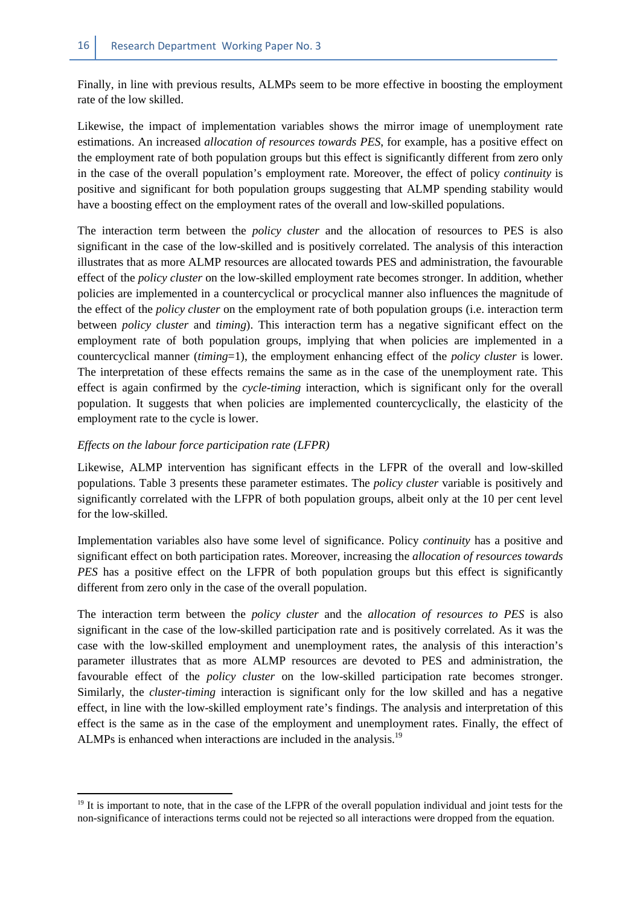Finally, in line with previous results, ALMPs seem to be more effective in boosting the employment rate of the low skilled.

Likewise, the impact of implementation variables shows the mirror image of unemployment rate estimations. An increased *allocation of resources towards PES*, for example, has a positive effect on the employment rate of both population groups but this effect is significantly different from zero only in the case of the overall population's employment rate. Moreover, the effect of policy *continuity* is positive and significant for both population groups suggesting that ALMP spending stability would have a boosting effect on the employment rates of the overall and low-skilled populations.

The interaction term between the *policy cluster* and the allocation of resources to PES is also significant in the case of the low-skilled and is positively correlated. The analysis of this interaction illustrates that as more ALMP resources are allocated towards PES and administration, the favourable effect of the *policy cluster* on the low-skilled employment rate becomes stronger. In addition, whether policies are implemented in a countercyclical or procyclical manner also influences the magnitude of the effect of the *policy cluster* on the employment rate of both population groups (i.e. interaction term between *policy cluster* and *timing*). This interaction term has a negative significant effect on the employment rate of both population groups, implying that when policies are implemented in a countercyclical manner (*timing*=1), the employment enhancing effect of the *policy cluster* is lower. The interpretation of these effects remains the same as in the case of the unemployment rate. This effect is again confirmed by the *cycle-timing* interaction, which is significant only for the overall population. It suggests that when policies are implemented countercyclically, the elasticity of the employment rate to the cycle is lower.

#### *Effects on the labour force participation rate (LFPR)*

 $\overline{a}$ 

Likewise, ALMP intervention has significant effects in the LFPR of the overall and low-skilled populations. Table 3 presents these parameter estimates. The *policy cluster* variable is positively and significantly correlated with the LFPR of both population groups, albeit only at the 10 per cent level for the low-skilled.

Implementation variables also have some level of significance. Policy *continuity* has a positive and significant effect on both participation rates. Moreover, increasing the *allocation of resources towards PES* has a positive effect on the LFPR of both population groups but this effect is significantly different from zero only in the case of the overall population.

The interaction term between the *policy cluster* and the *allocation of resources to PES* is also significant in the case of the low-skilled participation rate and is positively correlated. As it was the case with the low-skilled employment and unemployment rates, the analysis of this interaction's parameter illustrates that as more ALMP resources are devoted to PES and administration, the favourable effect of the *policy cluster* on the low-skilled participation rate becomes stronger. Similarly, the *cluster-timing* interaction is significant only for the low skilled and has a negative effect, in line with the low-skilled employment rate's findings. The analysis and interpretation of this effect is the same as in the case of the employment and unemployment rates. Finally, the effect of ALMPs is enhanced when interactions are included in the analysis.<sup>19</sup>

<sup>&</sup>lt;sup>19</sup> It is important to note, that in the case of the LFPR of the overall population individual and joint tests for the non-significance of interactions terms could not be rejected so all interactions were dropped from the equation.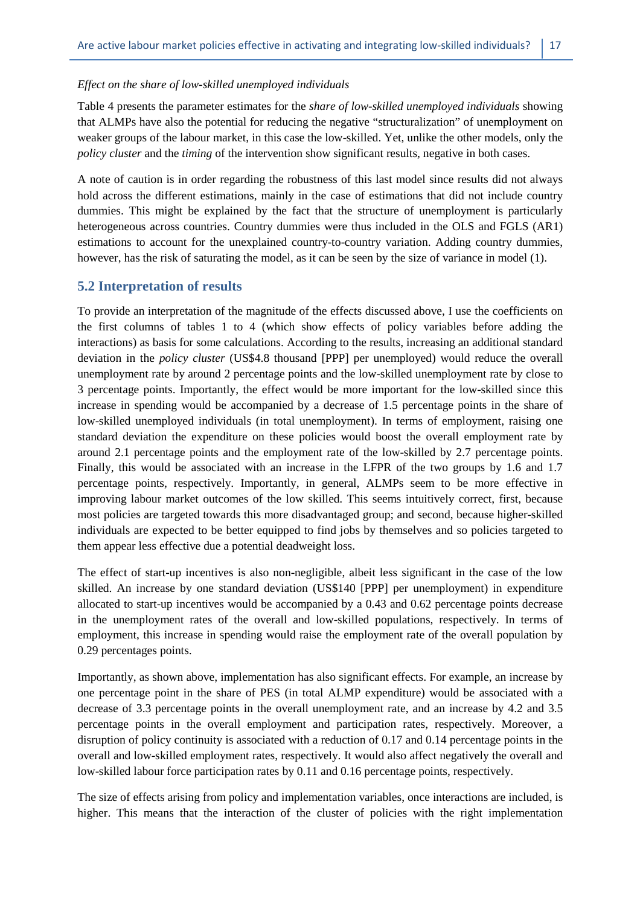#### *Effect on the share of low-skilled unemployed individuals*

Table 4 presents the parameter estimates for the *share of low-skilled unemployed individuals* showing that ALMPs have also the potential for reducing the negative "structuralization" of unemployment on weaker groups of the labour market, in this case the low-skilled. Yet, unlike the other models, only the *policy cluster* and the *timing* of the intervention show significant results, negative in both cases.

A note of caution is in order regarding the robustness of this last model since results did not always hold across the different estimations, mainly in the case of estimations that did not include country dummies. This might be explained by the fact that the structure of unemployment is particularly heterogeneous across countries. Country dummies were thus included in the OLS and FGLS (AR1) estimations to account for the unexplained country-to-country variation. Adding country dummies, however, has the risk of saturating the model, as it can be seen by the size of variance in model (1).

#### **5.2 Interpretation of results**

To provide an interpretation of the magnitude of the effects discussed above, I use the coefficients on the first columns of tables 1 to 4 (which show effects of policy variables before adding the interactions) as basis for some calculations. According to the results, increasing an additional standard deviation in the *policy cluster* (US\$4.8 thousand [PPP] per unemployed) would reduce the overall unemployment rate by around 2 percentage points and the low-skilled unemployment rate by close to 3 percentage points. Importantly, the effect would be more important for the low-skilled since this increase in spending would be accompanied by a decrease of 1.5 percentage points in the share of low-skilled unemployed individuals (in total unemployment). In terms of employment, raising one standard deviation the expenditure on these policies would boost the overall employment rate by around 2.1 percentage points and the employment rate of the low-skilled by 2.7 percentage points. Finally, this would be associated with an increase in the LFPR of the two groups by 1.6 and 1.7 percentage points, respectively. Importantly, in general, ALMPs seem to be more effective in improving labour market outcomes of the low skilled. This seems intuitively correct, first, because most policies are targeted towards this more disadvantaged group; and second, because higher-skilled individuals are expected to be better equipped to find jobs by themselves and so policies targeted to them appear less effective due a potential deadweight loss.

The effect of start-up incentives is also non-negligible, albeit less significant in the case of the low skilled. An increase by one standard deviation (US\$140 [PPP] per unemployment) in expenditure allocated to start-up incentives would be accompanied by a 0.43 and 0.62 percentage points decrease in the unemployment rates of the overall and low-skilled populations, respectively. In terms of employment, this increase in spending would raise the employment rate of the overall population by 0.29 percentages points.

Importantly, as shown above, implementation has also significant effects. For example, an increase by one percentage point in the share of PES (in total ALMP expenditure) would be associated with a decrease of 3.3 percentage points in the overall unemployment rate, and an increase by 4.2 and 3.5 percentage points in the overall employment and participation rates, respectively. Moreover, a disruption of policy continuity is associated with a reduction of 0.17 and 0.14 percentage points in the overall and low-skilled employment rates, respectively. It would also affect negatively the overall and low-skilled labour force participation rates by 0.11 and 0.16 percentage points, respectively.

The size of effects arising from policy and implementation variables, once interactions are included, is higher. This means that the interaction of the cluster of policies with the right implementation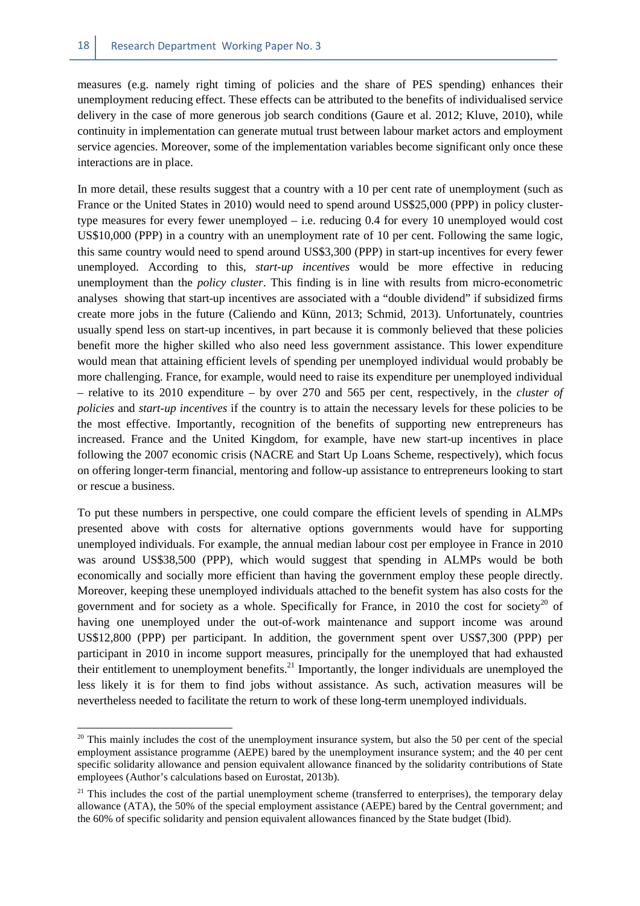measures (e.g. namely right timing of policies and the share of PES spending) enhances their unemployment reducing effect. These effects can be attributed to the benefits of individualised service delivery in the case of more generous job search conditions (Gaure et al. 2012; Kluve, 2010), while continuity in implementation can generate mutual trust between labour market actors and employment service agencies. Moreover, some of the implementation variables become significant only once these interactions are in place.

In more detail, these results suggest that a country with a 10 per cent rate of unemployment (such as France or the United States in 2010) would need to spend around US\$25,000 (PPP) in policy clustertype measures for every fewer unemployed – i.e. reducing 0.4 for every 10 unemployed would cost US\$10,000 (PPP) in a country with an unemployment rate of 10 per cent. Following the same logic, this same country would need to spend around US\$3,300 (PPP) in start-up incentives for every fewer unemployed. According to this, *start-up incentives* would be more effective in reducing unemployment than the *policy cluster*. This finding is in line with results from micro-econometric analyses showing that start-up incentives are associated with a "double dividend" if subsidized firms create more jobs in the future (Caliendo and Künn, 2013; Schmid, 2013). Unfortunately, countries usually spend less on start-up incentives, in part because it is commonly believed that these policies benefit more the higher skilled who also need less government assistance. This lower expenditure would mean that attaining efficient levels of spending per unemployed individual would probably be more challenging. France, for example, would need to raise its expenditure per unemployed individual – relative to its 2010 expenditure – by over 270 and 565 per cent, respectively, in the *cluster of policies* and *start-up incentives* if the country is to attain the necessary levels for these policies to be the most effective. Importantly, recognition of the benefits of supporting new entrepreneurs has increased. France and the United Kingdom, for example, have new start-up incentives in place following the 2007 economic crisis (NACRE and Start Up Loans Scheme, respectively), which focus on offering longer-term financial, mentoring and follow-up assistance to entrepreneurs looking to start or rescue a business.

To put these numbers in perspective, one could compare the efficient levels of spending in ALMPs presented above with costs for alternative options governments would have for supporting unemployed individuals. For example, the annual median labour cost per employee in France in 2010 was around US\$38,500 (PPP), which would suggest that spending in ALMPs would be both economically and socially more efficient than having the government employ these people directly. Moreover, keeping these unemployed individuals attached to the benefit system has also costs for the government and for society as a whole. Specifically for France, in 2010 the cost for society<sup>20</sup> of having one unemployed under the out-of-work maintenance and support income was around US\$12,800 (PPP) per participant. In addition, the government spent over US\$7,300 (PPP) per participant in 2010 in income support measures, principally for the unemployed that had exhausted their entitlement to unemployment benefits.<sup>21</sup> Importantly, the longer individuals are unemployed the less likely it is for them to find jobs without assistance. As such, activation measures will be nevertheless needed to facilitate the return to work of these long-term unemployed individuals.

<sup>&</sup>lt;sup>20</sup> This mainly includes the cost of the unemployment insurance system, but also the 50 per cent of the special employment assistance programme (AEPE) bared by the unemployment insurance system; and the 40 per cent specific solidarity allowance and pension equivalent allowance financed by the solidarity contributions of State employees (Author's calculations based on Eurostat, 2013b).

 $21$  This includes the cost of the partial unemployment scheme (transferred to enterprises), the temporary delay allowance (ATA), the 50% of the special employment assistance (AEPE) bared by the Central government; and the 60% of specific solidarity and pension equivalent allowances financed by the State budget (Ibid).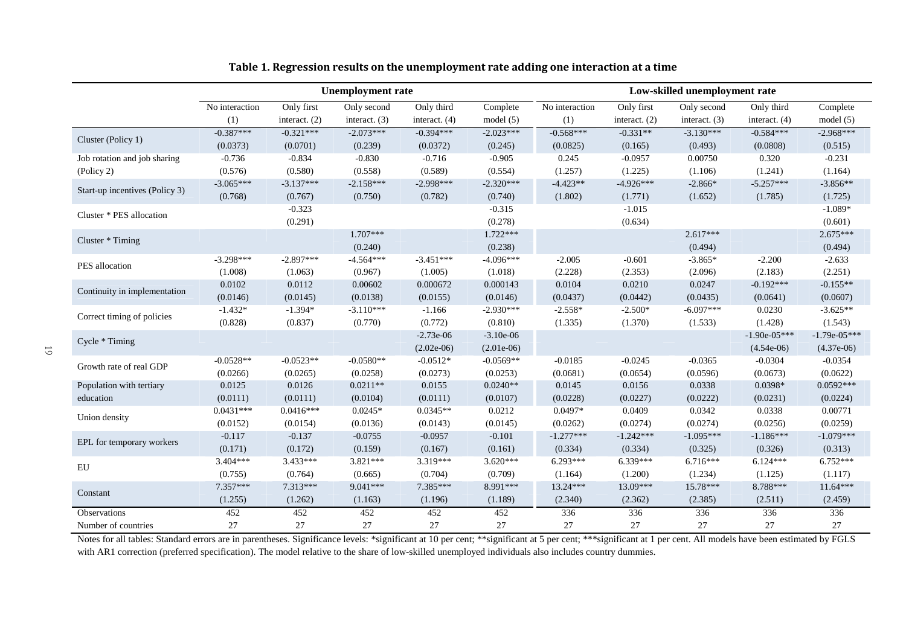|                                | <b>Unemployment rate</b> |                 |                 |                 | Low-skilled unemployment rate |                |                 |                 |                 |                |
|--------------------------------|--------------------------|-----------------|-----------------|-----------------|-------------------------------|----------------|-----------------|-----------------|-----------------|----------------|
|                                | No interaction           | Only first      | Only second     | Only third      | Complete                      | No interaction | Only first      | Only second     | Only third      | Complete       |
|                                | (1)                      | interact. $(2)$ | interact. $(3)$ | interact. $(4)$ | model $(5)$                   | (1)            | interact. $(2)$ | interact. $(3)$ | interact. $(4)$ | model (5)      |
| Cluster (Policy 1)             | $-0.387***$              | $-0.321***$     | $-2.073***$     | $-0.394***$     | $-2.023***$                   | $-0.568***$    | $-0.331**$      | $-3.130***$     | $-0.584***$     | $-2.968***$    |
|                                | (0.0373)                 | (0.0701)        | (0.239)         | (0.0372)        | (0.245)                       | (0.0825)       | (0.165)         | (0.493)         | (0.0808)        | (0.515)        |
| Job rotation and job sharing   | $-0.736$                 | $-0.834$        | $-0.830$        | $-0.716$        | $-0.905$                      | 0.245          | $-0.0957$       | 0.00750         | 0.320           | $-0.231$       |
| (Policy 2)                     | (0.576)                  | (0.580)         | (0.558)         | (0.589)         | (0.554)                       | (1.257)        | (1.225)         | (1.106)         | (1.241)         | (1.164)        |
| Start-up incentives (Policy 3) | $-3.065***$              | $-3.137***$     | $-2.158***$     | $-2.998***$     | $-2.320***$                   | $-4.423**$     | $-4.926***$     | $-2.866*$       | $-5.257***$     | $-3.856**$     |
|                                | (0.768)                  | (0.767)         | (0.750)         | (0.782)         | (0.740)                       | (1.802)        | (1.771)         | (1.652)         | (1.785)         | (1.725)        |
| Cluster * PES allocation       |                          | $-0.323$        |                 |                 | $-0.315$                      |                | $-1.015$        |                 |                 | $-1.089*$      |
|                                |                          | (0.291)         |                 |                 | (0.278)                       |                | (0.634)         |                 |                 | (0.601)        |
| Cluster * Timing               |                          |                 | $1.707***$      |                 | $1.722***$                    |                |                 | $2.617***$      |                 | $2.675***$     |
|                                |                          |                 | (0.240)         |                 | (0.238)                       |                |                 | (0.494)         |                 | (0.494)        |
| PES allocation                 | $-3.298***$              | $-2.897***$     | $-4.564***$     | $-3.451***$     | $-4.096***$                   | $-2.005$       | $-0.601$        | $-3.865*$       | $-2.200$        | $-2.633$       |
|                                | (1.008)                  | (1.063)         | (0.967)         | (1.005)         | (1.018)                       | (2.228)        | (2.353)         | (2.096)         | (2.183)         | (2.251)        |
| Continuity in implementation   | 0.0102                   | 0.0112          | 0.00602         | 0.000672        | 0.000143                      | 0.0104         | 0.0210          | 0.0247          | $-0.192***$     | $-0.155**$     |
|                                | (0.0146)                 | (0.0145)        | (0.0138)        | (0.0155)        | (0.0146)                      | (0.0437)       | (0.0442)        | (0.0435)        | (0.0641)        | (0.0607)       |
| Correct timing of policies     | $-1.432*$                | $-1.394*$       | $-3.110***$     | $-1.166$        | $-2.930***$                   | $-2.558*$      | $-2.500*$       | $-6.097***$     | 0.0230          | $-3.625**$     |
|                                | (0.828)                  | (0.837)         | (0.770)         | (0.772)         | (0.810)                       | (1.335)        | (1.370)         | (1.533)         | (1.428)         | (1.543)        |
| Cycle * Timing                 |                          |                 |                 | $-2.73e-06$     | $-3.10e-06$                   |                |                 |                 | $-1.90e-05***$  | $-1.79e-05***$ |
|                                |                          |                 |                 | $(2.02e-06)$    | $(2.01e-06)$                  |                |                 |                 | $(4.54e-06)$    | $(4.37e-06)$   |
| Growth rate of real GDP        | $-0.0528**$              | $-0.0523**$     | $-0.0580**$     | $-0.0512*$      | $-0.0569**$                   | $-0.0185$      | $-0.0245$       | $-0.0365$       | $-0.0304$       | $-0.0354$      |
|                                | (0.0266)                 | (0.0265)        | (0.0258)        | (0.0273)        | (0.0253)                      | (0.0681)       | (0.0654)        | (0.0596)        | (0.0673)        | (0.0622)       |
| Population with tertiary       | 0.0125                   | 0.0126          | $0.0211**$      | 0.0155          | $0.0240**$                    | 0.0145         | 0.0156          | 0.0338          | 0.0398*         | $0.0592***$    |
| education                      | (0.0111)                 | (0.0111)        | (0.0104)        | (0.0111)        | (0.0107)                      | (0.0228)       | (0.0227)        | (0.0222)        | (0.0231)        | (0.0224)       |
| Union density                  | $0.0431***$              | $0.0416***$     | $0.0245*$       | $0.0345**$      | 0.0212                        | $0.0497*$      | 0.0409          | 0.0342          | 0.0338          | 0.00771        |
|                                | (0.0152)                 | (0.0154)        | (0.0136)        | (0.0143)        | (0.0145)                      | (0.0262)       | (0.0274)        | (0.0274)        | (0.0256)        | (0.0259)       |
| EPL for temporary workers      | $-0.117$                 | $-0.137$        | $-0.0755$       | $-0.0957$       | $-0.101$                      | $-1.277***$    | $-1.242***$     | $-1.095***$     | $-1.186***$     | $-1.079***$    |
|                                | (0.171)                  | (0.172)         | (0.159)         | (0.167)         | (0.161)                       | (0.334)        | (0.334)         | (0.325)         | (0.326)         | (0.313)        |
| EU                             | 3.404***                 | $3.433***$      | $3.821***$      | 3.319***        | $3.620***$                    | $6.293***$     | $6.339***$      | $6.716***$      | $6.124***$      | $6.752***$     |
|                                | (0.755)                  | (0.764)         | (0.665)         | (0.704)         | (0.709)                       | (1.164)        | (1.200)         | (1.234)         | (1.125)         | (1.117)        |
| Constant                       | $7.357***$               | 7.313***        | $9.041***$      | 7.385***        | 8.991***                      | 13.24***       | 13.09***        | 15.78***        | 8.788***        | $11.64***$     |
|                                | (1.255)                  | (1.262)         | (1.163)         | (1.196)         | (1.189)                       | (2.340)        | (2.362)         | (2.385)         | (2.511)         | (2.459)        |
| Observations                   | 452                      | 452             | 452             | 452             | 452                           | 336            | 336             | 336             | 336             | 336            |
| Number of countries            | 27                       | 27              | 27              | 27              | 27                            | 27             | 27              | 27              | 27              | 27             |

#### **Table 1. Regression results on the unemployment rate adding one interaction at a time**

Notes for all tables: Standard errors are in parentheses. Significance levels: \*significant at 10 per cent; \*\*\*significant at 5 per cent; \*\*\*significant at 1 per cent. All models have been estimated by FGLS with AR1 correction (preferred specification). The model relative to the share of low-skilled unemployed individuals also includes country dummies.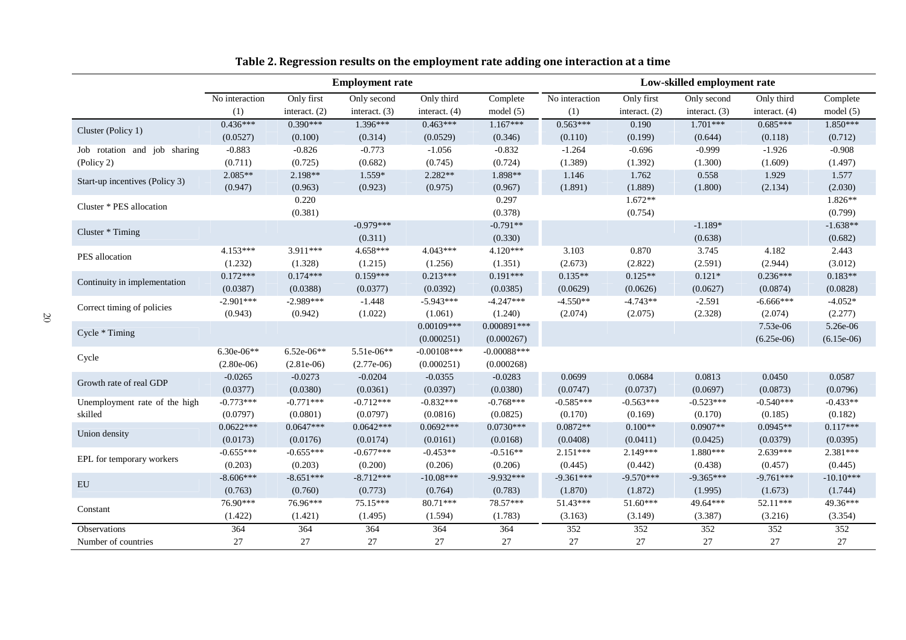|                                | <b>Employment rate</b> |                 |                 |                 |               |                | Low-skilled employment rate |               |                 |              |
|--------------------------------|------------------------|-----------------|-----------------|-----------------|---------------|----------------|-----------------------------|---------------|-----------------|--------------|
|                                | No interaction         | Only first      | Only second     | Only third      | Complete      | No interaction | Only first                  | Only second   | Only third      | Complete     |
|                                | (1)                    | interact. $(2)$ | interact. $(3)$ | interact. $(4)$ | model $(5)$   | (1)            | interact. (2)               | interact. (3) | interact. $(4)$ | model(5)     |
| Cluster (Policy 1)             | $0.436***$             | $0.390***$      | 1.396***        | $0.463***$      | $1.167***$    | $0.563***$     | 0.190                       | $1.701***$    | $0.685***$      | $1.850***$   |
|                                | (0.0527)               | (0.100)         | (0.314)         | (0.0529)        | (0.346)       | (0.110)        | (0.199)                     | (0.644)       | (0.118)         | (0.712)      |
| Job rotation and job sharing   | $-0.883$               | $-0.826$        | $-0.773$        | $-1.056$        | $-0.832$      | $-1.264$       | $-0.696$                    | $-0.999$      | $-1.926$        | $-0.908$     |
| (Policy 2)                     | (0.711)                | (0.725)         | (0.682)         | (0.745)         | (0.724)       | (1.389)        | (1.392)                     | (1.300)       | (1.609)         | (1.497)      |
| Start-up incentives (Policy 3) | $2.085**$              | 2.198**         | 1.559*          | 2.282**         | 1.898**       | 1.146          | 1.762                       | 0.558         | 1.929           | 1.577        |
|                                | (0.947)                | (0.963)         | (0.923)         | (0.975)         | (0.967)       | (1.891)        | (1.889)                     | (1.800)       | (2.134)         | (2.030)      |
| Cluster * PES allocation       |                        | 0.220           |                 |                 | 0.297         |                | $1.672**$                   |               |                 | $1.826**$    |
|                                |                        | (0.381)         |                 |                 | (0.378)       |                | (0.754)                     |               |                 | (0.799)      |
|                                |                        |                 | $-0.979***$     |                 | $-0.791**$    |                |                             | $-1.189*$     |                 | $-1.638**$   |
| Cluster * Timing               |                        |                 | (0.311)         |                 | (0.330)       |                |                             | (0.638)       |                 | (0.682)      |
|                                | $4.153***$             | 3.911***        | $4.658***$      | $4.043***$      | 4.120***      | 3.103          | 0.870                       | 3.745         | 4.182           | 2.443        |
| PES allocation                 | (1.232)                | (1.328)         | (1.215)         | (1.256)         | (1.351)       | (2.673)        | (2.822)                     | (2.591)       | (2.944)         | (3.012)      |
|                                | $0.172***$             | $0.174***$      | $0.159***$      | $0.213***$      | $0.191***$    | $0.135**$      | $0.125**$                   | $0.121*$      | $0.236***$      | $0.183**$    |
| Continuity in implementation   | (0.0387)               | (0.0388)        | (0.0377)        | (0.0392)        | (0.0385)      | (0.0629)       | (0.0626)                    | (0.0627)      | (0.0874)        | (0.0828)     |
|                                | $-2.901***$            | $-2.989***$     | $-1.448$        | $-5.943***$     | $-4.247***$   | $-4.550**$     | $-4.743**$                  | $-2.591$      | $-6.666***$     | $-4.052*$    |
| Correct timing of policies     | (0.943)                | (0.942)         | (1.022)         | (1.061)         | (1.240)       | (2.074)        | (2.075)                     | (2.328)       | (2.074)         | (2.277)      |
|                                |                        |                 |                 | $0.00109***$    | $0.000891***$ |                |                             |               | 7.53e-06        | 5.26e-06     |
| Cycle * Timing                 |                        |                 |                 | (0.000251)      | (0.000267)    |                |                             |               | $(6.25e-06)$    | $(6.15e-06)$ |
|                                | $6.30e-06**$           | $6.52e-06**$    | 5.51e-06**      | $-0.00108$ ***  | $-0.00088***$ |                |                             |               |                 |              |
| Cycle                          | $(2.80e-06)$           | $(2.81e-06)$    | $(2.77e-06)$    | (0.000251)      | (0.000268)    |                |                             |               |                 |              |
| Growth rate of real GDP        | $-0.0265$              | $-0.0273$       | $-0.0204$       | $-0.0355$       | $-0.0283$     | 0.0699         | 0.0684                      | 0.0813        | 0.0450          | 0.0587       |
|                                | (0.0377)               | (0.0380)        | (0.0361)        | (0.0397)        | (0.0380)      | (0.0747)       | (0.0737)                    | (0.0697)      | (0.0873)        | (0.0796)     |
| Unemployment rate of the high  | $-0.773***$            | $-0.771***$     | $-0.712***$     | $-0.832***$     | $-0.768***$   | $-0.585***$    | $-0.563***$                 | $-0.523***$   | $-0.540***$     | $-0.433**$   |
| skilled                        | (0.0797)               | (0.0801)        | (0.0797)        | (0.0816)        | (0.0825)      | (0.170)        | (0.169)                     | (0.170)       | (0.185)         | (0.182)      |
|                                | $0.0622***$            | $0.0647***$     | $0.0642***$     | $0.0692***$     | $0.0730***$   | $0.0872**$     | $0.100**$                   | $0.0907**$    | $0.0945**$      | $0.117***$   |
| Union density                  | (0.0173)               | (0.0176)        | (0.0174)        | (0.0161)        | (0.0168)      | (0.0408)       | (0.0411)                    | (0.0425)      | (0.0379)        | (0.0395)     |
|                                | $-0.655***$            | $-0.655***$     | $-0.677***$     | $-0.453**$      | $-0.516**$    | $2.151***$     | $2.149***$                  | 1.880***      | $2.639***$      | 2.381***     |
| EPL for temporary workers      | (0.203)                | (0.203)         | (0.200)         | (0.206)         | (0.206)       | (0.445)        | (0.442)                     | (0.438)       | (0.457)         | (0.445)      |
|                                | $-8.606***$            | $-8.651***$     | $-8.712***$     | $-10.08***$     | $-9.932***$   | $-9.361***$    | $-9.570***$                 | $-9.365***$   | $-9.761***$     | $-10.10***$  |
| EU                             | (0.763)                | (0.760)         | (0.773)         | (0.764)         | (0.783)       | (1.870)        | (1.872)                     | (1.995)       | (1.673)         | (1.744)      |
|                                | 76.90***               | 76.96***        | 75.15***        | 80.71***        | 78.57***      | 51.43***       | 51.60***                    | 49.64***      | 52.11***        | 49.36***     |
| Constant                       | (1.422)                | (1.421)         | (1.495)         | (1.594)         | (1.783)       | (3.163)        | (3.149)                     | (3.387)       | (3.216)         | (3.354)      |
| Observations                   | 364                    | 364             | 364             | 364             | 364           | 352            | 352                         | 352           | 352             | 352          |
| Number of countries            | 27                     | 27              | 27              | 27              | 27            | 27             | 27                          | 27            | 27              | 27           |

#### **Table 2. Regression results on the employment rate adding one interaction at a time**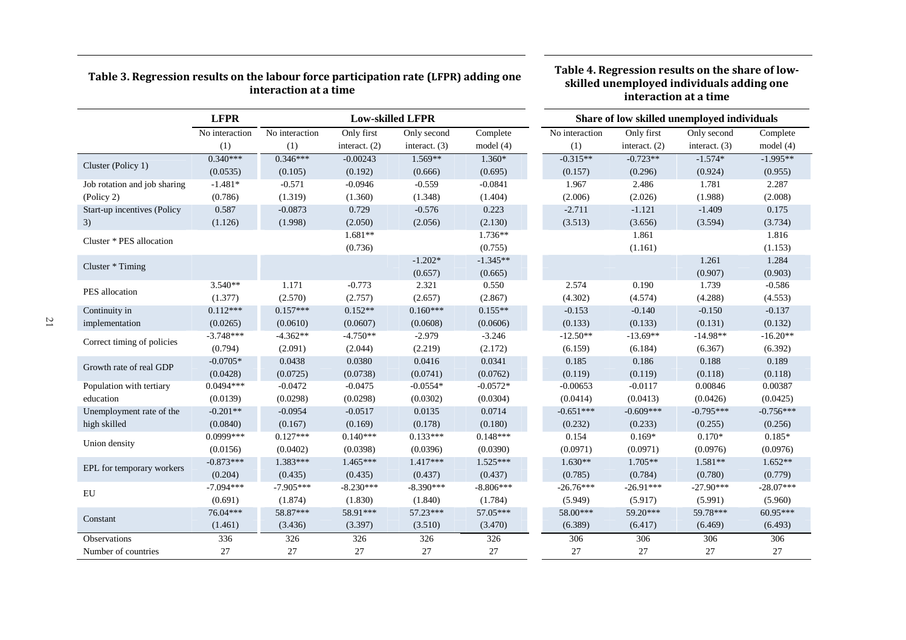| interaction at a time        |                |                |                                                                        |                 |             |                | skilled unemployed individuals adding one<br>interaction at a time |                 |             |  |  |
|------------------------------|----------------|----------------|------------------------------------------------------------------------|-----------------|-------------|----------------|--------------------------------------------------------------------|-----------------|-------------|--|--|
|                              | <b>LFPR</b>    |                | <b>Low-skilled LFPR</b><br>Share of low skilled unemployed individuals |                 |             |                |                                                                    |                 |             |  |  |
|                              | No interaction | No interaction | Only first                                                             | Only second     | Complete    | No interaction | Only first                                                         | Only second     | Complete    |  |  |
|                              | (1)            | (1)            | interact. $(2)$                                                        | interact. $(3)$ | model $(4)$ | (1)            | interact. $(2)$                                                    | interact. $(3)$ | model(4)    |  |  |
| Cluster (Policy 1)           | $0.340***$     | $0.346***$     | $-0.00243$                                                             | $1.569**$       | $1.360*$    | $-0.315**$     | $-0.723**$                                                         | $-1.574*$       | $-1.995**$  |  |  |
|                              | (0.0535)       | (0.105)        | (0.192)                                                                | (0.666)         | (0.695)     | (0.157)        | (0.296)                                                            | (0.924)         | (0.955)     |  |  |
| Job rotation and job sharing | $-1.481*$      | $-0.571$       | $-0.0946$                                                              | $-0.559$        | $-0.0841$   | 1.967          | 2.486                                                              | 1.781           | 2.287       |  |  |
| (Policy 2)                   | (0.786)        | (1.319)        | (1.360)                                                                | (1.348)         | (1.404)     | (2.006)        | (2.026)                                                            | (1.988)         | (2.008)     |  |  |
| Start-up incentives (Policy  | 0.587          | $-0.0873$      | 0.729                                                                  | $-0.576$        | 0.223       | $-2.711$       | $-1.121$                                                           | $-1.409$        | 0.175       |  |  |
| 3)                           | (1.126)        | (1.998)        | (2.050)                                                                | (2.056)         | (2.130)     | (3.513)        | (3.656)                                                            | (3.594)         | (3.734)     |  |  |
|                              |                |                | $1.681**$                                                              |                 | $1.736**$   |                | 1.861                                                              |                 | 1.816       |  |  |
| Cluster * PES allocation     |                |                | (0.736)                                                                |                 | (0.755)     |                | (1.161)                                                            |                 | (1.153)     |  |  |
|                              |                |                |                                                                        | $-1.202*$       | $-1.345**$  |                |                                                                    | 1.261           | 1.284       |  |  |
| Cluster * Timing             |                |                |                                                                        | (0.657)         | (0.665)     |                |                                                                    | (0.907)         | (0.903)     |  |  |
|                              | $3.540**$      | 1.171          | $-0.773$                                                               | 2.321           | 0.550       | 2.574          | 0.190                                                              | 1.739           | $-0.586$    |  |  |
| PES allocation               | (1.377)        | (2.570)        | (2.757)                                                                | (2.657)         | (2.867)     | (4.302)        | (4.574)                                                            | (4.288)         | (4.553)     |  |  |
| Continuity in                | $0.112***$     | $0.157***$     | $0.152**$                                                              | $0.160***$      | $0.155**$   | $-0.153$       | $-0.140$                                                           | $-0.150$        | $-0.137$    |  |  |
| implementation               | (0.0265)       | (0.0610)       | (0.0607)                                                               | (0.0608)        | (0.0606)    | (0.133)        | (0.133)                                                            | (0.131)         | (0.132)     |  |  |
|                              | $-3.748***$    | $-4.362**$     | $-4.750**$                                                             | $-2.979$        | $-3.246$    | $-12.50**$     | $-13.69**$                                                         | $-14.98**$      | $-16.20**$  |  |  |
| Correct timing of policies   | (0.794)        | (2.091)        | (2.044)                                                                | (2.219)         | (2.172)     | (6.159)        | (6.184)                                                            | (6.367)         | (6.392)     |  |  |
|                              | $-0.0705*$     | 0.0438         | 0.0380                                                                 | 0.0416          | 0.0341      | 0.185          | 0.186                                                              | 0.188           | 0.189       |  |  |
| Growth rate of real GDP      | (0.0428)       | (0.0725)       | (0.0738)                                                               | (0.0741)        | (0.0762)    | (0.119)        | (0.119)                                                            | (0.118)         | (0.118)     |  |  |
| Population with tertiary     | $0.0494***$    | $-0.0472$      | $-0.0475$                                                              | $-0.0554*$      | $-0.0572*$  | $-0.00653$     | $-0.0117$                                                          | 0.00846         | 0.00387     |  |  |
| education                    | (0.0139)       | (0.0298)       | (0.0298)                                                               | (0.0302)        | (0.0304)    | (0.0414)       | (0.0413)                                                           | (0.0426)        | (0.0425)    |  |  |
| Unemployment rate of the     | $-0.201**$     | $-0.0954$      | $-0.0517$                                                              | 0.0135          | 0.0714      | $-0.651***$    | $-0.609***$                                                        | $-0.795***$     | $-0.756***$ |  |  |
| high skilled                 | (0.0840)       | (0.167)        | (0.169)                                                                | (0.178)         | (0.180)     | (0.232)        | (0.233)                                                            | (0.255)         | (0.256)     |  |  |
|                              | 0.0999***      | $0.127***$     | $0.140***$                                                             | $0.133***$      | $0.148***$  | 0.154          | $0.169*$                                                           | $0.170*$        | $0.185*$    |  |  |
| Union density                | (0.0156)       | (0.0402)       | (0.0398)                                                               | (0.0396)        | (0.0390)    | (0.0971)       | (0.0971)                                                           | (0.0976)        | (0.0976)    |  |  |
|                              | $-0.873***$    | 1.383***       | $1.465***$                                                             | $1.417***$      | 1.525***    | $1.630**$      | $1.705**$                                                          | 1.581**         | $1.652**$   |  |  |
| EPL for temporary workers    | (0.204)        | (0.435)        | (0.435)                                                                | (0.437)         | (0.437)     | (0.785)        | (0.784)                                                            | (0.780)         | (0.779)     |  |  |
|                              | $-7.094***$    | $-7.905***$    | $-8.230***$                                                            | $-8.390***$     | $-8.806***$ | $-26.76***$    | $-26.91***$                                                        | $-27.90***$     | $-28.07***$ |  |  |
| ${\rm EU}$                   | (0.691)        | (1.874)        | (1.830)                                                                | (1.840)         | (1.784)     | (5.949)        | (5.917)                                                            | (5.991)         | (5.960)     |  |  |
|                              | 76.04***       | 58.87***       | 58.91***                                                               | 57.23***        | 57.05***    | 58.00***       | 59.20***                                                           | 59.78***        | 60.95***    |  |  |
| Constant                     | (1.461)        | (3.436)        | (3.397)                                                                | (3.510)         | (3.470)     | (6.389)        | (6.417)                                                            | (6.469)         | (6.493)     |  |  |
| Observations                 | 336            | 326            | 326                                                                    | 326             | 326         | 306            | 306                                                                | 306             | 306         |  |  |
| Number of countries          | 27             | 27             | $27\,$                                                                 | 27              | $27\,$      | 27             | 27                                                                 | 27              | 27          |  |  |

**Table 4. Regression results on the share of low-**

# **Table 3. Regression results on the labour force participation rate (LFPR) adding one**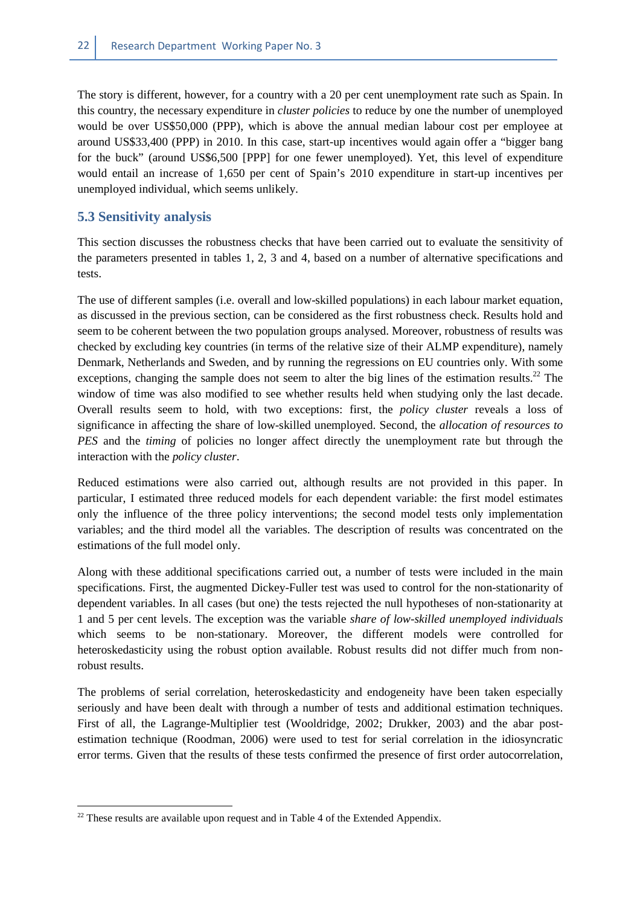The story is different, however, for a country with a 20 per cent unemployment rate such as Spain. In this country, the necessary expenditure in *cluster policies* to reduce by one the number of unemployed would be over US\$50,000 (PPP), which is above the annual median labour cost per employee at around US\$33,400 (PPP) in 2010. In this case, start-up incentives would again offer a "bigger bang for the buck" (around US\$6,500 [PPP] for one fewer unemployed). Yet, this level of expenditure would entail an increase of 1,650 per cent of Spain's 2010 expenditure in start-up incentives per unemployed individual, which seems unlikely.

## **5.3 Sensitivity analysis**

This section discusses the robustness checks that have been carried out to evaluate the sensitivity of the parameters presented in tables 1, 2, 3 and 4, based on a number of alternative specifications and tests.

The use of different samples (i.e. overall and low-skilled populations) in each labour market equation, as discussed in the previous section, can be considered as the first robustness check. Results hold and seem to be coherent between the two population groups analysed. Moreover, robustness of results was checked by excluding key countries (in terms of the relative size of their ALMP expenditure), namely Denmark, Netherlands and Sweden, and by running the regressions on EU countries only. With some exceptions, changing the sample does not seem to alter the big lines of the estimation results.<sup>22</sup> The window of time was also modified to see whether results held when studying only the last decade. Overall results seem to hold, with two exceptions: first, the *policy cluster* reveals a loss of significance in affecting the share of low-skilled unemployed. Second, the *allocation of resources to PES* and the *timing* of policies no longer affect directly the unemployment rate but through the interaction with the *policy cluster*.

Reduced estimations were also carried out, although results are not provided in this paper. In particular, I estimated three reduced models for each dependent variable: the first model estimates only the influence of the three policy interventions; the second model tests only implementation variables; and the third model all the variables. The description of results was concentrated on the estimations of the full model only.

Along with these additional specifications carried out, a number of tests were included in the main specifications. First, the augmented Dickey-Fuller test was used to control for the non-stationarity of dependent variables. In all cases (but one) the tests rejected the null hypotheses of non-stationarity at 1 and 5 per cent levels. The exception was the variable *share of low-skilled unemployed individuals* which seems to be non-stationary. Moreover, the different models were controlled for heteroskedasticity using the robust option available. Robust results did not differ much from nonrobust results.

The problems of serial correlation, heteroskedasticity and endogeneity have been taken especially seriously and have been dealt with through a number of tests and additional estimation techniques. First of all, the Lagrange-Multiplier test (Wooldridge, 2002; Drukker, 2003) and the abar postestimation technique (Roodman, 2006) were used to test for serial correlation in the idiosyncratic error terms. Given that the results of these tests confirmed the presence of first order autocorrelation,

 $22$  These results are available upon request and in Table 4 of the Extended Appendix.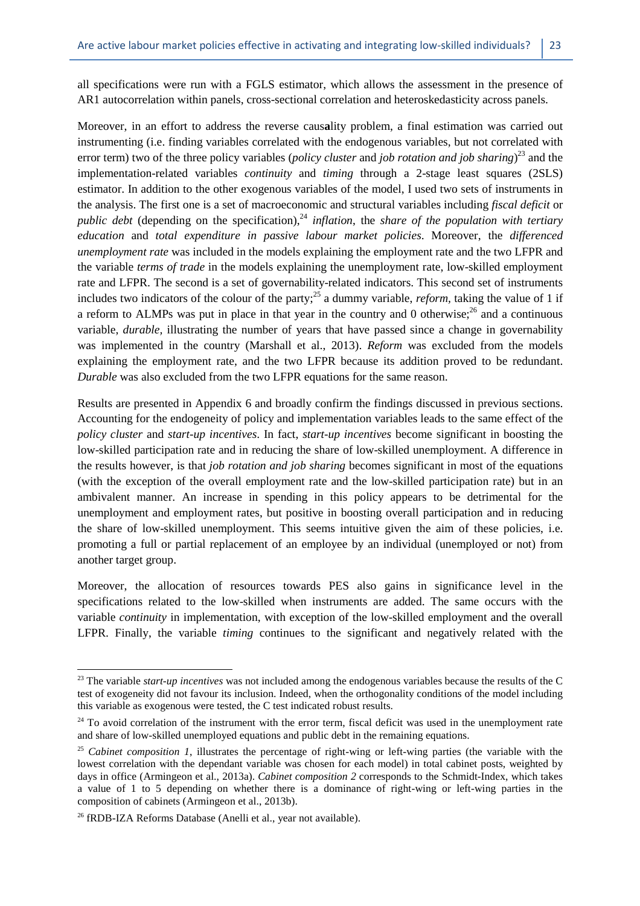all specifications were run with a FGLS estimator, which allows the assessment in the presence of AR1 autocorrelation within panels, cross-sectional correlation and heteroskedasticity across panels.

Moreover, in an effort to address the reverse caus**a**lity problem, a final estimation was carried out instrumenting (i.e. finding variables correlated with the endogenous variables, but not correlated with error term) two of the three policy variables (*policy cluster* and *job rotation and job sharing*) <sup>23</sup> and the implementation-related variables *continuity* and *timing* through a 2-stage least squares (2SLS) estimator. In addition to the other exogenous variables of the model, I used two sets of instruments in the analysis. The first one is a set of macroeconomic and structural variables including *fiscal deficit* or *public debt* (depending on the specification),<sup>24</sup> *inflation*, the *share of the population with tertiary education* and *total expenditure in passive labour market policies*. Moreover, the *differenced unemployment rate* was included in the models explaining the employment rate and the two LFPR and the variable *terms of trade* in the models explaining the unemployment rate, low-skilled employment rate and LFPR. The second is a set of governability-related indicators. This second set of instruments includes two indicators of the colour of the party;<sup>25</sup> a dummy variable, *reform*, taking the value of 1 if a reform to ALMPs was put in place in that year in the country and 0 otherwise; $^{26}$  and a continuous variable, *durable,* illustrating the number of years that have passed since a change in governability was implemented in the country (Marshall et al., 2013). *Reform* was excluded from the models explaining the employment rate, and the two LFPR because its addition proved to be redundant. *Durable* was also excluded from the two LFPR equations for the same reason.

Results are presented in Appendix 6 and broadly confirm the findings discussed in previous sections. Accounting for the endogeneity of policy and implementation variables leads to the same effect of the *policy cluster* and *start-up incentives*. In fact, *start-up incentives* become significant in boosting the low-skilled participation rate and in reducing the share of low-skilled unemployment. A difference in the results however, is that *job rotation and job sharing* becomes significant in most of the equations (with the exception of the overall employment rate and the low-skilled participation rate) but in an ambivalent manner. An increase in spending in this policy appears to be detrimental for the unemployment and employment rates, but positive in boosting overall participation and in reducing the share of low-skilled unemployment. This seems intuitive given the aim of these policies, i.e. promoting a full or partial replacement of an employee by an individual (unemployed or not) from another target group.

Moreover, the allocation of resources towards PES also gains in significance level in the specifications related to the low-skilled when instruments are added. The same occurs with the variable *continuity* in implementation, with exception of the low-skilled employment and the overall LFPR. Finally, the variable *timing* continues to the significant and negatively related with the

l

<sup>&</sup>lt;sup>23</sup> The variable *start-up incentives* was not included among the endogenous variables because the results of the C test of exogeneity did not favour its inclusion. Indeed, when the orthogonality conditions of the model including this variable as exogenous were tested, the C test indicated robust results.

<sup>&</sup>lt;sup>24</sup> To avoid correlation of the instrument with the error term, fiscal deficit was used in the unemployment rate and share of low-skilled unemployed equations and public debt in the remaining equations.

<sup>&</sup>lt;sup>25</sup> *Cabinet composition 1*, illustrates the percentage of right-wing or left-wing parties (the variable with the lowest correlation with the dependant variable was chosen for each model) in total cabinet posts, weighted by days in office (Armingeon et al., 2013a). *Cabinet composition 2* corresponds to the Schmidt-Index, which takes a value of 1 to 5 depending on whether there is a dominance of right-wing or left-wing parties in the composition of cabinets (Armingeon et al., 2013b).

<sup>&</sup>lt;sup>26</sup> fRDB-IZA Reforms Database (Anelli et al., year not available).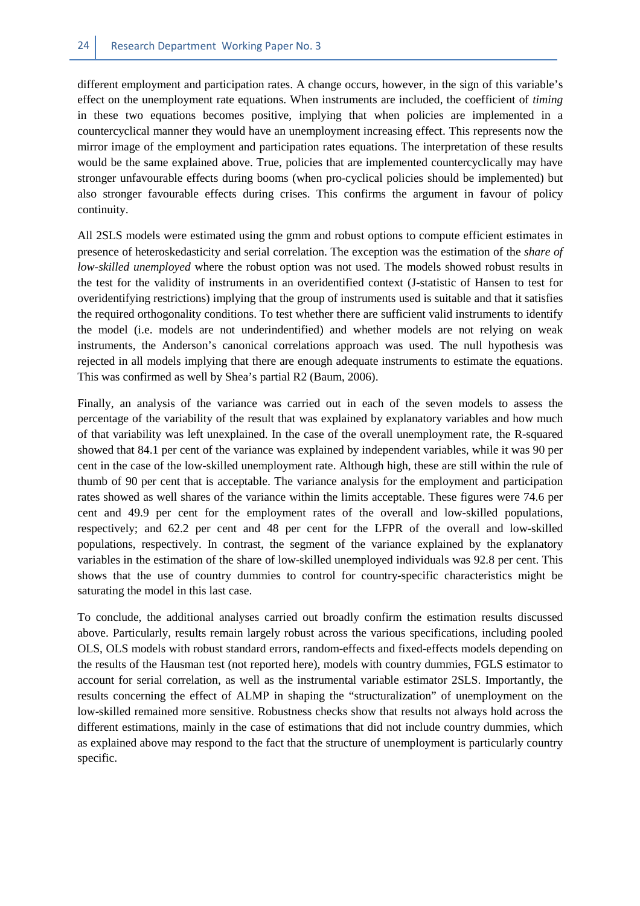different employment and participation rates. A change occurs, however, in the sign of this variable's effect on the unemployment rate equations. When instruments are included, the coefficient of *timing* in these two equations becomes positive, implying that when policies are implemented in a countercyclical manner they would have an unemployment increasing effect. This represents now the mirror image of the employment and participation rates equations. The interpretation of these results would be the same explained above. True, policies that are implemented countercyclically may have stronger unfavourable effects during booms (when pro-cyclical policies should be implemented) but also stronger favourable effects during crises. This confirms the argument in favour of policy continuity.

All 2SLS models were estimated using the gmm and robust options to compute efficient estimates in presence of heteroskedasticity and serial correlation. The exception was the estimation of the *share of low-skilled unemployed* where the robust option was not used. The models showed robust results in the test for the validity of instruments in an overidentified context (J-statistic of Hansen to test for overidentifying restrictions) implying that the group of instruments used is suitable and that it satisfies the required orthogonality conditions. To test whether there are sufficient valid instruments to identify the model (i.e. models are not underindentified) and whether models are not relying on weak instruments, the Anderson's canonical correlations approach was used. The null hypothesis was rejected in all models implying that there are enough adequate instruments to estimate the equations. This was confirmed as well by Shea's partial R2 (Baum, 2006).

Finally, an analysis of the variance was carried out in each of the seven models to assess the percentage of the variability of the result that was explained by explanatory variables and how much of that variability was left unexplained. In the case of the overall unemployment rate, the R-squared showed that 84.1 per cent of the variance was explained by independent variables, while it was 90 per cent in the case of the low-skilled unemployment rate. Although high, these are still within the rule of thumb of 90 per cent that is acceptable. The variance analysis for the employment and participation rates showed as well shares of the variance within the limits acceptable. These figures were 74.6 per cent and 49.9 per cent for the employment rates of the overall and low-skilled populations, respectively; and 62.2 per cent and 48 per cent for the LFPR of the overall and low-skilled populations, respectively. In contrast, the segment of the variance explained by the explanatory variables in the estimation of the share of low-skilled unemployed individuals was 92.8 per cent. This shows that the use of country dummies to control for country-specific characteristics might be saturating the model in this last case.

To conclude, the additional analyses carried out broadly confirm the estimation results discussed above. Particularly, results remain largely robust across the various specifications, including pooled OLS, OLS models with robust standard errors, random-effects and fixed-effects models depending on the results of the Hausman test (not reported here), models with country dummies, FGLS estimator to account for serial correlation, as well as the instrumental variable estimator 2SLS. Importantly, the results concerning the effect of ALMP in shaping the "structuralization" of unemployment on the low-skilled remained more sensitive. Robustness checks show that results not always hold across the different estimations, mainly in the case of estimations that did not include country dummies, which as explained above may respond to the fact that the structure of unemployment is particularly country specific.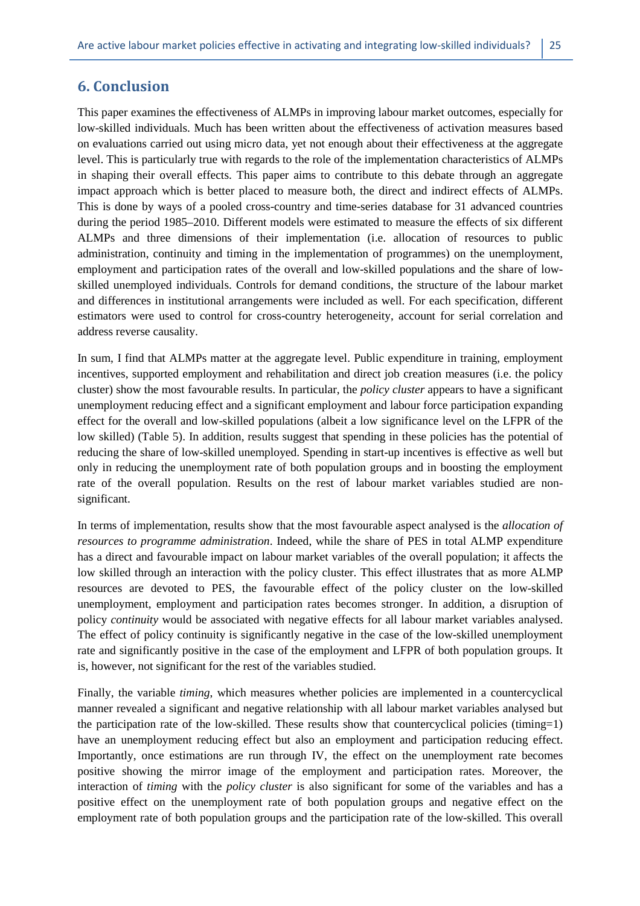# **6. Conclusion**

This paper examines the effectiveness of ALMPs in improving labour market outcomes, especially for low-skilled individuals. Much has been written about the effectiveness of activation measures based on evaluations carried out using micro data, yet not enough about their effectiveness at the aggregate level. This is particularly true with regards to the role of the implementation characteristics of ALMPs in shaping their overall effects. This paper aims to contribute to this debate through an aggregate impact approach which is better placed to measure both, the direct and indirect effects of ALMPs. This is done by ways of a pooled cross-country and time-series database for 31 advanced countries during the period 1985–2010. Different models were estimated to measure the effects of six different ALMPs and three dimensions of their implementation (i.e. allocation of resources to public administration, continuity and timing in the implementation of programmes) on the unemployment, employment and participation rates of the overall and low-skilled populations and the share of lowskilled unemployed individuals. Controls for demand conditions, the structure of the labour market and differences in institutional arrangements were included as well. For each specification, different estimators were used to control for cross-country heterogeneity, account for serial correlation and address reverse causality.

In sum, I find that ALMPs matter at the aggregate level. Public expenditure in training, employment incentives, supported employment and rehabilitation and direct job creation measures (i.e. the policy cluster) show the most favourable results. In particular, the *policy cluster* appears to have a significant unemployment reducing effect and a significant employment and labour force participation expanding effect for the overall and low-skilled populations (albeit a low significance level on the LFPR of the low skilled) (Table 5). In addition, results suggest that spending in these policies has the potential of reducing the share of low-skilled unemployed. Spending in start-up incentives is effective as well but only in reducing the unemployment rate of both population groups and in boosting the employment rate of the overall population. Results on the rest of labour market variables studied are nonsignificant.

In terms of implementation, results show that the most favourable aspect analysed is the *allocation of resources to programme administration*. Indeed, while the share of PES in total ALMP expenditure has a direct and favourable impact on labour market variables of the overall population; it affects the low skilled through an interaction with the policy cluster. This effect illustrates that as more ALMP resources are devoted to PES, the favourable effect of the policy cluster on the low-skilled unemployment, employment and participation rates becomes stronger. In addition, a disruption of policy *continuity* would be associated with negative effects for all labour market variables analysed. The effect of policy continuity is significantly negative in the case of the low-skilled unemployment rate and significantly positive in the case of the employment and LFPR of both population groups. It is, however, not significant for the rest of the variables studied.

Finally, the variable *timing*, which measures whether policies are implemented in a countercyclical manner revealed a significant and negative relationship with all labour market variables analysed but the participation rate of the low-skilled. These results show that countercyclical policies (timing=1) have an unemployment reducing effect but also an employment and participation reducing effect. Importantly, once estimations are run through IV, the effect on the unemployment rate becomes positive showing the mirror image of the employment and participation rates. Moreover, the interaction of *timing* with the *policy cluster* is also significant for some of the variables and has a positive effect on the unemployment rate of both population groups and negative effect on the employment rate of both population groups and the participation rate of the low-skilled. This overall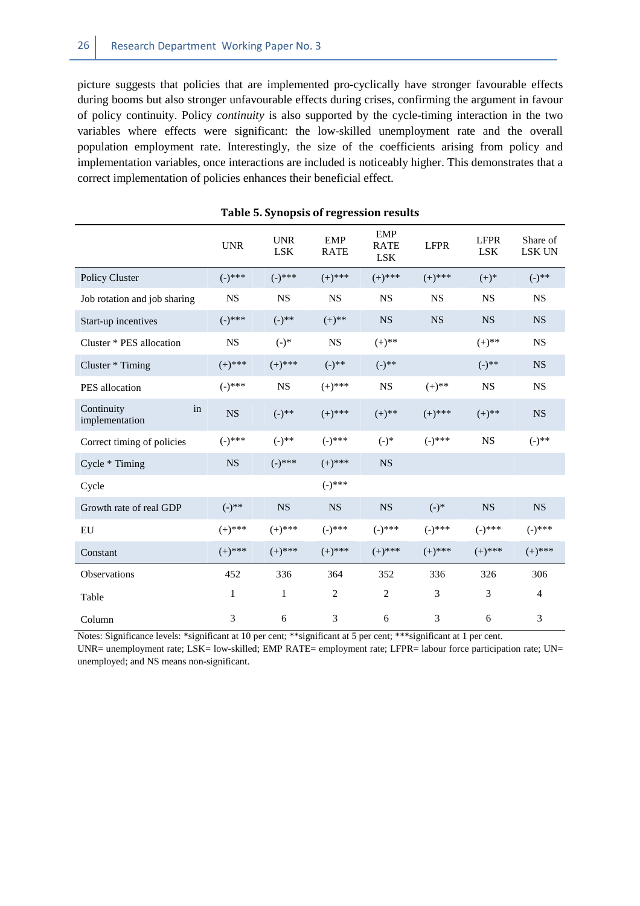picture suggests that policies that are implemented pro-cyclically have stronger favourable effects during booms but also stronger unfavourable effects during crises, confirming the argument in favour of policy continuity. Policy *continuity* is also supported by the cycle-timing interaction in the two variables where effects were significant: the low-skilled unemployment rate and the overall population employment rate. Interestingly, the size of the coefficients arising from policy and implementation variables, once interactions are included is noticeably higher. This demonstrates that a correct implementation of policies enhances their beneficial effect.

|                                    | <b>UNR</b>  | <b>UNR</b><br><b>LSK</b> | <b>EMP</b><br><b>RATE</b> | <b>EMP</b><br><b>RATE</b><br><b>LSK</b> | <b>LFPR</b> | <b>LFPR</b><br><b>LSK</b> | Share of<br>LSK UN |
|------------------------------------|-------------|--------------------------|---------------------------|-----------------------------------------|-------------|---------------------------|--------------------|
| Policy Cluster                     | $(-)^{***}$ | $(-)$ ***                | $(+)$ ***                 | $(+)$ ***                               | $(+)$ ***   | $(+)^{*}$                 | $(-)$ **           |
| Job rotation and job sharing       | NS          | <b>NS</b>                | <b>NS</b>                 | <b>NS</b>                               | <b>NS</b>   | <b>NS</b>                 | <b>NS</b>          |
| Start-up incentives                | $(-)^{***}$ | $(-)$ **                 | $(+)$ **                  | <b>NS</b>                               | <b>NS</b>   | <b>NS</b>                 | <b>NS</b>          |
| Cluster * PES allocation           | <b>NS</b>   | $(-)$ *                  | <b>NS</b>                 | $(+)$ **                                |             | $(+)$ **                  | <b>NS</b>          |
| Cluster * Timing                   | $(+)$ ***   | $(+)$ ***                | $(-)^{**}$                | $(-)$ **                                |             | $(-)^{**}$                | <b>NS</b>          |
| PES allocation                     | $(-)^{***}$ | <b>NS</b>                | $(+)$ ***                 | <b>NS</b>                               | $(+)$ **    | <b>NS</b>                 | <b>NS</b>          |
| Continuity<br>in<br>implementation | <b>NS</b>   | $(-)$ **                 | $(+)$ ***                 | $(+)$ **                                | $(+)$ ***   | $(+)$ **                  | <b>NS</b>          |
| Correct timing of policies         | $(-)^{***}$ | $(-)$ **                 | $(-)^{***}$               | $(-)$ *                                 | $(-)$ ***   | <b>NS</b>                 | $(-)$ **           |
| Cycle * Timing                     | <b>NS</b>   | $(-)^{***}$              | $(+)$ ***                 | <b>NS</b>                               |             |                           |                    |
| Cycle                              |             |                          | $(-)^{***}$               |                                         |             |                           |                    |
| Growth rate of real GDP            | $(-)$ **    | <b>NS</b>                | <b>NS</b>                 | <b>NS</b>                               | $(-)^*$     | <b>NS</b>                 | <b>NS</b>          |
| EU                                 | $(+)$ ***   | $(+)$ ***                | $(-)$ ***                 | $(-)$ ***                               | $(-)$ ***   | $(-)$ ***                 | $(-)^{***}$        |
| Constant                           | $(+)$ ***   | $(+)$ ***                | $(+)$ ***                 | $(+)$ ***                               | $(+)$ ***   | $(+)$ ***                 | $(+)$ ***          |
| Observations                       | 452         | 336                      | 364                       | 352                                     | 336         | 326                       | 306                |
| Table                              | 1           | 1                        | $\overline{2}$            | $\overline{2}$                          | 3           | 3                         | $\overline{4}$     |
| Column                             | 3           | 6                        | 3                         | 6                                       | 3           | 6                         | 3                  |

|  |  | Table 5. Synopsis of regression results |  |
|--|--|-----------------------------------------|--|
|--|--|-----------------------------------------|--|

Notes: Significance levels: \*significant at 10 per cent; \*\*significant at 5 per cent; \*\*\*significant at 1 per cent.

UNR= unemployment rate; LSK= low-skilled; EMP RATE= employment rate; LFPR= labour force participation rate; UN= unemployed; and NS means non-significant.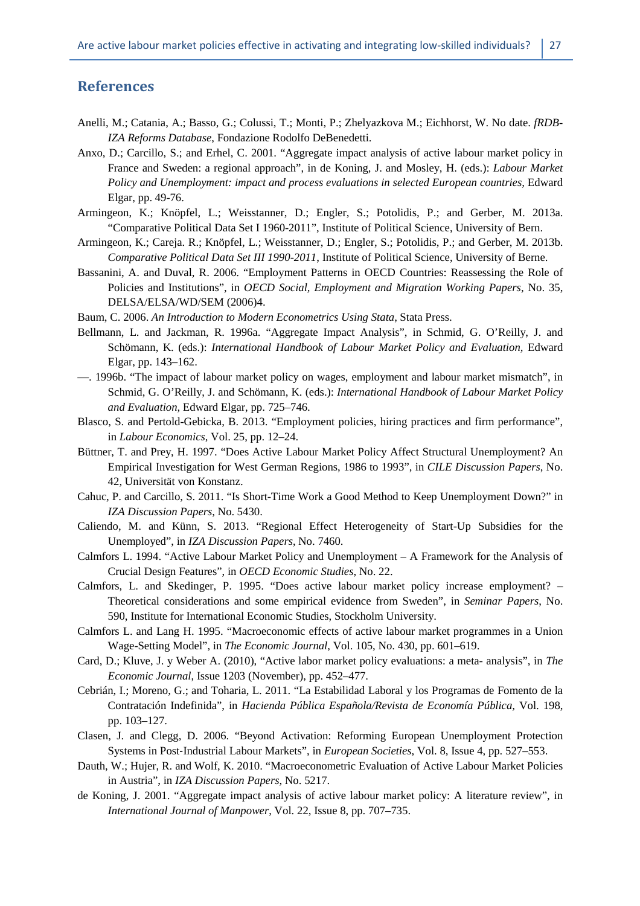## **References**

- Anelli, M.; Catania, A.; Basso, G.; Colussi, T.; Monti, P.; Zhelyazkova M.; Eichhorst, W. No date. *fRDB-IZA Reforms Database*, Fondazione Rodolfo DeBenedetti.
- Anxo, D.; Carcillo, S.; and Erhel, C. 2001. "Aggregate impact analysis of active labour market policy in France and Sweden: a regional approach", in de Koning, J. and Mosley, H. (eds.): *Labour Market*  Policy and Unemployment: impact and process evaluations in selected European countries, Edward Elgar, pp. 49-76.
- Armingeon, K.; Knöpfel, L.; Weisstanner, D.; Engler, S.; Potolidis, P.; and Gerber, M. 2013a. "Comparative Political Data Set I 1960-2011", Institute of Political Science, University of Bern.
- Armingeon, K.; Careja. R.; Knöpfel, L.; Weisstanner, D.; Engler, S.; Potolidis, P.; and Gerber, M. 2013b. *Comparative Political Data Set III 1990-2011*, Institute of Political Science, University of Berne.
- Bassanini, A. and Duval, R. 2006. "Employment Patterns in OECD Countries: Reassessing the Role of Policies and Institutions", in *OECD Social, Employment and Migration Working Papers*, No. 35, DELSA/ELSA/WD/SEM (2006)4.
- Baum, C. 2006. *An Introduction to Modern Econometrics Using Stata*, Stata Press.
- Bellmann, L. and Jackman, R. 1996a. "Aggregate Impact Analysis", in Schmid, G. O'Reilly, J. and Schömann, K. (eds.): *International Handbook of Labour Market Policy and Evaluation,* Edward Elgar, pp. 143–162.
- —. 1996b. "The impact of labour market policy on wages, employment and labour market mismatch", in Schmid, G. O'Reilly, J. and Schömann, K. (eds.): *International Handbook of Labour Market Policy and Evaluation,* Edward Elgar, pp. 725–746.
- Blasco, S. and Pertold-Gebicka, B. 2013. "Employment policies, hiring practices and firm performance", in *Labour Economics*, Vol. 25, pp. 12–24.
- Büttner, T. and Prey, H. 1997. "Does Active Labour Market Policy Affect Structural Unemployment? An Empirical Investigation for West German Regions, 1986 to 1993", in *CILE Discussion Papers*, No. 42, Universität von Konstanz.
- Cahuc, P. and Carcillo, S. 2011. "Is Short-Time Work a Good Method to Keep Unemployment Down?" in *IZA Discussion Papers*, No. 5430.
- Caliendo, M. and Künn, S. 2013. "Regional Effect Heterogeneity of Start-Up Subsidies for the Unemployed", in *IZA Discussion Papers*, No. 7460.
- Calmfors L. 1994. "Active Labour Market Policy and Unemployment A Framework for the Analysis of Crucial Design Features", in *OECD Economic Studies*, No. 22.
- Calmfors, L. and Skedinger, P. 1995. "Does active labour market policy increase employment? Theoretical considerations and some empirical evidence from Sweden", in *Seminar Papers*, No. 590, Institute for International Economic Studies, Stockholm University.
- Calmfors L. and Lang H. 1995. "Macroeconomic effects of active labour market programmes in a Union Wage-Setting Model", in *The Economic Journal*, Vol. 105, No. 430, pp. 601–619.
- Card, D.; Kluve, J. y Weber A. (2010), "Active labor market policy evaluations: a meta- analysis", in *The Economic Journal*, Issue 1203 (November), pp. 452–477.
- Cebrián, I.; Moreno, G.; and Toharia, L. 2011. "La Estabilidad Laboral y los Programas de Fomento de la Contratación Indefinida", in *Hacienda Pública Española/Revista de Economía Pública,* Vol. 198, pp. 103–127.
- Clasen, J. and Clegg, D. 2006. "Beyond Activation: Reforming European Unemployment Protection Systems in Post‐Industrial Labour Markets", in *European Societies*, Vol. 8, Issue 4, pp. 527–553.
- Dauth, W.; Hujer, R. and Wolf, K. 2010. "Macroeconometric Evaluation of Active Labour Market Policies in Austria", in *IZA Discussion Papers*, No. 5217.
- de Koning, J. 2001. "Aggregate impact analysis of active labour market policy: A literature review", in *International Journal of Manpower*, Vol. 22, Issue 8, pp. 707–735.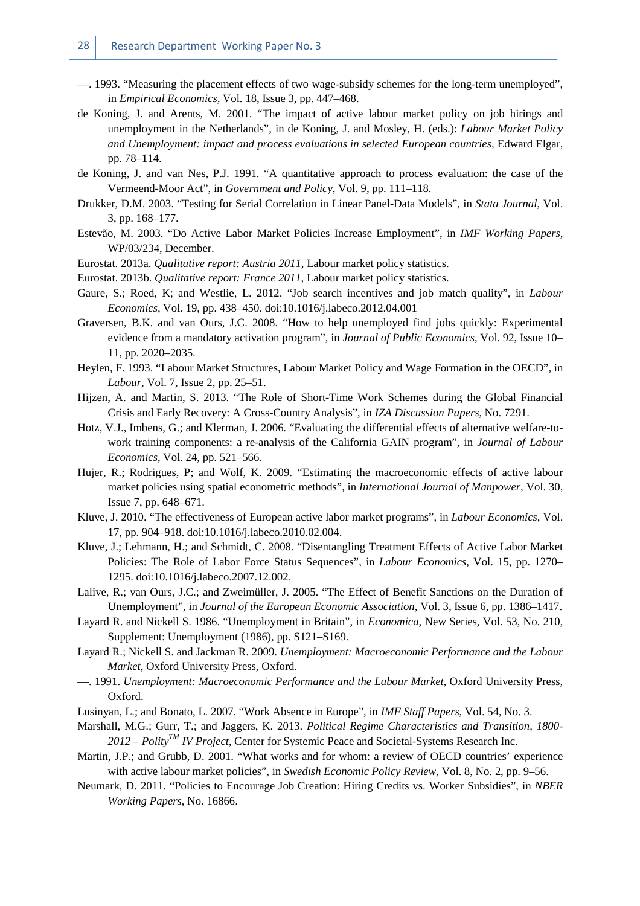- —. 1993. "Measuring the placement effects of two wage-subsidy schemes for the long-term unemployed", in *Empirical Economics,* Vol. 18, Issue 3, pp. 447–468.
- de Koning, J. and Arents, M. 2001. "The impact of active labour market policy on job hirings and unemployment in the Netherlands", in de Koning, J. and Mosley, H. (eds.): *Labour Market Policy and Unemployment: impact and process evaluations in selected European countries,* Edward Elgar, pp. 78–114.
- de Koning, J. and van Nes, P.J. 1991. "A quantitative approach to process evaluation: the case of the Vermeend-Moor Act", in *Government and Policy*, Vol. 9, pp. 111–118.
- Drukker, D.M. 2003. "Testing for Serial Correlation in Linear Panel-Data Models", in *Stata Journal*, Vol. 3, pp. 168–177.
- Estevão, M. 2003. "Do Active Labor Market Policies Increase Employment", in *IMF Working Papers*, WP/03/234, December.
- Eurostat. 2013a. *Qualitative report: Austria 2011*, Labour market policy statistics.
- Eurostat. 2013b. *Qualitative report: France 2011*, Labour market policy statistics.
- Gaure, S.; Roed, K; and Westlie, L. 2012. "Job search incentives and job match quality", in *Labour Economics,* Vol. 19, pp. 438–450. doi:10.1016/j.labeco.2012.04.001
- Graversen, B.K. and van Ours, J.C. 2008. "How to help unemployed find jobs quickly: Experimental evidence from a mandatory activation program", in *Journal of Public Economics*, Vol. 92, Issue 10– 11, pp. 2020–2035.
- Heylen, F. 1993. "Labour Market Structures, Labour Market Policy and Wage Formation in the OECD", in *Labour*, Vol. 7, Issue 2, pp. 25–51.
- Hijzen, A. and Martin, S. 2013. "The Role of Short-Time Work Schemes during the Global Financial Crisis and Early Recovery: A Cross-Country Analysis", in *IZA Discussion Papers*, No. 7291.
- Hotz, V.J., Imbens, G.; and Klerman, J. 2006. "Evaluating the differential effects of alternative welfare-towork training components: a re-analysis of the California GAIN program", in *Journal of Labour Economics*, Vol. 24, pp. 521–566.
- Hujer, R.; Rodrigues, P; and Wolf, K. 2009. "Estimating the macroeconomic effects of active labour market policies using spatial econometric methods", in *International Journal of Manpower*, Vol. 30, Issue 7, pp. 648–671.
- Kluve, J. 2010. "The effectiveness of European active labor market programs", in *Labour Economics*, Vol. 17, pp. 904–918. doi:10.1016/j.labeco.2010.02.004.
- Kluve, J.; Lehmann, H.; and Schmidt, C. 2008. "Disentangling Treatment Effects of Active Labor Market Policies: The Role of Labor Force Status Sequences", in *Labour Economics*, Vol. 15, pp. 1270– 1295. doi:10.1016/j.labeco.2007.12.002.
- Lalive, R.; van Ours, J.C.; and Zweimüller, J. 2005. "The Effect of Benefit Sanctions on the Duration of Unemployment", in *Journal of the European Economic Association*, Vol. 3, Issue 6, pp. 1386–1417.
- Layard R. and Nickell S. 1986. "Unemployment in Britain", in *Economica*, New Series, Vol. 53, No. 210, Supplement: Unemployment (1986), pp. S121–S169.
- Layard R.; Nickell S. and Jackman R. 2009. *Unemployment: Macroeconomic Performance and the Labour Market*, Oxford University Press, Oxford.
- —. 1991. *Unemployment: Macroeconomic Performance and the Labour Market*, Oxford University Press, Oxford.
- Lusinyan, L.; and Bonato, L. 2007. "Work Absence in Europe", in *IMF Staff Papers*, Vol. 54, No. 3.
- Marshall, M.G.; Gurr, T.; and Jaggers, K. 2013. *Political Regime Characteristics and Transition, 1800- 2012 – PolityTM IV Project*, Center for Systemic Peace and Societal-Systems Research Inc.
- Martin, J.P.; and Grubb, D. 2001. "What works and for whom: a review of OECD countries' experience with active labour market policies", in *Swedish Economic Policy Review,* Vol. 8, No. 2, pp. 9–56.
- Neumark, D. 2011. "Policies to Encourage Job Creation: Hiring Credits vs. Worker Subsidies", in *NBER Working Papers*, No. 16866.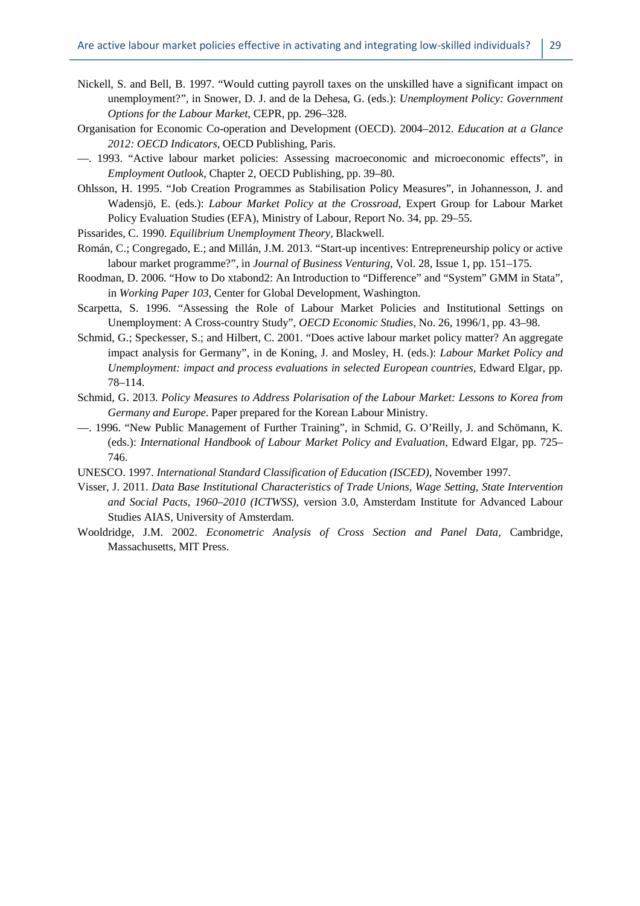- Nickell, S. and Bell, B. 1997. "Would cutting payroll taxes on the unskilled have a significant impact on unemployment?", in Snower, D. J. and de la Dehesa, G. (eds.): *Unemployment Policy: Government Options for the Labour Market*, CEPR, pp. 296–328.
- Organisation for Economic Co-operation and Development (OECD). 2004–2012. *Education at a Glance 2012: OECD Indicators*, OECD Publishing, Paris.
- —. 1993. "Active labour market policies: Assessing macroeconomic and microeconomic effects", in *Employment Outlook*, Chapter 2, OECD Publishing, pp. 39–80.
- Ohlsson, H. 1995. "Job Creation Programmes as Stabilisation Policy Measures", in Johannesson, J. and Wadensjö, E. (eds.): *Labour Market Policy at the Crossroad,* Expert Group for Labour Market Policy Evaluation Studies (EFA), Ministry of Labour, Report No. 34, pp. 29–55.
- Pissarides, C. 1990. *Equilibrium Unemployment Theory,* Blackwell.
- Román, C.; Congregado, E.; and Millán, J.M. 2013. "Start-up incentives: Entrepreneurship policy or active labour market programme?", in *Journal of Business Venturing*, Vol. 28, Issue 1, pp. 151–175.
- Roodman, D. 2006. "How to Do xtabond2: An Introduction to "Difference" and "System" GMM in Stata", in *Working Paper 103*, Center for Global Development, Washington.
- Scarpetta, S. 1996. "Assessing the Role of Labour Market Policies and Institutional Settings on Unemployment: A Cross-country Study", *OECD Economic Studies*, No. 26, 1996/1, pp. 43–98.
- Schmid, G.; Speckesser, S.; and Hilbert, C. 2001. "Does active labour market policy matter? An aggregate impact analysis for Germany", in de Koning, J. and Mosley, H. (eds.): *Labour Market Policy and Unemployment: impact and process evaluations in selected European countries, Edward Elgar, pp.* 78–114.
- Schmid, G. 2013. *Policy Measures to Address Polarisation of the Labour Market: Lessons to Korea from Germany and Europe*. Paper prepared for the Korean Labour Ministry.
- —. 1996. "New Public Management of Further Training", in Schmid, G. O'Reilly, J. and Schömann, K. (eds.): *International Handbook of Labour Market Policy and Evaluation,* Edward Elgar, pp. 725– 746.
- UNESCO. 1997. *International Standard Classification of Education (ISCED)*, November 1997.
- Visser, J. 2011. *Data Base Institutional Characteristics of Trade Unions, Wage Setting, State Intervention and Social Pacts, 1960–2010 (ICTWSS)*, version 3.0, Amsterdam Institute for Advanced Labour Studies AIAS, University of Amsterdam.
- Wooldridge, J.M. 2002. *Econometric Analysis of Cross Section and Panel Data,* Cambridge, Massachusetts, MIT Press.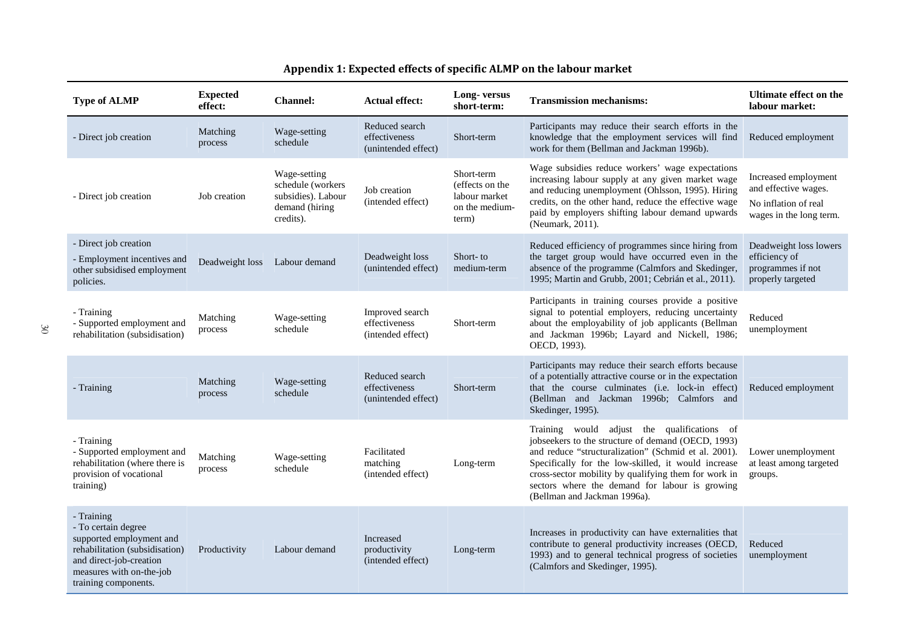| <b>Type of ALMP</b>                                                                                                                                                            | <b>Expected</b><br>effect: | <b>Channel:</b>                                                                        | <b>Actual effect:</b>                                  | Long-versus<br>short-term:                                                | <b>Transmission mechanisms:</b>                                                                                                                                                                                                                                                                                                                            | <b>Ultimate effect on the</b><br>labour market:                                                 |
|--------------------------------------------------------------------------------------------------------------------------------------------------------------------------------|----------------------------|----------------------------------------------------------------------------------------|--------------------------------------------------------|---------------------------------------------------------------------------|------------------------------------------------------------------------------------------------------------------------------------------------------------------------------------------------------------------------------------------------------------------------------------------------------------------------------------------------------------|-------------------------------------------------------------------------------------------------|
| - Direct job creation                                                                                                                                                          | Matching<br>process        | Wage-setting<br>schedule                                                               | Reduced search<br>effectiveness<br>(unintended effect) | Short-term                                                                | Participants may reduce their search efforts in the<br>knowledge that the employment services will find<br>work for them (Bellman and Jackman 1996b).                                                                                                                                                                                                      | Reduced employment                                                                              |
| - Direct job creation                                                                                                                                                          | Job creation               | Wage-setting<br>schedule (workers<br>subsidies). Labour<br>demand (hiring<br>credits). | Job creation<br>(intended effect)                      | Short-term<br>(effects on the<br>labour market<br>on the medium-<br>term) | Wage subsidies reduce workers' wage expectations<br>increasing labour supply at any given market wage<br>and reducing unemployment (Ohlsson, 1995). Hiring<br>credits, on the other hand, reduce the effective wage<br>paid by employers shifting labour demand upwards<br>(Neumark, 2011).                                                                | Increased employment<br>and effective wages.<br>No inflation of real<br>wages in the long term. |
| - Direct job creation<br>- Employment incentives and<br>other subsidised employment<br>policies.                                                                               | Deadweight loss            | Labour demand                                                                          | Deadweight loss<br>(unintended effect)                 | Short-to<br>medium-term                                                   | Reduced efficiency of programmes since hiring from<br>the target group would have occurred even in the<br>absence of the programme (Calmfors and Skedinger,<br>1995; Martin and Grubb, 2001; Cebrián et al., 2011).                                                                                                                                        | Deadweight loss lowers<br>efficiency of<br>programmes if not<br>properly targeted               |
| - Training<br>- Supported employment and<br>rehabilitation (subsidisation)                                                                                                     | Matching<br>process        | Wage-setting<br>schedule                                                               | Improved search<br>effectiveness<br>(intended effect)  | Short-term                                                                | Participants in training courses provide a positive<br>signal to potential employers, reducing uncertainty<br>about the employability of job applicants (Bellman<br>and Jackman 1996b; Layard and Nickell, 1986;<br>OECD, 1993).                                                                                                                           | Reduced<br>unemployment                                                                         |
| - Training                                                                                                                                                                     | Matching<br>process        | Wage-setting<br>schedule                                                               | Reduced search<br>effectiveness<br>(unintended effect) | Short-term                                                                | Participants may reduce their search efforts because<br>of a potentially attractive course or in the expectation<br>that the course culminates (i.e. lock-in effect)<br>(Bellman and Jackman 1996b; Calmfors and<br>Skedinger, 1995).                                                                                                                      | Reduced employment                                                                              |
| - Training<br>- Supported employment and<br>rehabilitation (where there is<br>provision of vocational<br>training)                                                             | Matching<br>process        | Wage-setting<br>schedule                                                               | Facilitated<br>matching<br>(intended effect)           | Long-term                                                                 | Training would adjust the qualifications of<br>jobseekers to the structure of demand (OECD, 1993)<br>and reduce "structuralization" (Schmid et al. 2001).<br>Specifically for the low-skilled, it would increase<br>cross-sector mobility by qualifying them for work in<br>sectors where the demand for labour is growing<br>(Bellman and Jackman 1996a). | Lower unemployment<br>at least among targeted<br>groups.                                        |
| - Training<br>- To certain degree<br>supported employment and<br>rehabilitation (subsidisation)<br>and direct-job-creation<br>measures with on-the-job<br>training components. | Productivity               | Labour demand                                                                          | Increased<br>productivity<br>(intended effect)         | Long-term                                                                 | Increases in productivity can have externalities that<br>contribute to general productivity increases (OECD,<br>1993) and to general technical progress of societies<br>(Calmfors and Skedinger, 1995).                                                                                                                                                    | Reduced<br>unemployment                                                                         |

#### **Appendix 1: Expected effects of specific ALMP on the labour market**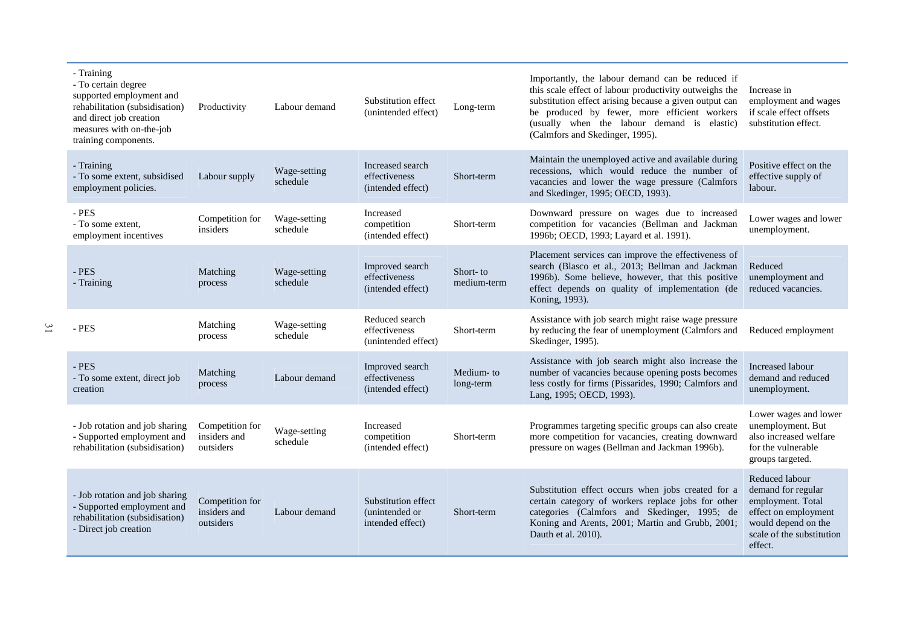| - Training<br>- To certain degree<br>supported employment and<br>rehabilitation (subsidisation)<br>and direct job creation<br>measures with on-the-job<br>training components. | Productivity                                 | Labour demand            | Substitution effect<br>(unintended effect)                 | Long-term               | Importantly, the labour demand can be reduced if<br>this scale effect of labour productivity outweighs the<br>substitution effect arising because a given output can<br>be produced by fewer, more efficient workers<br>(usually when the labour demand is elastic)<br>(Calmfors and Skedinger, 1995). | Increase in<br>employment and wages<br>if scale effect offsets<br>substitution effect.                                                           |
|--------------------------------------------------------------------------------------------------------------------------------------------------------------------------------|----------------------------------------------|--------------------------|------------------------------------------------------------|-------------------------|--------------------------------------------------------------------------------------------------------------------------------------------------------------------------------------------------------------------------------------------------------------------------------------------------------|--------------------------------------------------------------------------------------------------------------------------------------------------|
| - Training<br>- To some extent, subsidised<br>employment policies.                                                                                                             | Labour supply                                | Wage-setting<br>schedule | Increased search<br>effectiveness<br>(intended effect)     | Short-term              | Maintain the unemployed active and available during<br>recessions, which would reduce the number of<br>vacancies and lower the wage pressure (Calmfors<br>and Skedinger, 1995; OECD, 1993).                                                                                                            | Positive effect on the<br>effective supply of<br>labour.                                                                                         |
| - PES<br>- To some extent.<br>employment incentives                                                                                                                            | Competition for<br>insiders                  | Wage-setting<br>schedule | Increased<br>competition<br>(intended effect)              | Short-term              | Downward pressure on wages due to increased<br>competition for vacancies (Bellman and Jackman<br>1996b; OECD, 1993; Layard et al. 1991).                                                                                                                                                               | Lower wages and lower<br>unemployment.                                                                                                           |
| - PES<br>- Training                                                                                                                                                            | Matching<br>process                          | Wage-setting<br>schedule | Improved search<br>effectiveness<br>(intended effect)      | Short-to<br>medium-term | Placement services can improve the effectiveness of<br>search (Blasco et al., 2013; Bellman and Jackman<br>1996b). Some believe, however, that this positive<br>effect depends on quality of implementation (de<br>Koning, 1993).                                                                      | Reduced<br>unemployment and<br>reduced vacancies.                                                                                                |
| - PES                                                                                                                                                                          | Matching<br>process                          | Wage-setting<br>schedule | Reduced search<br>effectiveness<br>(unintended effect)     | Short-term              | Assistance with job search might raise wage pressure<br>by reducing the fear of unemployment (Calmfors and<br>Skedinger, 1995).                                                                                                                                                                        | Reduced employment                                                                                                                               |
| - PES<br>- To some extent, direct job<br>creation                                                                                                                              | Matching<br>process                          | Labour demand            | Improved search<br>effectiveness<br>(intended effect)      | Medium-to<br>long-term  | Assistance with job search might also increase the<br>number of vacancies because opening posts becomes<br>less costly for firms (Pissarides, 1990; Calmfors and<br>Lang, 1995; OECD, 1993).                                                                                                           | Increased labour<br>demand and reduced<br>unemployment.                                                                                          |
| - Job rotation and job sharing<br>- Supported employment and<br>rehabilitation (subsidisation)                                                                                 | Competition for<br>insiders and<br>outsiders | Wage-setting<br>schedule | Increased<br>competition<br>(intended effect)              | Short-term              | Programmes targeting specific groups can also create<br>more competition for vacancies, creating downward<br>pressure on wages (Bellman and Jackman 1996b).                                                                                                                                            | Lower wages and lower<br>unemployment. But<br>also increased welfare<br>for the vulnerable<br>groups targeted.                                   |
| - Job rotation and job sharing<br>- Supported employment and<br>rehabilitation (subsidisation)<br>- Direct job creation                                                        | Competition for<br>insiders and<br>outsiders | Labour demand            | Substitution effect<br>(unintended or)<br>intended effect) | Short-term              | Substitution effect occurs when jobs created for a<br>certain category of workers replace jobs for other<br>categories (Calmfors and Skedinger, 1995; de<br>Koning and Arents, 2001; Martin and Grubb, 2001;<br>Dauth et al. 2010).                                                                    | Reduced labour<br>demand for regular<br>employment. Total<br>effect on employment<br>would depend on the<br>scale of the substitution<br>effect. |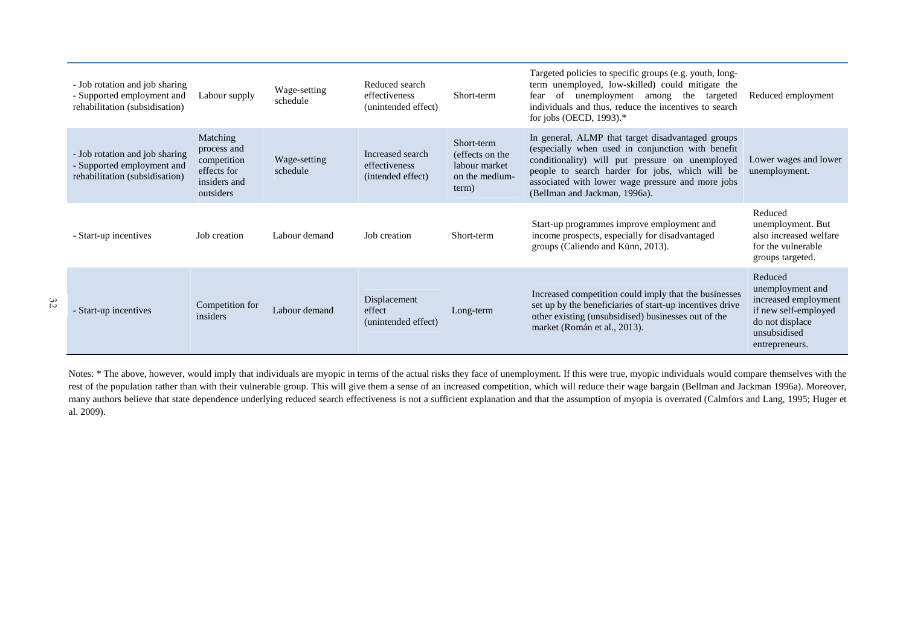| - Job rotation and job sharing<br>- Supported employment and<br>rehabilitation (subsidisation) | Labour supply                                                                      | Wage-setting<br>schedule | Reduced search<br>effectiveness<br>(unintended effect) | Short-term                                                                | Targeted policies to specific groups (e.g. youth, long-<br>term unemployed, low-skilled) could mitigate the<br>unemployment among the targeted<br>of<br>fear<br>individuals and thus, reduce the incentives to search<br>for jobs (OECD, $1993$ ).*                                                | Reduced employment                                                                                                               |
|------------------------------------------------------------------------------------------------|------------------------------------------------------------------------------------|--------------------------|--------------------------------------------------------|---------------------------------------------------------------------------|----------------------------------------------------------------------------------------------------------------------------------------------------------------------------------------------------------------------------------------------------------------------------------------------------|----------------------------------------------------------------------------------------------------------------------------------|
| - Job rotation and job sharing<br>- Supported employment and<br>rehabilitation (subsidisation) | Matching<br>process and<br>competition<br>effects for<br>insiders and<br>outsiders | Wage-setting<br>schedule | Increased search<br>effectiveness<br>(intended effect) | Short-term<br>(effects on the<br>labour market<br>on the medium-<br>term) | In general, ALMP that target disadvantaged groups<br>(especially when used in conjunction with benefit<br>conditionality) will put pressure on unemployed<br>people to search harder for jobs, which will be<br>associated with lower wage pressure and more jobs<br>(Bellman and Jackman, 1996a). | Lower wages and lower<br>unemployment.                                                                                           |
| - Start-up incentives                                                                          | Job creation                                                                       | Labour demand            | Job creation                                           | Short-term                                                                | Start-up programmes improve employment and<br>income prospects, especially for disadvantaged<br>groups (Caliendo and Künn, 2013).                                                                                                                                                                  | Reduced<br>unemployment. But<br>also increased welfare<br>for the vulnerable<br>groups targeted.                                 |
| - Start-up incentives                                                                          | Competition for<br>insiders                                                        | Labour demand            | Displacement<br>effect<br>(unintended effect)          | Long-term                                                                 | Increased competition could imply that the businesses<br>set up by the beneficiaries of start-up incentives drive<br>other existing (unsubsidised) businesses out of the<br>market (Román et al., 2013).                                                                                           | Reduced<br>unemployment and<br>increased employment<br>if new self-employed<br>do not displace<br>unsubsidised<br>entrepreneurs. |

32

Notes: \* The above, however, would imply that individuals are myopic in terms of the actual risks they face of unemployment. If this were true, myopic individuals would compare themselves with the rest of the population rather than with their vulnerable group. This will give them a sense of an increased competition, which will reduce their wage bargain (Bellman and Jackman 1996a). Moreover, many authors believe that state dependence underlying reduced search effectiveness is not a sufficient explanation and that the assumption of myopia is overrated (Calmfors and Lang, 1995; Huger et al. 2009).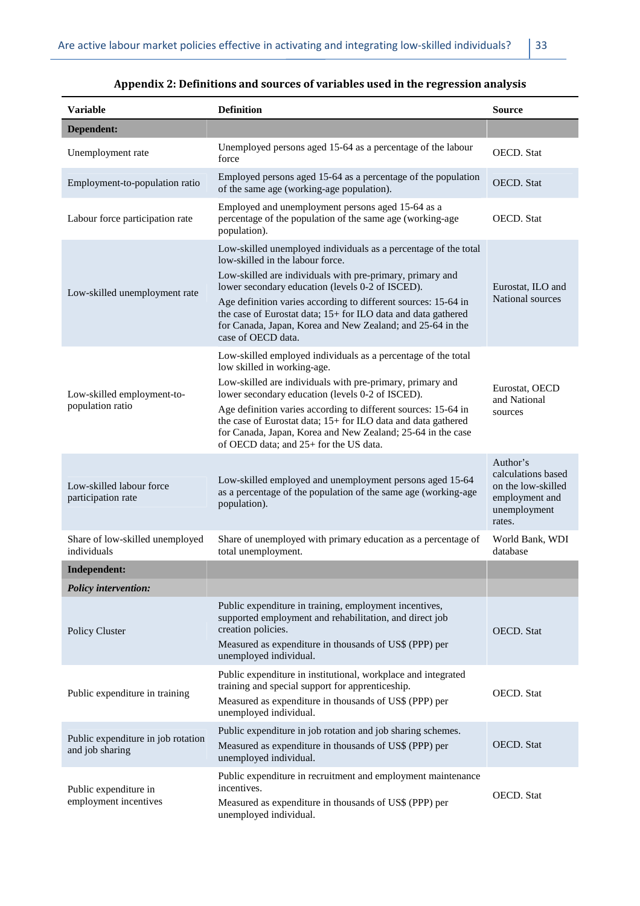| Variable                                              | <b>Definition</b>                                                                                                                                                                                                                        | <b>Source</b>                                                                                    |  |
|-------------------------------------------------------|------------------------------------------------------------------------------------------------------------------------------------------------------------------------------------------------------------------------------------------|--------------------------------------------------------------------------------------------------|--|
| Dependent:                                            |                                                                                                                                                                                                                                          |                                                                                                  |  |
| Unemployment rate                                     | Unemployed persons aged 15-64 as a percentage of the labour<br>force                                                                                                                                                                     | <b>OECD.</b> Stat                                                                                |  |
| Employment-to-population ratio                        | Employed persons aged 15-64 as a percentage of the population<br>of the same age (working-age population).                                                                                                                               | <b>OECD.</b> Stat                                                                                |  |
| Labour force participation rate                       | Employed and unemployment persons aged 15-64 as a<br>percentage of the population of the same age (working-age<br>population).                                                                                                           | <b>OECD.</b> Stat                                                                                |  |
|                                                       | Low-skilled unemployed individuals as a percentage of the total<br>low-skilled in the labour force.                                                                                                                                      |                                                                                                  |  |
| Low-skilled unemployment rate                         | Low-skilled are individuals with pre-primary, primary and<br>lower secondary education (levels 0-2 of ISCED).                                                                                                                            | Eurostat, ILO and                                                                                |  |
|                                                       | Age definition varies according to different sources: 15-64 in<br>the case of Eurostat data; 15+ for ILO data and data gathered<br>for Canada, Japan, Korea and New Zealand; and 25-64 in the<br>case of OECD data.                      | National sources                                                                                 |  |
|                                                       | Low-skilled employed individuals as a percentage of the total                                                                                                                                                                            |                                                                                                  |  |
| Low-skilled employment-to-                            | low skilled in working-age.<br>Low-skilled are individuals with pre-primary, primary and<br>lower secondary education (levels 0-2 of ISCED).                                                                                             | Eurostat, OECD                                                                                   |  |
| population ratio                                      | Age definition varies according to different sources: 15-64 in<br>the case of Eurostat data; 15+ for ILO data and data gathered<br>for Canada, Japan, Korea and New Zealand; 25-64 in the case<br>of OECD data; and 25+ for the US data. | and National<br>sources                                                                          |  |
| Low-skilled labour force<br>participation rate        | Low-skilled employed and unemployment persons aged 15-64<br>as a percentage of the population of the same age (working-age<br>population).                                                                                               | Author's<br>calculations based<br>on the low-skilled<br>employment and<br>unemployment<br>rates. |  |
| Share of low-skilled unemployed<br>individuals        | Share of unemployed with primary education as a percentage of<br>total unemployment.                                                                                                                                                     | World Bank, WDI<br>database                                                                      |  |
| <b>Independent:</b>                                   |                                                                                                                                                                                                                                          |                                                                                                  |  |
| <b>Policy intervention:</b>                           |                                                                                                                                                                                                                                          |                                                                                                  |  |
| Policy Cluster                                        | Public expenditure in training, employment incentives,<br>supported employment and rehabilitation, and direct job<br>creation policies.<br>Measured as expenditure in thousands of US\$ (PPP) per<br>unemployed individual.              | <b>OECD.</b> Stat                                                                                |  |
| Public expenditure in training                        | Public expenditure in institutional, workplace and integrated<br>training and special support for apprenticeship.<br>Measured as expenditure in thousands of US\$ (PPP) per<br>unemployed individual.                                    | <b>OECD.</b> Stat                                                                                |  |
| Public expenditure in job rotation<br>and job sharing | Public expenditure in job rotation and job sharing schemes.<br>Measured as expenditure in thousands of US\$ (PPP) per<br>unemployed individual.                                                                                          | <b>OECD.</b> Stat                                                                                |  |
| Public expenditure in<br>employment incentives        | Public expenditure in recruitment and employment maintenance<br>incentives.<br>Measured as expenditure in thousands of US\$ (PPP) per<br>unemployed individual.                                                                          | <b>OECD.</b> Stat                                                                                |  |

# **Appendix 2: Definitions and sources of variables used in the regression analysis**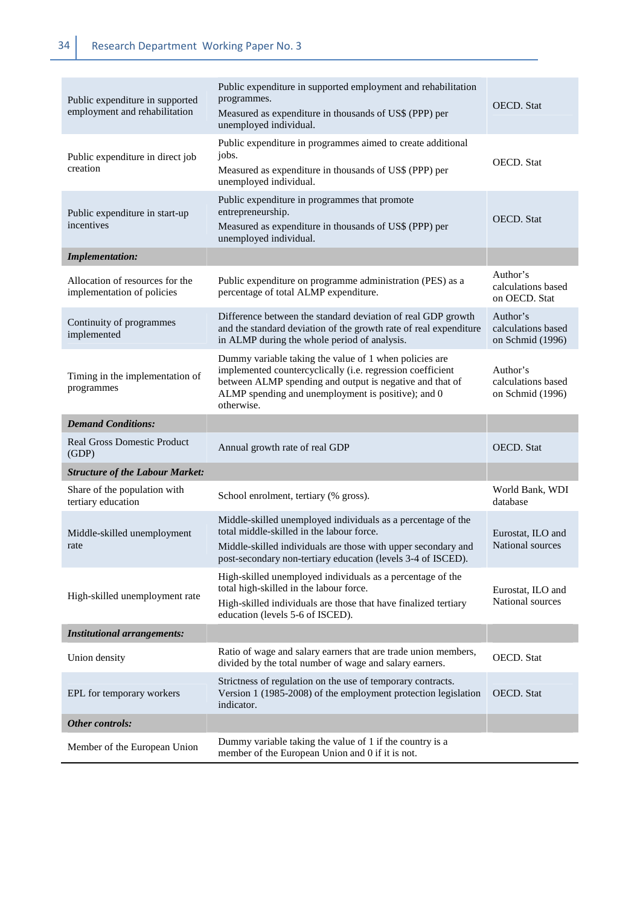| Public expenditure in supported<br>employment and rehabilitation | Public expenditure in supported employment and rehabilitation<br>programmes.<br>Measured as expenditure in thousands of US\$ (PPP) per<br>unemployed individual.                                                                                     | <b>OECD.</b> Stat                                  |
|------------------------------------------------------------------|------------------------------------------------------------------------------------------------------------------------------------------------------------------------------------------------------------------------------------------------------|----------------------------------------------------|
| Public expenditure in direct job<br>creation                     | Public expenditure in programmes aimed to create additional<br>jobs.<br>Measured as expenditure in thousands of US\$ (PPP) per<br>unemployed individual.                                                                                             | <b>OECD.</b> Stat                                  |
| Public expenditure in start-up<br>incentives                     | Public expenditure in programmes that promote<br>entrepreneurship.<br>Measured as expenditure in thousands of US\$ (PPP) per<br>unemployed individual.                                                                                               | <b>OECD.</b> Stat                                  |
| <b>Implementation:</b>                                           |                                                                                                                                                                                                                                                      |                                                    |
| Allocation of resources for the<br>implementation of policies    | Public expenditure on programme administration (PES) as a<br>percentage of total ALMP expenditure.                                                                                                                                                   | Author's<br>calculations based<br>on OECD. Stat    |
| Continuity of programmes<br>implemented                          | Difference between the standard deviation of real GDP growth<br>and the standard deviation of the growth rate of real expenditure<br>in ALMP during the whole period of analysis.                                                                    | Author's<br>calculations based<br>on Schmid (1996) |
| Timing in the implementation of<br>programmes                    | Dummy variable taking the value of 1 when policies are<br>implemented countercyclically (i.e. regression coefficient<br>between ALMP spending and output is negative and that of<br>ALMP spending and unemployment is positive); and 0<br>otherwise. | Author's<br>calculations based<br>on Schmid (1996) |
| <b>Demand Conditions:</b>                                        |                                                                                                                                                                                                                                                      |                                                    |
| <b>Real Gross Domestic Product</b><br>(GDP)                      | Annual growth rate of real GDP                                                                                                                                                                                                                       | <b>OECD.</b> Stat                                  |
| <b>Structure of the Labour Market:</b>                           |                                                                                                                                                                                                                                                      |                                                    |
| Share of the population with<br>tertiary education               | School enrolment, tertiary (% gross).                                                                                                                                                                                                                | World Bank, WDI<br>database                        |
| Middle-skilled unemployment<br>rate                              | Middle-skilled unemployed individuals as a percentage of the<br>total middle-skilled in the labour force.<br>Middle-skilled individuals are those with upper secondary and<br>post-secondary non-tertiary education (levels 3-4 of ISCED).           | Eurostat, ILO and<br>National sources              |
| High-skilled unemployment rate                                   | High-skilled unemployed individuals as a percentage of the<br>total high-skilled in the labour force.<br>High-skilled individuals are those that have finalized tertiary<br>education (levels 5-6 of ISCED).                                         | Eurostat, ILO and<br>National sources              |
| <b>Institutional arrangements:</b>                               |                                                                                                                                                                                                                                                      |                                                    |
| Union density                                                    | Ratio of wage and salary earners that are trade union members,<br>divided by the total number of wage and salary earners.                                                                                                                            | OECD. Stat                                         |
| EPL for temporary workers                                        | Strictness of regulation on the use of temporary contracts.<br>Version 1 (1985-2008) of the employment protection legislation<br>indicator.                                                                                                          | <b>OECD.</b> Stat                                  |
| <b>Other controls:</b>                                           |                                                                                                                                                                                                                                                      |                                                    |
| Member of the European Union                                     | Dummy variable taking the value of 1 if the country is a<br>member of the European Union and 0 if it is not.                                                                                                                                         |                                                    |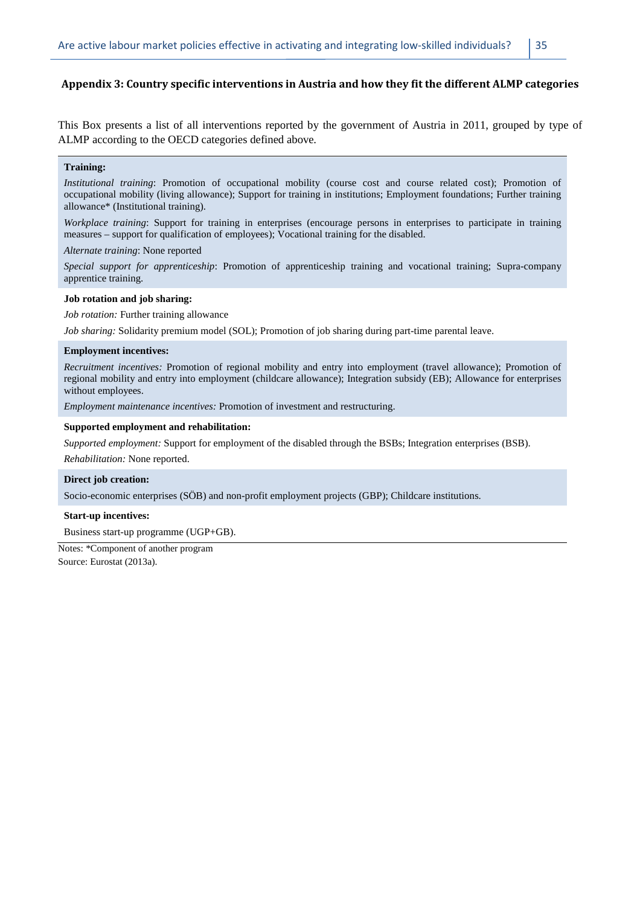#### **Appendix 3: Country specific interventions in Austria and how they fit the different ALMP categories**

This Box presents a list of all interventions reported by the government of Austria in 2011, grouped by type of ALMP according to the OECD categories defined above.

#### **Training:**

*Institutional training*: Promotion of occupational mobility (course cost and course related cost); Promotion of occupational mobility (living allowance); Support for training in institutions; Employment foundations; Further training allowance\* (Institutional training).

*Workplace training*: Support for training in enterprises (encourage persons in enterprises to participate in training measures – support for qualification of employees); Vocational training for the disabled.

*Alternate training*: None reported

*Special support for apprenticeship*: Promotion of apprenticeship training and vocational training; Supra-company apprentice training.

#### **Job rotation and job sharing:**

*Job rotation:* Further training allowance

*Job sharing:* Solidarity premium model (SOL); Promotion of job sharing during part-time parental leave.

#### **Employment incentives:**

*Recruitment incentives:* Promotion of regional mobility and entry into employment (travel allowance); Promotion of regional mobility and entry into employment (childcare allowance); Integration subsidy (EB); Allowance for enterprises without employees.

*Employment maintenance incentives:* Promotion of investment and restructuring.

#### **Supported employment and rehabilitation:**

*Supported employment:* Support for employment of the disabled through the BSBs; Integration enterprises (BSB).

*Rehabilitation:* None reported.

#### **Direct job creation:**

Socio-economic enterprises (SÖB) and non-profit employment projects (GBP); Childcare institutions.

#### **Start-up incentives:**

Business start-up programme (UGP+GB).

Notes: \*Component of another program Source: Eurostat (2013a).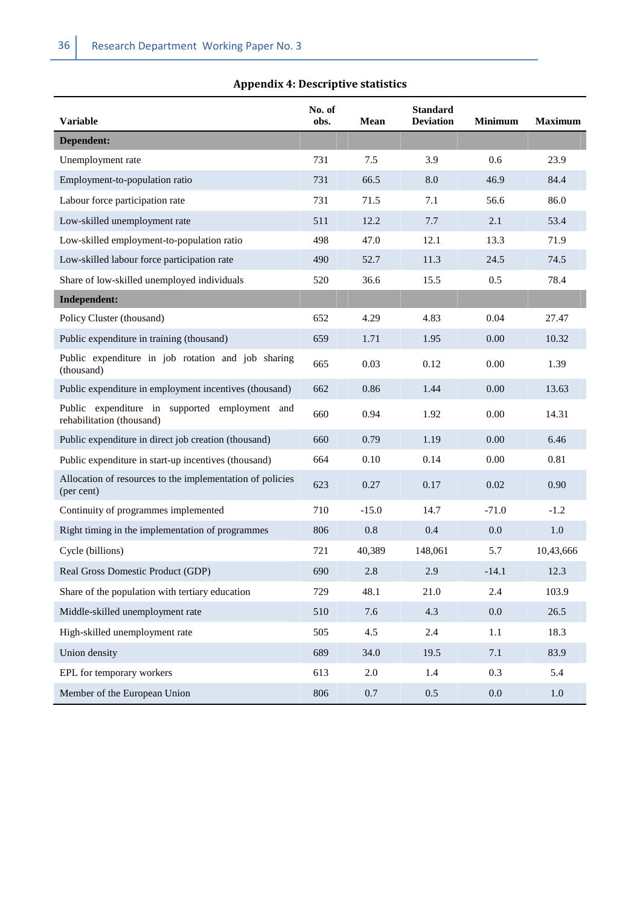# **Appendix 4: Descriptive statistics**

| <b>Variable</b>                                                             | No. of<br>obs. | Mean    | <b>Standard</b><br><b>Deviation</b> | <b>Minimum</b> | <b>Maximum</b> |
|-----------------------------------------------------------------------------|----------------|---------|-------------------------------------|----------------|----------------|
| Dependent:                                                                  |                |         |                                     |                |                |
| Unemployment rate                                                           | 731            | 7.5     | 3.9                                 | 0.6            | 23.9           |
| Employment-to-population ratio                                              | 731            | 66.5    | 8.0                                 | 46.9           | 84.4           |
| Labour force participation rate                                             | 731            | 71.5    | 7.1                                 | 56.6           | 86.0           |
| Low-skilled unemployment rate                                               | 511            | 12.2    | 7.7                                 | 2.1            | 53.4           |
| Low-skilled employment-to-population ratio                                  | 498            | 47.0    | 12.1                                | 13.3           | 71.9           |
| Low-skilled labour force participation rate                                 | 490            | 52.7    | 11.3                                | 24.5           | 74.5           |
| Share of low-skilled unemployed individuals                                 | 520            | 36.6    | 15.5                                | 0.5            | 78.4           |
| Independent:                                                                |                |         |                                     |                |                |
| Policy Cluster (thousand)                                                   | 652            | 4.29    | 4.83                                | 0.04           | 27.47          |
| Public expenditure in training (thousand)                                   | 659            | 1.71    | 1.95                                | 0.00           | 10.32          |
| Public expenditure in job rotation and job sharing<br>(thousand)            | 665            | 0.03    | 0.12                                | 0.00           | 1.39           |
| Public expenditure in employment incentives (thousand)                      | 662            | 0.86    | 1.44                                | 0.00           | 13.63          |
| Public expenditure in supported employment and<br>rehabilitation (thousand) | 660            | 0.94    | 1.92                                | 0.00           | 14.31          |
| Public expenditure in direct job creation (thousand)                        | 660            | 0.79    | 1.19                                | 0.00           | 6.46           |
| Public expenditure in start-up incentives (thousand)                        | 664            | 0.10    | 0.14                                | 0.00           | 0.81           |
| Allocation of resources to the implementation of policies<br>(per cent)     | 623            | 0.27    | 0.17                                | 0.02           | 0.90           |
| Continuity of programmes implemented                                        | 710            | $-15.0$ | 14.7                                | $-71.0$        | $-1.2$         |
| Right timing in the implementation of programmes                            | 806            | 0.8     | 0.4                                 | 0.0            | 1.0            |
| Cycle (billions)                                                            | 721            | 40,389  | 148,061                             | 5.7            | 10,43,666      |
| Real Gross Domestic Product (GDP)                                           | 690            | 2.8     | 2.9                                 | $-14.1$        | 12.3           |
| Share of the population with tertiary education                             | 729            | 48.1    | 21.0                                | 2.4            | 103.9          |
| Middle-skilled unemployment rate                                            | 510            | 7.6     | 4.3                                 | 0.0            | 26.5           |
| High-skilled unemployment rate                                              | 505            | 4.5     | 2.4                                 | $1.1\,$        | 18.3           |
| Union density                                                               | 689            | 34.0    | 19.5                                | 7.1            | 83.9           |
| EPL for temporary workers                                                   | 613            | 2.0     | 1.4                                 | 0.3            | 5.4            |
| Member of the European Union                                                | 806            | 0.7     | 0.5                                 | 0.0            | $1.0\,$        |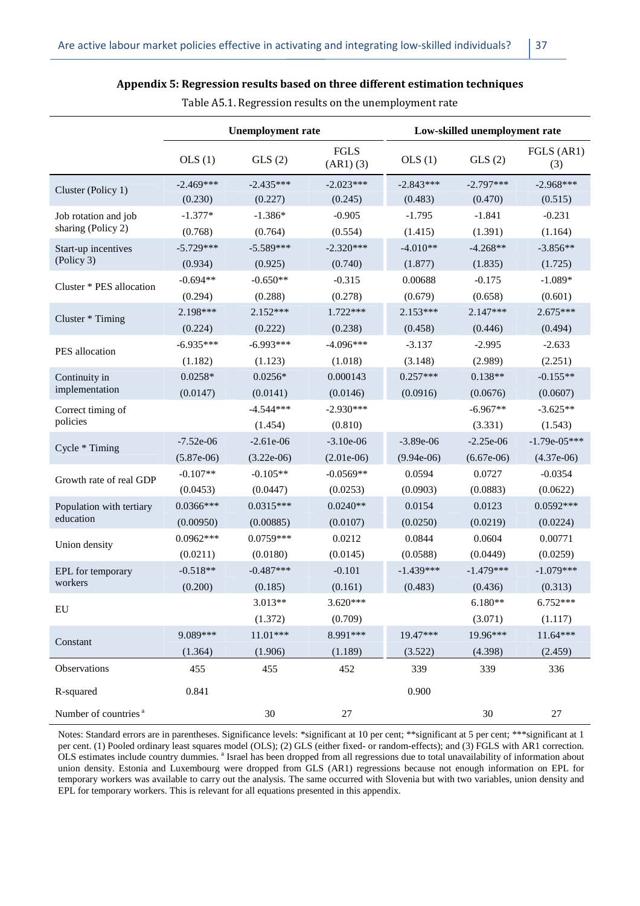|                                  | <b>Unemployment rate</b> |              |                       |              | Low-skilled unemployment rate |                   |  |  |
|----------------------------------|--------------------------|--------------|-----------------------|--------------|-------------------------------|-------------------|--|--|
|                                  | OLS(1)                   | GLS(2)       | FGLS<br>$(AR1)$ $(3)$ | OLS(1)       | GLS(2)                        | FGLS (AR1)<br>(3) |  |  |
| Cluster (Policy 1)               | $-2.469***$              | $-2.435***$  | $-2.023***$           | $-2.843***$  | $-2.797***$                   | $-2.968***$       |  |  |
|                                  | (0.230)                  | (0.227)      | (0.245)               | (0.483)      | (0.470)                       | (0.515)           |  |  |
| Job rotation and job             | $-1.377*$                | $-1.386*$    | $-0.905$              | $-1.795$     | $-1.841$                      | $-0.231$          |  |  |
| sharing (Policy 2)               | (0.768)                  | (0.764)      | (0.554)               | (1.415)      | (1.391)                       | (1.164)           |  |  |
| Start-up incentives              | $-5.729***$              | $-5.589***$  | $-2.320***$           | $-4.010**$   | $-4.268**$                    | $-3.856**$        |  |  |
| (Policy 3)                       | (0.934)                  | (0.925)      | (0.740)               | (1.877)      | (1.835)                       | (1.725)           |  |  |
| Cluster * PES allocation         | $-0.694**$               | $-0.650**$   | $-0.315$              | 0.00688      | $-0.175$                      | $-1.089*$         |  |  |
|                                  | (0.294)                  | (0.288)      | (0.278)               | (0.679)      | (0.658)                       | (0.601)           |  |  |
| Cluster * Timing                 | $2.198***$               | $2.152***$   | $1.722***$            | $2.153***$   | $2.147***$                    | $2.675***$        |  |  |
|                                  | (0.224)                  | (0.222)      | (0.238)               | (0.458)      | (0.446)                       | (0.494)           |  |  |
| PES allocation                   | $-6.935***$              | $-6.993***$  | $-4.096***$           | $-3.137$     | $-2.995$                      | $-2.633$          |  |  |
|                                  | (1.182)                  | (1.123)      | (1.018)               | (3.148)      | (2.989)                       | (2.251)           |  |  |
| Continuity in                    | $0.0258*$                | $0.0256*$    | 0.000143              | $0.257***$   | $0.138**$                     | $-0.155**$        |  |  |
| implementation                   | (0.0147)                 | (0.0141)     | (0.0146)              | (0.0916)     | (0.0676)                      | (0.0607)          |  |  |
| Correct timing of                |                          | $-4.544***$  | $-2.930***$           |              | $-6.967**$                    | $-3.625**$        |  |  |
| policies                         |                          | (1.454)      | (0.810)               |              | (3.331)                       | (1.543)           |  |  |
| Cycle * Timing                   | $-7.52e-06$              | $-2.61e-06$  | $-3.10e-06$           | $-3.89e-06$  | $-2.25e-06$                   | $-1.79e-05***$    |  |  |
|                                  | $(5.87e-06)$             | $(3.22e-06)$ | $(2.01e-06)$          | $(9.94e-06)$ | $(6.67e-06)$                  | $(4.37e-06)$      |  |  |
| Growth rate of real GDP          | $-0.107**$               | $-0.105**$   | $-0.0569**$           | 0.0594       | 0.0727                        | $-0.0354$         |  |  |
|                                  | (0.0453)                 | (0.0447)     | (0.0253)              | (0.0903)     | (0.0883)                      | (0.0622)          |  |  |
| Population with tertiary         | $0.0366***$              | $0.0315***$  | $0.0240**$            | 0.0154       | 0.0123                        | $0.0592***$       |  |  |
| education                        | (0.00950)                | (0.00885)    | (0.0107)              | (0.0250)     | (0.0219)                      | (0.0224)          |  |  |
| Union density                    | $0.0962***$              | $0.0759***$  | 0.0212                | 0.0844       | 0.0604                        | 0.00771           |  |  |
|                                  | (0.0211)                 | (0.0180)     | (0.0145)              | (0.0588)     | (0.0449)                      | (0.0259)          |  |  |
| EPL for temporary                | $-0.518**$               | $-0.487***$  | $-0.101$              | $-1.439***$  | $-1.479***$                   | $-1.079***$       |  |  |
| workers                          | (0.200)                  | (0.185)      | (0.161)               | (0.483)      | (0.436)                       | (0.313)           |  |  |
| EU                               |                          | 3.013**      | $3.620***$            |              | $6.180**$                     | $6.752***$        |  |  |
|                                  |                          | (1.372)      | (0.709)               |              | (3.071)                       | (1.117)           |  |  |
|                                  | 9.089***                 | $11.01***$   | 8.991***              | 19.47***     | 19.96***                      | $11.64***$        |  |  |
| Constant                         | (1.364)                  | (1.906)      | (1.189)               | (3.522)      | (4.398)                       | (2.459)           |  |  |
| Observations                     | 455                      | 455          | 452                   | 339          | 339                           | 336               |  |  |
| R-squared                        | 0.841                    |              |                       | 0.900        |                               |                   |  |  |
| Number of countries <sup>a</sup> |                          | $30\,$       | $27\,$                |              | 30                            | $27\,$            |  |  |

**Appendix 5: Regression results based on three different estimation techniques**  Table A5.1. Regression results on the unemployment rate

Notes: Standard errors are in parentheses. Significance levels: \*significant at 10 per cent; \*\*significant at 5 per cent; \*\*\*significant at 1 per cent. (1) Pooled ordinary least squares model (OLS); (2) GLS (either fixed- or random-effects); and (3) FGLS with AR1 correction. OLS estimates include country dummies.<sup>a</sup> Israel has been dropped from all regressions due to total unavailability of information about union density. Estonia and Luxembourg were dropped from GLS (AR1) regressions because not enough information on EPL for temporary workers was available to carry out the analysis. The same occurred with Slovenia but with two variables, union density and EPL for temporary workers. This is relevant for all equations presented in this appendix.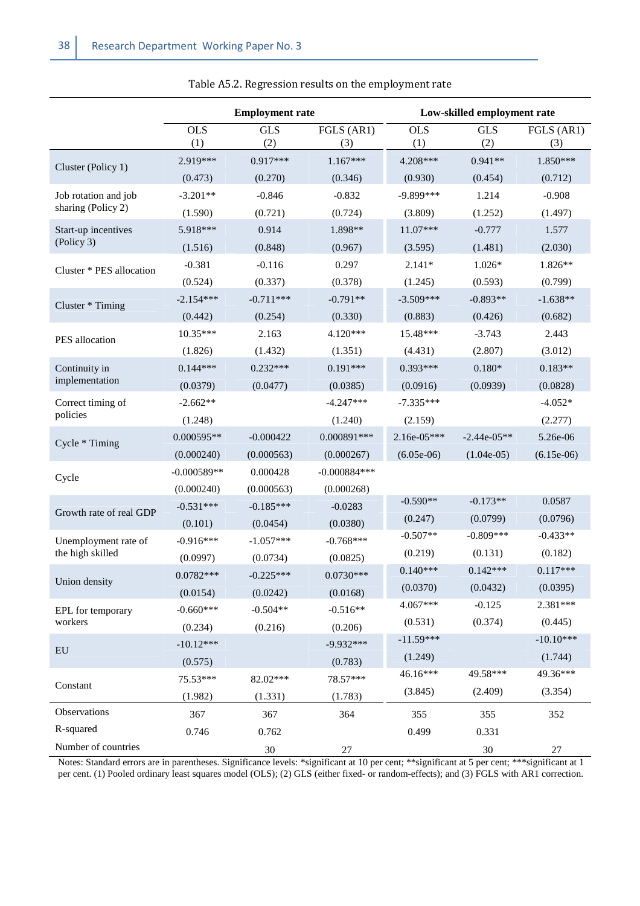|                          | <b>Employment rate</b> |                   |                    |                   | Low-skilled employment rate |                   |
|--------------------------|------------------------|-------------------|--------------------|-------------------|-----------------------------|-------------------|
|                          | <b>OLS</b><br>(1)      | <b>GLS</b><br>(2) | FGLS (AR1)<br>(3)  | <b>OLS</b><br>(1) | <b>GLS</b><br>(2)           | FGLS (AR1)<br>(3) |
|                          | 2.919***               | $0.917***$        | $1.167***$         | 4.208***          | $0.941**$                   | $1.850***$        |
| Cluster (Policy 1)       | (0.473)                | (0.270)           | (0.346)            | (0.930)           | (0.454)                     | (0.712)           |
| Job rotation and job     | $-3.201**$             | $-0.846$          | $-0.832$           | $-9.899***$       | 1.214                       | $-0.908$          |
| sharing (Policy 2)       | (1.590)                | (0.721)           | (0.724)            | (3.809)           | (1.252)                     | (1.497)           |
| Start-up incentives      | 5.918***               | 0.914             | 1.898**            | $11.07***$        | $-0.777$                    | 1.577             |
| (Policy 3)               | (1.516)                | (0.848)           | (0.967)            | (3.595)           | (1.481)                     | (2.030)           |
| Cluster * PES allocation | $-0.381$               | $-0.116$          | 0.297<br>$2.141*$  |                   | $1.026*$                    | 1.826**           |
|                          | (0.524)                | (0.337)           | (0.378)<br>(1.245) |                   | (0.593)                     | (0.799)           |
| Cluster * Timing         | $-2.154***$            | $-0.711***$       | $-0.791**$         | $-3.509***$       | $-0.893**$                  | $-1.638**$        |
|                          | (0.442)                | (0.254)           | (0.330)            | (0.883)           | (0.426)                     | (0.682)           |
| PES allocation           | $10.35***$             | 2.163             | 4.120***           | 15.48***          | $-3.743$                    | 2.443             |
|                          | (1.826)                | (1.432)           | (1.351)            | (4.431)           | (2.807)                     | (3.012)           |
| Continuity in            | $0.144***$             | $0.232***$        | $0.191***$         | $0.393***$        | $0.180*$                    | $0.183**$         |
| implementation           | (0.0379)               | (0.0477)          | (0.0385)           | (0.0916)          | (0.0939)                    | (0.0828)          |
| Correct timing of        | $-2.662**$             |                   | $-4.247***$        | $-7.335***$       |                             | $-4.052*$         |
| policies                 | (1.248)                |                   | (1.240)            | (2.159)           |                             | (2.277)           |
| Cycle * Timing           | $0.000595**$           | $-0.000422$       | $0.000891***$      | $2.16e-05***$     | $-2.44e-05**$               | 5.26e-06          |
|                          | (0.000240)             | (0.000563)        | (0.000267)         | $(6.05e-06)$      | $(1.04e-05)$                | $(6.15e-06)$      |
| Cycle                    | $-0.000589**$          | 0.000428          | $-0.000884***$     |                   |                             |                   |
|                          | (0.000240)             | (0.000563)        | (0.000268)         |                   |                             |                   |
| Growth rate of real GDP  | $-0.531***$            | $-0.185***$       | $-0.0283$          | $-0.590**$        | $-0.173**$                  | 0.0587            |
|                          | (0.101)                | (0.0454)          | (0.0380)           | (0.247)           | (0.0799)<br>$-0.809***$     | (0.0796)          |
| Unemployment rate of     | $-0.916***$            | $-1.057***$       | $-0.768***$        | $-0.507**$        |                             | $-0.433**$        |
| the high skilled         | (0.0997)               | (0.0734)          | (0.0825)           | (0.219)           | (0.131)                     | (0.182)           |
| Union density            | $0.0782***$            | $-0.225***$       | $0.0730***$        | $0.140***$        | $0.142***$                  | $0.117***$        |
|                          | (0.0154)               | (0.0242)          | (0.0168)           | (0.0370)          | (0.0432)                    | (0.0395)          |
| EPL for temporary        | $-0.660***$            | $-0.504**$        | $-0.516**$         | 4.067***          | $-0.125$                    | 2.381***          |
| workers                  | (0.234)                | (0.216)           | (0.206)            | (0.531)           | (0.374)                     | (0.445)           |
| ${\rm EU}$               | $-10.12***$            |                   | $-9.932***$        | $-11.59***$       |                             | $-10.10***$       |
|                          | (0.575)                |                   | (0.783)            | (1.249)           |                             | (1.744)           |
| Constant                 | 75.53***               | 82.02***          | 78.57***           | 46.16***          | 49.58***                    | 49.36***          |
|                          | (1.982)                | (1.331)           | (1.783)            | (3.845)           | (2.409)                     | (3.354)           |
| Observations             | 367                    | 367               | 364                | 355               | 355                         | 352               |
| R-squared                | 0.746                  | 0.762             |                    | 0.499             | 0.331                       |                   |
| Number of countries      |                        | $30\,$            | 27                 |                   | $30\,$                      | 27                |

Notes: Standard errors are in parentheses. Significance levels: \*significant at 10 per cent; \*\*significant at 5 per cent; \*\*\*significant at 1 per cent. (1) Pooled ordinary least squares model (OLS); (2) GLS (either fixed- or random-effects); and (3) FGLS with AR1 correction.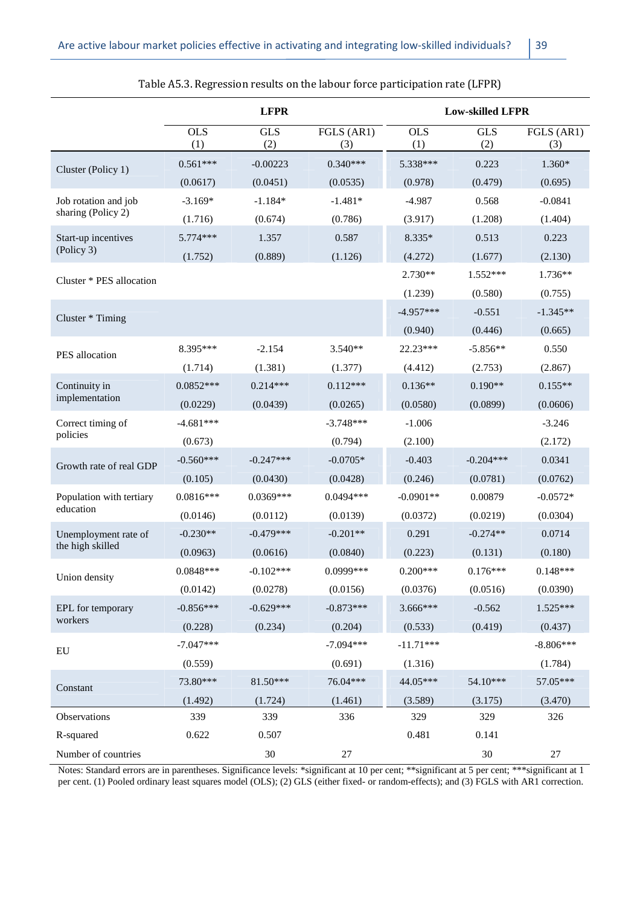|                          | <b>LFPR</b>       |                   |                   | <b>Low-skilled LFPR</b> |                   |                   |  |
|--------------------------|-------------------|-------------------|-------------------|-------------------------|-------------------|-------------------|--|
|                          | <b>OLS</b><br>(1) | <b>GLS</b><br>(2) | FGLS (AR1)<br>(3) | <b>OLS</b><br>(1)       | <b>GLS</b><br>(2) | FGLS (AR1)<br>(3) |  |
| Cluster (Policy 1)       | $0.561***$        | $-0.00223$        | $0.340***$        | 5.338***                | 0.223             | 1.360*            |  |
|                          | (0.0617)          | (0.0451)          | (0.0535)          | (0.978)                 | (0.479)           | (0.695)           |  |
| Job rotation and job     | $-3.169*$         | $-1.184*$         | $-1.481*$         | $-4.987$                | 0.568             | $-0.0841$         |  |
| sharing (Policy 2)       | (1.716)           | (0.674)           | (0.786)           | (3.917)                 | (1.208)           | (1.404)           |  |
| Start-up incentives      | 5.774***          | 1.357             | 0.587             | 8.335*                  | 0.513             | 0.223             |  |
| (Policy 3)               | (1.752)           | (0.889)           | (1.126)           | (4.272)                 | (1.677)           | (2.130)           |  |
| Cluster * PES allocation |                   |                   |                   | 2.730**                 | 1.552***          | 1.736**           |  |
|                          |                   |                   |                   | (1.239)                 | (0.580)           | (0.755)           |  |
| Cluster * Timing         |                   |                   |                   | $-4.957***$             | $-0.551$          | $-1.345**$        |  |
|                          |                   |                   |                   | (0.940)                 | (0.446)           | (0.665)           |  |
| PES allocation           | 8.395***          | $-2.154$          | $3.540**$         | 22.23***                | $-5.856**$        | 0.550             |  |
|                          | (1.714)           | (1.381)           | (1.377)           | (4.412)                 | (2.753)           | (2.867)           |  |
| Continuity in            | $0.0852***$       | $0.214***$        | $0.112***$        | $0.136**$               | $0.190**$         | $0.155**$         |  |
| implementation           | (0.0229)          | (0.0439)          | (0.0265)          | (0.0580)                | (0.0899)          | (0.0606)          |  |
| Correct timing of        | $-4.681***$       |                   | $-3.748***$       | $-1.006$                |                   | $-3.246$          |  |
| policies                 | (0.673)           |                   | (0.794)           | (2.100)                 |                   | (2.172)           |  |
| Growth rate of real GDP  | $-0.560***$       | $-0.247***$       | $-0.0705*$        | $-0.403$                | $-0.204***$       | 0.0341            |  |
|                          | (0.105)           | (0.0430)          | (0.0428)          | (0.246)                 | (0.0781)          | (0.0762)          |  |
| Population with tertiary | $0.0816***$       | $0.0369***$       | $0.0494***$       | $-0.0901**$             | 0.00879           | $-0.0572*$        |  |
| education                | (0.0146)          | (0.0112)          | (0.0139)          | (0.0372)                | (0.0219)          | (0.0304)          |  |
| Unemployment rate of     | $-0.230**$        | $-0.479***$       | $-0.201**$        | 0.291                   | $-0.274**$        | 0.0714            |  |
| the high skilled         | (0.0963)          | (0.0616)          | (0.0840)          | (0.223)                 | (0.131)           | (0.180)           |  |
| Union density            | $0.0848***$       | $-0.102***$       | 0.0999***         | $0.200***$              | $0.176***$        | $0.148***$        |  |
|                          | (0.0142)          | (0.0278)          | (0.0156)          | (0.0376)                | (0.0516)          | (0.0390)          |  |
| EPL for temporary        | $-0.856***$       | $-0.629***$       | $-0.873***$       | 3.666***                | $-0.562$          | $1.525***$        |  |
| workers                  | (0.228)           | (0.234)           | (0.204)           | (0.533)                 | (0.419)           | (0.437)           |  |
| ${\rm EU}$               | $-7.047***$       |                   | $-7.094***$       | $-11.71***$             |                   | $-8.806***$       |  |
|                          | (0.559)           |                   | (0.691)           | (1.316)                 |                   | (1.784)           |  |
| Constant                 | 73.80***          | 81.50***          | 76.04***          | 44.05***                | 54.10***          | 57.05***          |  |
|                          | (1.492)           | (1.724)           | (1.461)           | (3.589)                 | (3.175)           | (3.470)           |  |
| Observations             | 339               | 339               | 336               | 329                     | 329               | 326               |  |
| R-squared                | 0.622             | 0.507             |                   | 0.481                   | 0.141             |                   |  |
| Number of countries      |                   | $30\,$            | 27                |                         | $30\,$            | $27\,$            |  |

#### Table A5.3. Regression results on the labour force participation rate (LFPR)

Notes: Standard errors are in parentheses. Significance levels: \*significant at 10 per cent; \*\*significant at 5 per cent; \*\*\*significant at 1 per cent. (1) Pooled ordinary least squares model (OLS); (2) GLS (either fixed- or random-effects); and (3) FGLS with AR1 correction.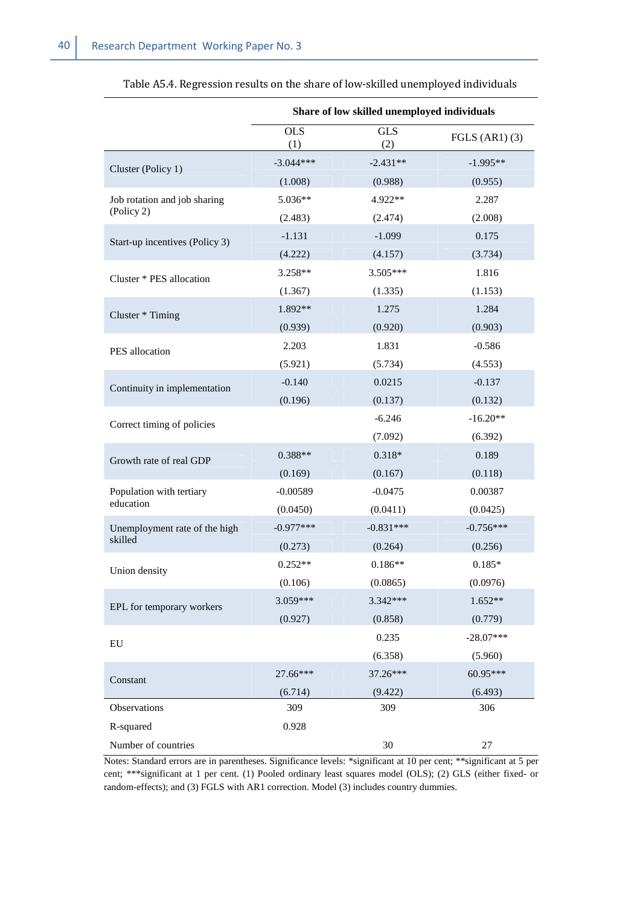|                                | Share of low skilled unemployed individuals                                                                                                            |                   |                    |  |  |
|--------------------------------|--------------------------------------------------------------------------------------------------------------------------------------------------------|-------------------|--------------------|--|--|
|                                | <b>OLS</b><br>(1)                                                                                                                                      | <b>GLS</b><br>(2) | FGLS $(AR1)$ $(3)$ |  |  |
| Cluster (Policy 1)             | $-3.044***$                                                                                                                                            | $-2.431**$        | $-1.995**$         |  |  |
|                                | (1.008)                                                                                                                                                | (0.988)           | (0.955)            |  |  |
| Job rotation and job sharing   | 5.036**                                                                                                                                                | 4.922**           | 2.287              |  |  |
| (Policy 2)                     | (2.483)                                                                                                                                                | (2.474)           | (2.008)            |  |  |
| Start-up incentives (Policy 3) | $-1.131$                                                                                                                                               | $-1.099$          | 0.175              |  |  |
|                                | (4.222)                                                                                                                                                | (4.157)           | (3.734)            |  |  |
| Cluster * PES allocation       | 3.258**                                                                                                                                                | $3.505***$        | 1.816              |  |  |
|                                | (1.367)                                                                                                                                                | (1.335)           | (1.153)            |  |  |
| Cluster * Timing               | 1.892**                                                                                                                                                | 1.275             | 1.284              |  |  |
|                                | (0.939)<br>(0.920)<br>2.203<br>1.831<br>(5.921)<br>(5.734)<br>$-0.140$<br>0.0215<br>(0.196)<br>(0.137)<br>$-6.246$<br>(7.092)<br>$0.318*$<br>$0.388**$ | (0.903)           |                    |  |  |
| PES allocation                 |                                                                                                                                                        |                   | $-0.586$           |  |  |
|                                |                                                                                                                                                        |                   | (4.553)            |  |  |
| Continuity in implementation   |                                                                                                                                                        |                   | $-0.137$           |  |  |
|                                |                                                                                                                                                        |                   | (0.132)            |  |  |
| Correct timing of policies     |                                                                                                                                                        |                   | $-16.20**$         |  |  |
|                                |                                                                                                                                                        |                   | (6.392)            |  |  |
| Growth rate of real GDP        |                                                                                                                                                        |                   | 0.189              |  |  |
|                                | (0.169)                                                                                                                                                | (0.167)           | (0.118)            |  |  |
| Population with tertiary       | $-0.00589$                                                                                                                                             | $-0.0475$         | 0.00387            |  |  |
| education                      | (0.0450)                                                                                                                                               | (0.0411)          | (0.0425)           |  |  |
| Unemployment rate of the high  | $-0.977***$                                                                                                                                            | $-0.831***$       | $-0.756***$        |  |  |
| skilled                        | (0.273)                                                                                                                                                | (0.264)           | (0.256)            |  |  |
| Union density                  | $0.252**$                                                                                                                                              | $0.186**$         | $0.185*$           |  |  |
|                                | (0.106)                                                                                                                                                | (0.0865)          | (0.0976)           |  |  |
| EPL for temporary workers      | 3.059***                                                                                                                                               | 3.342***          | $1.652**$          |  |  |
|                                | (0.927)                                                                                                                                                | (0.858)           | (0.779)            |  |  |
| EU                             |                                                                                                                                                        | 0.235             | $-28.07***$        |  |  |
|                                |                                                                                                                                                        | (6.358)           | (5.960)            |  |  |
| Constant                       | 27.66***                                                                                                                                               | 37.26***          | 60.95***           |  |  |
|                                | (6.714)                                                                                                                                                | (9.422)           | (6.493)            |  |  |
| Observations                   | 309                                                                                                                                                    | 309               | 306                |  |  |
| R-squared                      | 0.928                                                                                                                                                  |                   |                    |  |  |
| Number of countries            |                                                                                                                                                        | 30                | 27                 |  |  |

Table A5.4. Regression results on the share of low-skilled unemployed individuals

Notes: Standard errors are in parentheses. Significance levels: \*significant at 10 per cent; \*\*significant at 5 per cent; \*\*\*significant at 1 per cent. (1) Pooled ordinary least squares model (OLS); (2) GLS (either fixed- or random-effects); and (3) FGLS with AR1 correction. Model (3) includes country dummies.